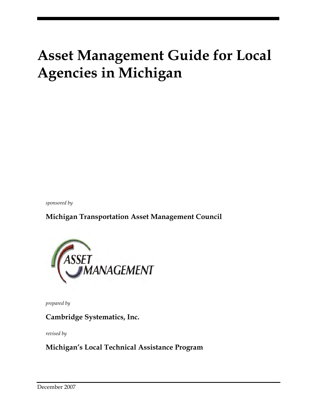# **Asset Management Guide for Local Agencies in Michigan**

*sponsored by* 

**Michigan Transportation Asset Management Council** 



*prepared by* 

**Cambridge Systematics, Inc.** 

*revised by* 

**Michigan's Local Technical Assistance Program**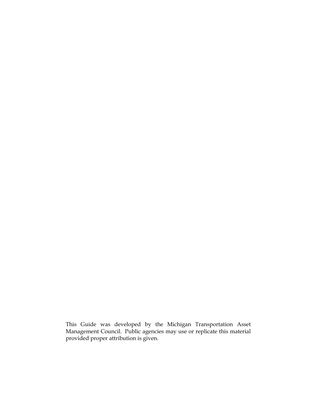This Guide was developed by the Michigan Transportation Asset Management Council. Public agencies may use or replicate this material provided proper attribution is given.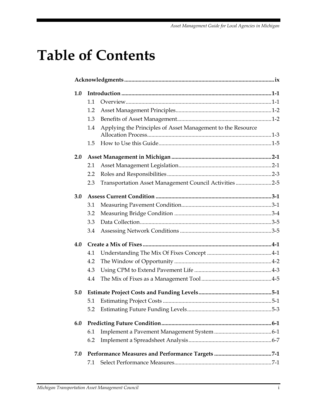# **Table of Contents**

| 1.0 |     |                                                             |  |  |  |  |
|-----|-----|-------------------------------------------------------------|--|--|--|--|
|     | 1.1 |                                                             |  |  |  |  |
|     | 1.2 |                                                             |  |  |  |  |
|     | 1.3 |                                                             |  |  |  |  |
|     | 1.4 | Applying the Principles of Asset Management to the Resource |  |  |  |  |
|     | 1.5 |                                                             |  |  |  |  |
| 2.0 |     |                                                             |  |  |  |  |
|     | 2.1 |                                                             |  |  |  |  |
|     | 2.2 |                                                             |  |  |  |  |
|     | 2.3 | Transportation Asset Management Council Activities 2-5      |  |  |  |  |
| 3.0 |     |                                                             |  |  |  |  |
|     | 3.1 |                                                             |  |  |  |  |
|     | 3.2 |                                                             |  |  |  |  |
|     | 3.3 |                                                             |  |  |  |  |
|     | 3.4 |                                                             |  |  |  |  |
| 4.0 |     |                                                             |  |  |  |  |
|     | 4.1 |                                                             |  |  |  |  |
|     | 4.2 |                                                             |  |  |  |  |
|     | 4.3 |                                                             |  |  |  |  |
|     | 4.4 |                                                             |  |  |  |  |
| 5.0 |     |                                                             |  |  |  |  |
|     | 5.1 |                                                             |  |  |  |  |
|     |     |                                                             |  |  |  |  |
| 6.0 |     |                                                             |  |  |  |  |
|     | 6.1 |                                                             |  |  |  |  |
|     | 6.2 |                                                             |  |  |  |  |
| 7.0 |     |                                                             |  |  |  |  |
|     | 7.1 |                                                             |  |  |  |  |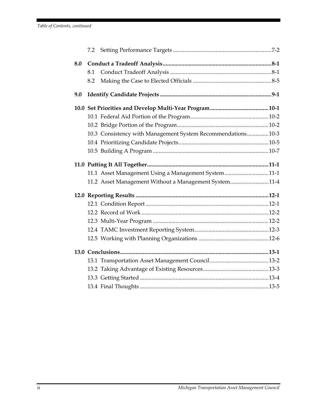| 7.2 |                                                             |  |
|-----|-------------------------------------------------------------|--|
| 8.0 |                                                             |  |
| 8.1 |                                                             |  |
| 8.2 |                                                             |  |
| 9.0 |                                                             |  |
|     |                                                             |  |
|     |                                                             |  |
|     |                                                             |  |
|     | 10.3 Consistency with Management System Recommendations10-3 |  |
|     |                                                             |  |
|     |                                                             |  |
|     |                                                             |  |
|     | 11.1 Asset Management Using a Management System11-1         |  |
|     | 11.2 Asset Management Without a Management System11-4       |  |
|     |                                                             |  |
|     |                                                             |  |
|     |                                                             |  |
|     |                                                             |  |
|     |                                                             |  |
|     |                                                             |  |
|     |                                                             |  |
|     |                                                             |  |
|     |                                                             |  |
|     |                                                             |  |
|     |                                                             |  |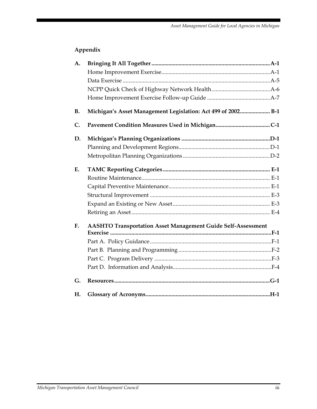### **Appendix**

| A.        |                                                                     |  |
|-----------|---------------------------------------------------------------------|--|
|           |                                                                     |  |
|           |                                                                     |  |
|           |                                                                     |  |
|           |                                                                     |  |
| <b>B.</b> | Michigan's Asset Management Legislation: Act 499 of 2002 B-1        |  |
| C.        |                                                                     |  |
| D.        |                                                                     |  |
|           |                                                                     |  |
|           |                                                                     |  |
| E.        |                                                                     |  |
|           |                                                                     |  |
|           |                                                                     |  |
|           |                                                                     |  |
|           |                                                                     |  |
|           |                                                                     |  |
| F.        | <b>AASHTO Transportation Asset Management Guide Self-Assessment</b> |  |
|           |                                                                     |  |
|           |                                                                     |  |
|           |                                                                     |  |
|           |                                                                     |  |
|           |                                                                     |  |
| G.        |                                                                     |  |
| Н.        |                                                                     |  |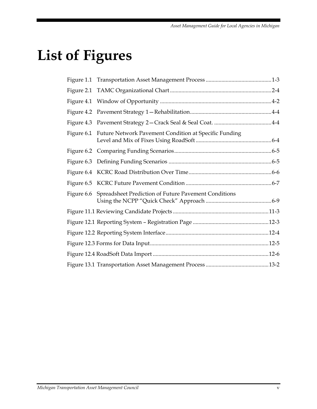# **List of Figures**

| Figure 6.1 Future Network Pavement Condition at Specific Funding |  |
|------------------------------------------------------------------|--|
|                                                                  |  |
|                                                                  |  |
|                                                                  |  |
|                                                                  |  |
| Figure 6.6 Spreadsheet Prediction of Future Pavement Conditions  |  |
|                                                                  |  |
|                                                                  |  |
|                                                                  |  |
|                                                                  |  |
|                                                                  |  |
|                                                                  |  |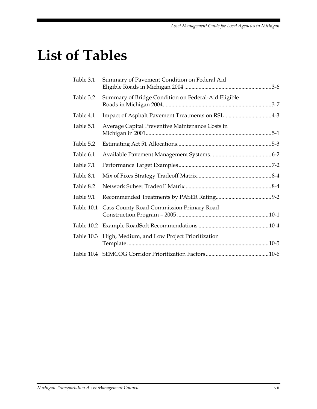# **List of Tables**

| Table 3.1  | Summary of Pavement Condition on Federal Aid        |  |
|------------|-----------------------------------------------------|--|
| Table 3.2  | Summary of Bridge Condition on Federal-Aid Eligible |  |
| Table 4.1  | Impact of Asphalt Pavement Treatments on RSL4-3     |  |
| Table 5.1  | Average Capital Preventive Maintenance Costs in     |  |
| Table 5.2  |                                                     |  |
| Table 6.1  |                                                     |  |
| Table 7.1  |                                                     |  |
| Table 8.1  |                                                     |  |
| Table 8.2  |                                                     |  |
| Table 9.1  |                                                     |  |
| Table 10.1 | Cass County Road Commission Primary Road            |  |
|            |                                                     |  |
| Table 10.3 | High, Medium, and Low Project Prioritization        |  |
|            |                                                     |  |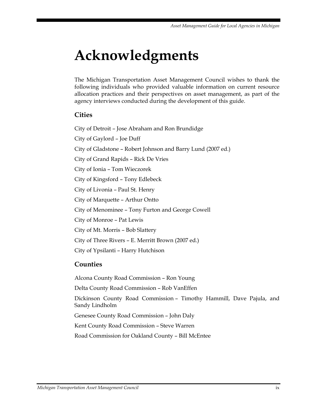# **Acknowledgments**

The Michigan Transportation Asset Management Council wishes to thank the following individuals who provided valuable information on current resource allocation practices and their perspectives on asset management, as part of the agency interviews conducted during the development of this guide.

### **Cities**

City of Detroit – Jose Abraham and Ron Brundidge City of Gaylord – Joe Duff City of Gladstone – Robert Johnson and Barry Lund (2007 ed.) City of Grand Rapids – Rick De Vries City of Ionia – Tom Wieczorek City of Kingsford – Tony Edlebeck City of Livonia – Paul St. Henry City of Marquette – Arthur Ontto City of Menominee – Tony Furton and George Cowell City of Monroe – Pat Lewis City of Mt. Morris – Bob Slattery City of Three Rivers – E. Merritt Brown (2007 ed.) City of Ypsilanti – Harry Hutchison

### **Counties**

Alcona County Road Commission – Ron Young Delta County Road Commission – Rob VanEffen Dickinson County Road Commission – Timothy Hammill, Dave Pajula, and Sandy Lindholm Genesee County Road Commission – John Daly Kent County Road Commission – Steve Warren Road Commission for Oakland County – Bill McEntee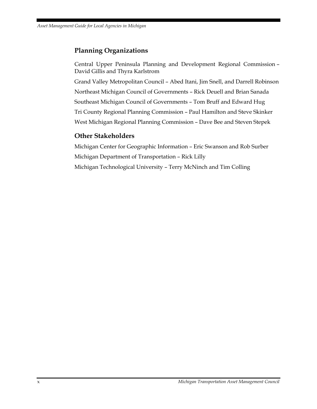### **Planning Organizations**

Central Upper Peninsula Planning and Development Regional Commission – David Gillis and Thyra Karlstrom Grand Valley Metropolitan Council – Abed Itani, Jim Snell, and Darrell Robinson Northeast Michigan Council of Governments – Rick Deuell and Brian Sanada Southeast Michigan Council of Governments – Tom Bruff and Edward Hug Tri County Regional Planning Commission – Paul Hamilton and Steve Skinker West Michigan Regional Planning Commission – Dave Bee and Steven Stepek

### **Other Stakeholders**

Michigan Center for Geographic Information – Eric Swanson and Rob Surber Michigan Department of Transportation – Rick Lilly Michigan Technological University – Terry McNinch and Tim Colling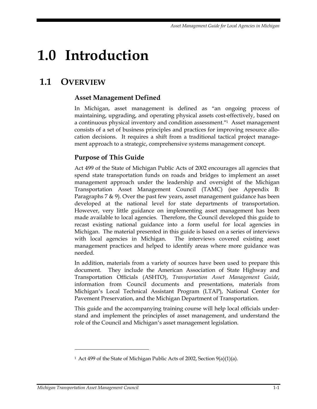# **1.0 Introduction**

# **1.1 OVERVIEW**

### **Asset Management Defined**

In Michigan, asset management is defined as "an ongoing process of maintaining, upgrading, and operating physical assets cost-effectively, based on a continuous physical inventory and condition assessment."1 Asset management consists of a set of business principles and practices for improving resource allocation decisions. It requires a shift from a traditional tactical project management approach to a strategic, comprehensive systems management concept.

### **Purpose of This Guide**

Act 499 of the State of Michigan Public Acts of 2002 encourages all agencies that spend state transportation funds on roads and bridges to implement an asset management approach under the leadership and oversight of the Michigan Transportation Asset Management Council (TAMC) (see Appendix B: Paragraphs 7  $\&$  9). Over the past few years, asset management guidance has been developed at the national level for state departments of transportation. However, very little guidance on implementing asset management has been made available to local agencies. Therefore, the Council developed this guide to recast existing national guidance into a form useful for local agencies in Michigan. The material presented in this guide is based on a series of interviews with local agencies in Michigan. The interviews covered existing asset management practices and helped to identify areas where more guidance was needed.

In addition, materials from a variety of sources have been used to prepare this document. They include the American Association of State Highway and Transportation Officials (ASHTO), *Transportation Asset Management Guide*, information from Council documents and presentations, materials from Michigan's Local Technical Assistant Program (LTAP), National Center for Pavement Preservation, and the Michigan Department of Transportation.

This guide and the accompanying training course will help local officials understand and implement the principles of asset management, and understand the role of the Council and Michigan's asset management legislation.

 $\ddot{\phantom{a}}$ 

<sup>&</sup>lt;sup>1</sup> Act 499 of the State of Michigan Public Acts of 2002, Section 9(a)(1)(a).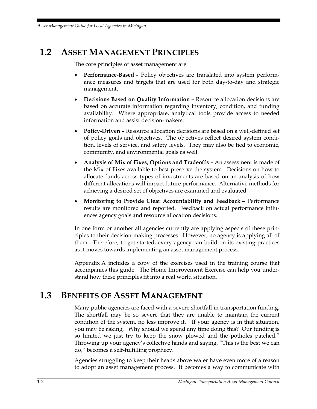# **1.2 ASSET MANAGEMENT PRINCIPLES**

The core principles of asset management are:

- **Performance-Based –** Policy objectives are translated into system performance measures and targets that are used for both day-to-day and strategic management.
- **Decisions Based on Quality Information –** Resource allocation decisions are based on accurate information regarding inventory, condition, and funding availability. Where appropriate, analytical tools provide access to needed information and assist decision-makers.
- **Policy-Driven –** Resource allocation decisions are based on a well-defined set of policy goals and objectives. The objectives reflect desired system condition, levels of service, and safety levels. They may also be tied to economic, community, and environmental goals as well.
- **Analysis of Mix of Fixes, Options and Tradeoffs –** An assessment is made of the Mix of Fixes available to best preserve the system. Decisions on how to allocate funds across types of investments are based on an analysis of how different allocations will impact future performance. Alternative methods for achieving a desired set of objectives are examined and evaluated.
- **Monitoring to Provide Clear Accountability and Feedback –** Performance results are monitored and reported. Feedback on actual performance influences agency goals and resource allocation decisions.

In one form or another all agencies currently are applying aspects of these principles to their decision-making processes. However, no agency is applying all of them. Therefore, to get started, every agency can build on its existing practices as it moves towards implementing an asset management process.

Appendix A includes a copy of the exercises used in the training course that accompanies this guide. The Home Improvement Exercise can help you understand how these principles fit into a real world situation.

## **1.3 BENEFITS OF ASSET MANAGEMENT**

Many public agencies are faced with a severe shortfall in transportation funding. The shortfall may be so severe that they are unable to maintain the current condition of the system, no less improve it. If your agency is in that situation, you may be asking, "Why should we spend any time doing this? Our funding is so limited we just try to keep the snow plowed and the potholes patched." Throwing up your agency's collective hands and saying, "This is the best we can do," becomes a self-fulfilling prophecy.

Agencies struggling to keep their heads above water have even more of a reason to adopt an asset management process. It becomes a way to communicate with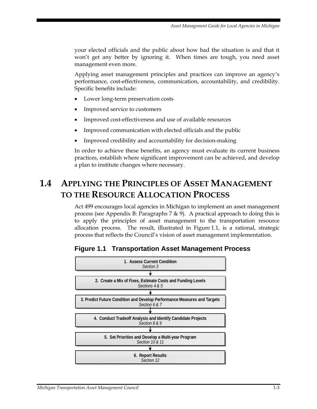your elected officials and the public about how bad the situation is and that it won't get any better by ignoring it. When times are tough, you need asset management even more.

Applying asset management principles and practices can improve an agency's performance, cost-effectiveness, communication, accountability, and credibility. Specific benefits include:

- Lower long-term preservation costs
- Improved service to customers
- Improved cost-effectiveness and use of available resources
- Improved communication with elected officials and the public
- Improved credibility and accountability for decision-making

In order to achieve these benefits, an agency must evaluate its current business practices, establish where significant improvement can be achieved, and develop a plan to institute changes where necessary.

# **1.4 APPLYING THE PRINCIPLES OF ASSET MANAGEMENT TO THE RESOURCE ALLOCATION PROCESS**

Act 499 encourages local agencies in Michigan to implement an asset management process (see Appendix B: Paragraphs 7 & 9). A practical approach to doing this is to apply the principles of asset management to the transportation resource allocation process. The result, illustrated in Figure 1.1, is a rational, strategic process that reflects the Council's vision of asset management implementation.



### **Figure 1.1 Transportation Asset Management Process**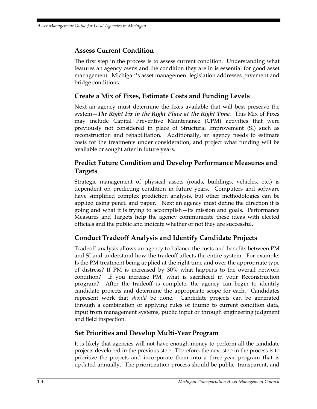### **Assess Current Condition**

The first step in the process is to assess current condition. Understanding what features an agency owns and the condition they are in is essential for good asset management. Michigan's asset management legislation addresses pavement and bridge conditions.

### **Create a Mix of Fixes, Estimate Costs and Funding Levels**

Next an agency must determine the fixes available that will best preserve the system—*The Right Fix in the Right Place at the Right Time.* This Mix of Fixes may include Capital Preventive Maintenance (CPM) activities that were previously not considered in place of Structural Improvement (SI) such as reconstruction and rehabilitation. Additionally, an agency needs to estimate costs for the treatments under consideration, and project what funding will be available or sought after in future years.

### **Predict Future Condition and Develop Performance Measures and Targets**

Strategic management of physical assets (roads, buildings, vehicles, etc.) is dependent on predicting condition in future years. Computers and software have simplified complex prediction analysis, but other methodologies can be applied using pencil and paper. Next an agency must define the direction it is going and what it is trying to accomplish—its mission and goals. Performance Measures and Targets help the agency communicate these ideas with elected officials and the public and indicate whether or not they are successful.

### **Conduct Tradeoff Analysis and Identify Candidate Projects**

Tradeoff analysis allows an agency to balance the costs and benefits between PM and SI and understand how the tradeoff affects the entire system. For example: Is the PM treatment being applied at the right time and over the appropriate type of distress? If PM is increased by 30% what happens to the overall network condition? If you increase PM, what is sacrificed in your Reconstruction program? After the tradeoff is complete, the agency can begin to identify candidate projects and determine the appropriate scope for each. Candidates represent work that *should* be done. Candidate projects can be generated through a combination of applying rules of thumb to current condition data, input from management systems, public input or through engineering judgment and field inspection.

### **Set Priorities and Develop Multi-Year Program**

It is likely that agencies will not have enough money to perform all the candidate projects developed in the previous step. Therefore, the next step in the process is to prioritize the projects and incorporate them into a three-year program that is updated annually. The prioritization process should be public, transparent, and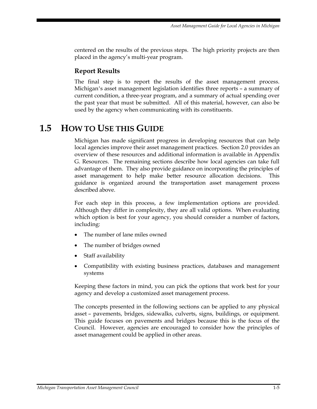centered on the results of the previous steps. The high priority projects are then placed in the agency's multi-year program.

### **Report Results**

The final step is to report the results of the asset management process. Michigan's asset management legislation identifies three reports – a summary of current condition, a three-year program, and a summary of actual spending over the past year that must be submitted. All of this material, however, can also be used by the agency when communicating with its constituents.

## **1.5 HOW TO USE THIS GUIDE**

Michigan has made significant progress in developing resources that can help local agencies improve their asset management practices. Section 2.0 provides an overview of these resources and additional information is available in Appendix G. Resources. The remaining sections describe how local agencies can take full advantage of them. They also provide guidance on incorporating the principles of asset management to help make better resource allocation decisions. This guidance is organized around the transportation asset management process described above.

For each step in this process, a few implementation options are provided. Although they differ in complexity, they are all valid options. When evaluating which option is best for your agency, you should consider a number of factors, including:

- The number of lane miles owned
- The number of bridges owned
- Staff availability
- Compatibility with existing business practices, databases and management systems

Keeping these factors in mind, you can pick the options that work best for your agency and develop a customized asset management process.

The concepts presented in the following sections can be applied to any physical asset – pavements, bridges, sidewalks, culverts, signs, buildings, or equipment. This guide focuses on pavements and bridges because this is the focus of the Council. However, agencies are encouraged to consider how the principles of asset management could be applied in other areas.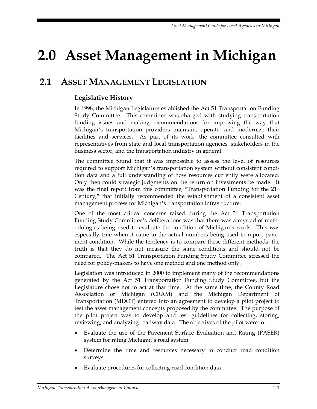# **2.0 Asset Management in Michigan**

# **2.1 ASSET MANAGEMENT LEGISLATION**

### **Legislative History**

In 1998, the Michigan Legislature established the Act 51 Transportation Funding Study Committee. This committee was charged with studying transportation funding issues and making recommendations for improving the way that Michigan's transportation providers maintain, operate, and modernize their facilities and services. As part of its work, the committee consulted with representatives from state and local transportation agencies, stakeholders in the business sector, and the transportation industry in general.

The committee found that it was impossible to assess the level of resources required to support Michigan's transportation system without consistent condition data and a full understanding of how resources currently were allocated. Only then could strategic judgments on the return on investments be made. It was the final report from this committee, "Transportation Funding for the 21st Century," that initially recommended the establishment of a consistent asset management process for Michigan's transportation infrastructure.

One of the most critical concerns raised during the Act 51 Transportation Funding Study Committee's deliberations was that there was a myriad of methodologies being used to evaluate the condition of Michigan's roads. This was especially true when it came to the actual numbers being used to report pavement condition. While the tendency is to compare these different methods, the truth is that they do not measure the same conditions and should not be compared. The Act 51 Transportation Funding Study Committee stressed the need for policy-makers to have one method and one method only.

Legislation was introduced in 2000 to implement many of the recommendations generated by the Act 51 Transportation Funding Study Committee, but the Legislature chose not to act at that time. At the same time, the County Road Association of Michigan (CRAM) and the Michigan Department of Transportation (MDOT) entered into an agreement to develop a pilot project to test the asset management concepts proposed by the committee. The purpose of the pilot project was to develop and test guidelines for collecting, storing, reviewing, and analyzing roadway data. The objectives of the pilot were to:

- Evaluate the use of the Pavement Surface Evaluation and Rating (PASER) system for rating Michigan's road system.
- Determine the time and resources necessary to conduct road condition surveys.
- Evaluate procedures for collecting road condition data .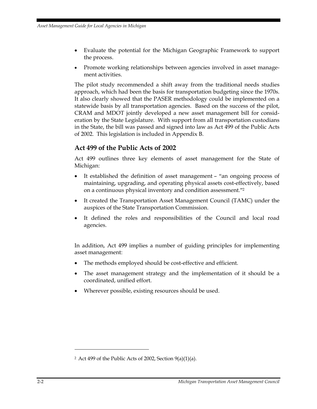- Evaluate the potential for the Michigan Geographic Framework to support the process.
- Promote working relationships between agencies involved in asset management activities.

The pilot study recommended a shift away from the traditional needs studies approach, which had been the basis for transportation budgeting since the 1970s. It also clearly showed that the PASER methodology could be implemented on a statewide basis by all transportation agencies. Based on the success of the pilot, CRAM and MDOT jointly developed a new asset management bill for consideration by the State Legislature. With support from all transportation custodians in the State, the bill was passed and signed into law as Act 499 of the Public Acts of 2002. This legislation is included in Appendix B.

### **Act 499 of the Public Acts of 2002**

Act 499 outlines three key elements of asset management for the State of Michigan:

- It established the definition of asset management "an ongoing process of maintaining, upgrading, and operating physical assets cost-effectively, based on a continuous physical inventory and condition assessment."2
- It created the Transportation Asset Management Council (TAMC) under the auspices of the State Transportation Commission.
- It defined the roles and responsibilities of the Council and local road agencies.

In addition, Act 499 implies a number of guiding principles for implementing asset management:

- The methods employed should be cost-effective and efficient.
- The asset management strategy and the implementation of it should be a coordinated, unified effort.
- Wherever possible, existing resources should be used.

<u>.</u>

<sup>&</sup>lt;sup>2</sup> Act 499 of the Public Acts of 2002, Section  $9(a)(1)(a)$ .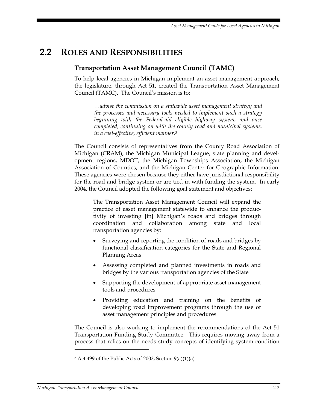## **2.2 ROLES AND RESPONSIBILITIES**

### **Transportation Asset Management Council (TAMC)**

To help local agencies in Michigan implement an asset management approach, the legislature, through Act 51, created the Transportation Asset Management Council (TAMC). The Council's mission is to:

*…advise the commission on a statewide asset management strategy and the processes and necessary tools needed to implement such a strategy beginning with the Federal-aid eligible highway system, and once completed, continuing on with the county road and municipal systems, in a cost-effective, efficient manner.3* 

The Council consists of representatives from the County Road Association of Michigan (CRAM), the Michigan Municipal League, state planning and development regions, MDOT, the Michigan Townships Association, the Michigan Association of Counties, and the Michigan Center for Geographic Information. These agencies were chosen because they either have jurisdictional responsibility for the road and bridge system or are tied in with funding the system. In early 2004, the Council adopted the following goal statement and objectives:

The Transportation Asset Management Council will expand the practice of asset management statewide to enhance the productivity of investing [in] Michigan's roads and bridges through coordination and collaboration among state and local transportation agencies by:

- Surveying and reporting the condition of roads and bridges by functional classification categories for the State and Regional Planning Areas
- Assessing completed and planned investments in roads and bridges by the various transportation agencies of the State
- Supporting the development of appropriate asset management tools and procedures
- Providing education and training on the benefits of developing road improvement programs through the use of asset management principles and procedures

The Council is also working to implement the recommendations of the Act 51 Transportation Funding Study Committee. This requires moving away from a process that relies on the needs study concepts of identifying system condition

 $\overline{a}$ 

 $3$  Act 499 of the Public Acts of 2002, Section 9(a)(1)(a).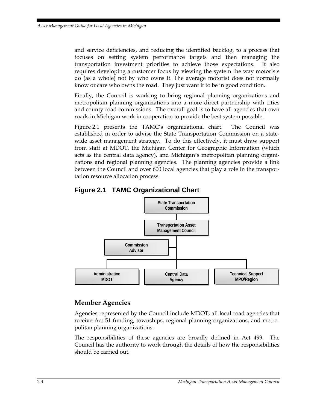and service deficiencies, and reducing the identified backlog, to a process that focuses on setting system performance targets and then managing the transportation investment priorities to achieve those expectations. It also requires developing a customer focus by viewing the system the way motorists do (as a whole) not by who owns it. The average motorist does not normally know or care who owns the road. They just want it to be in good condition.

Finally, the Council is working to bring regional planning organizations and metropolitan planning organizations into a more direct partnership with cities and county road commissions. The overall goal is to have all agencies that own roads in Michigan work in cooperation to provide the best system possible.

Figure 2.1 presents the TAMC's organizational chart. The Council was established in order to advise the State Transportation Commission on a statewide asset management strategy. To do this effectively, it must draw support from staff at MDOT, the Michigan Center for Geographic Information (which acts as the central data agency), and Michigan's metropolitan planning organizations and regional planning agencies. The planning agencies provide a link between the Council and over 600 local agencies that play a role in the transportation resource allocation process.



### **Figure 2.1 TAMC Organizational Chart**

### **Member Agencies**

Agencies represented by the Council include MDOT, all local road agencies that receive Act 51 funding, townships, regional planning organizations, and metropolitan planning organizations.

The responsibilities of these agencies are broadly defined in Act 499. The Council has the authority to work through the details of how the responsibilities should be carried out.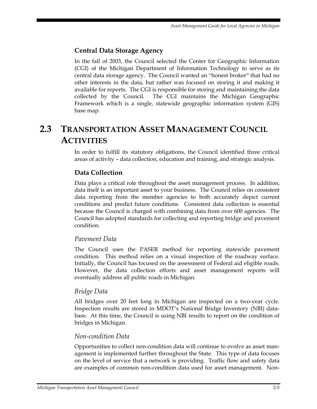### **Central Data Storage Agency**

In the fall of 2003, the Council selected the Center for Geographic Information (CGI) of the Michigan Department of Information Technology to serve as its central data storage agency. The Council wanted an "honest broker" that had no other interests in the data, but rather was focused on storing it and making it available for reports. The CGI is responsible for storing and maintaining the data collected by the Council. The CGI maintains the Michigan Geographic Framework which is a single, statewide geographic information system (GIS) base map.

# **2.3 TRANSPORTATION ASSET MANAGEMENT COUNCIL ACTIVITIES**

In order to fulfill its statutory obligations, the Council identified three critical areas of activity – data collection, education and training, and strategic analysis.

### **Data Collection**

Data plays a critical role throughout the asset management process. In addition, data itself is an important asset to your business. The Council relies on consistent data reporting from the member agencies to both accurately depict current conditions and predict future conditions. Consistent data collection is essential because the Council is charged with combining data from over 600 agencies. The Council has adopted standards for collecting and reporting bridge and pavement condition.

#### *Pavement Data*

The Council uses the PASER method for reporting statewide pavement condition. This method relies on a visual inspection of the roadway surface. Initially, the Council has focused on the assessment of Federal aid eligible roads. However, the data collection efforts and asset management reports will eventually address all public roads in Michigan.

#### *Bridge Data*

All bridges over 20 feet long in Michigan are inspected on a two-year cycle. Inspection results are stored in MDOT's National Bridge Inventory (NBI) database. At this time, the Council is using NBI results to report on the condition of bridges in Michigan.

#### *Non-condition Data*

Opportunities to collect non-condition data will continue to evolve as asset management is implemented further throughout the State. This type of data focuses on the level of service that a network is providing. Traffic flow and safety data are examples of common non-condition data used for asset management. Non-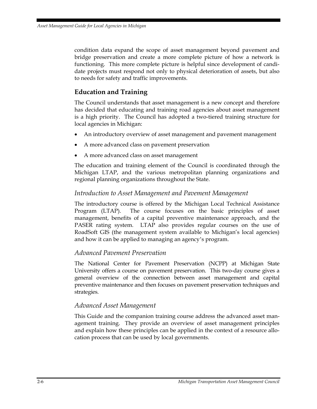condition data expand the scope of asset management beyond pavement and bridge preservation and create a more complete picture of how a network is functioning. This more complete picture is helpful since development of candidate projects must respond not only to physical deterioration of assets, but also to needs for safety and traffic improvements.

### **Education and Training**

The Council understands that asset management is a new concept and therefore has decided that educating and training road agencies about asset management is a high priority. The Council has adopted a two-tiered training structure for local agencies in Michigan:

- An introductory overview of asset management and pavement management
- A more advanced class on pavement preservation
- A more advanced class on asset management

The education and training element of the Council is coordinated through the Michigan LTAP, and the various metropolitan planning organizations and regional planning organizations throughout the State.

#### *Introduction to Asset Management and Pavement Management*

The introductory course is offered by the Michigan Local Technical Assistance Program (LTAP). The course focuses on the basic principles of asset management, benefits of a capital preventive maintenance approach, and the PASER rating system. LTAP also provides regular courses on the use of RoadSoft GIS (the management system available to Michigan's local agencies) and how it can be applied to managing an agency's program.

#### *Advanced Pavement Preservation*

The National Center for Pavement Preservation (NCPP) at Michigan State University offers a course on pavement preservation. This two-day course gives a general overview of the connection between asset management and capital preventive maintenance and then focuses on pavement preservation techniques and strategies.

#### *Advanced Asset Management*

This Guide and the companion training course address the advanced asset management training. They provide an overview of asset management principles and explain how these principles can be applied in the context of a resource allocation process that can be used by local governments.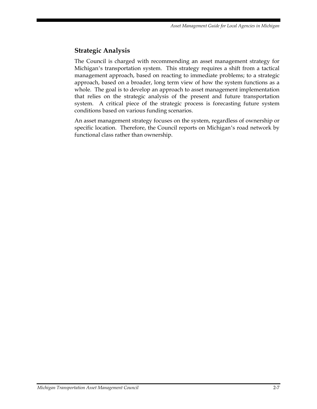### **Strategic Analysis**

The Council is charged with recommending an asset management strategy for Michigan's transportation system. This strategy requires a shift from a tactical management approach, based on reacting to immediate problems; to a strategic approach, based on a broader, long term view of how the system functions as a whole. The goal is to develop an approach to asset management implementation that relies on the strategic analysis of the present and future transportation system. A critical piece of the strategic process is forecasting future system conditions based on various funding scenarios.

An asset management strategy focuses on the system, regardless of ownership or specific location. Therefore, the Council reports on Michigan's road network by functional class rather than ownership.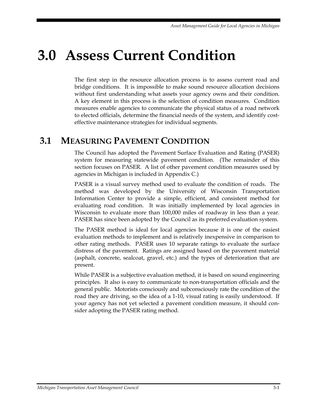# **3.0 Assess Current Condition**

The first step in the resource allocation process is to assess current road and bridge conditions. It is impossible to make sound resource allocation decisions without first understanding what assets your agency owns and their condition. A key element in this process is the selection of condition measures. Condition measures enable agencies to communicate the physical status of a road network to elected officials, determine the financial needs of the system, and identify costeffective maintenance strategies for individual segments.

## **3.1 MEASURING PAVEMENT CONDITION**

The Council has adopted the Pavement Surface Evaluation and Rating (PASER) system for measuring statewide pavement condition. (The remainder of this section focuses on PASER. A list of other pavement condition measures used by agencies in Michigan is included in Appendix C.)

PASER is a visual survey method used to evaluate the condition of roads. The method was developed by the University of Wisconsin Transportation Information Center to provide a simple, efficient, and consistent method for evaluating road condition. It was initially implemented by local agencies in Wisconsin to evaluate more than 100,000 miles of roadway in less than a year. PASER has since been adopted by the Council as its preferred evaluation system.

The PASER method is ideal for local agencies because it is one of the easiest evaluation methods to implement and is relatively inexpensive in comparison to other rating methods. PASER uses 10 separate ratings to evaluate the surface distress of the pavement. Ratings are assigned based on the pavement material (asphalt, concrete, sealcoat, gravel, etc.) and the types of deterioration that are present.

While PASER is a subjective evaluation method, it is based on sound engineering principles. It also is easy to communicate to non-transportation officials and the general public. Motorists consciously and subconsciously rate the condition of the road they are driving, so the idea of a 1-10, visual rating is easily understood. If your agency has not yet selected a pavement condition measure, it should consider adopting the PASER rating method.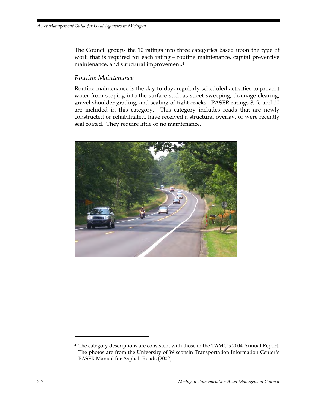The Council groups the 10 ratings into three categories based upon the type of work that is required for each rating – routine maintenance, capital preventive maintenance, and structural improvement.4

#### *Routine Maintenance*

Routine maintenance is the day-to-day, regularly scheduled activities to prevent water from seeping into the surface such as street sweeping, drainage clearing, gravel shoulder grading, and sealing of tight cracks. PASER ratings 8, 9, and 10 are included in this category. This category includes roads that are newly constructed or rehabilitated, have received a structural overlay, or were recently seal coated. They require little or no maintenance.



 $\overline{a}$ 

<sup>4</sup> The category descriptions are consistent with those in the TAMC's 2004 Annual Report. The photos are from the University of Wisconsin Transportation Information Center's PASER Manual for Asphalt Roads (2002).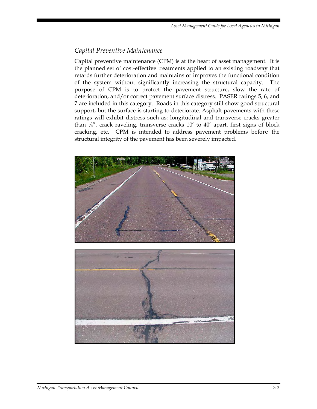### *Capital Preventive Maintenance*

Capital preventive maintenance (CPM) is at the heart of asset management. It is the planned set of cost-effective treatments applied to an existing roadway that retards further deterioration and maintains or improves the functional condition of the system without significantly increasing the structural capacity. The purpose of CPM is to protect the pavement structure, slow the rate of deterioration, and/or correct pavement surface distress. PASER ratings 5, 6, and 7 are included in this category. Roads in this category still show good structural support, but the surface is starting to deteriorate. Asphalt pavements with these ratings will exhibit distress such as: longitudinal and transverse cracks greater than  $\frac{1}{4}$ , crack raveling, transverse cracks  $10'$  to  $40'$  apart, first signs of block cracking, etc. CPM is intended to address pavement problems before the structural integrity of the pavement has been severely impacted.



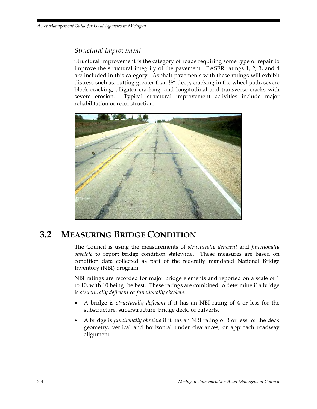### *Structural Improvement*

Structural improvement is the category of roads requiring some type of repair to improve the structural integrity of the pavement. PASER ratings 1, 2, 3, and 4 are included in this category. Asphalt pavements with these ratings will exhibit distress such as: rutting greater than  $\frac{1}{2}$ " deep, cracking in the wheel path, severe block cracking, alligator cracking, and longitudinal and transverse cracks with severe erosion. Typical structural improvement activities include major rehabilitation or reconstruction.



## **3.2 MEASURING BRIDGE CONDITION**

The Council is using the measurements of *structurally deficient* and *functionally obsolete* to report bridge condition statewide. These measures are based on condition data collected as part of the federally mandated National Bridge Inventory (NBI) program.

NBI ratings are recorded for major bridge elements and reported on a scale of 1 to 10, with 10 being the best. These ratings are combined to determine if a bridge is *structurally deficient* or *functionally obsolete*.

- A bridge is *structurally deficient* if it has an NBI rating of 4 or less for the substructure, superstructure, bridge deck, or culverts.
- A bridge is *functionally obsolete* if it has an NBI rating of 3 or less for the deck geometry, vertical and horizontal under clearances, or approach roadway alignment.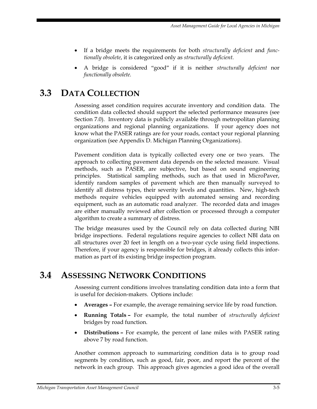*Asset Management Guide for Local Agencies in Michigan* 

- If a bridge meets the requirements for both *structurally deficient* and *functionally obsolete*, it is categorized only as *structurally deficient.*
- A bridge is considered "good" if it is neither *structurally deficient* nor *functionally obsolete.*

## **3.3 DATA COLLECTION**

Assessing asset condition requires accurate inventory and condition data. The condition data collected should support the selected performance measures (see Section 7.0). Inventory data is publicly available through metropolitan planning organizations and regional planning organizations. If your agency does not know what the PASER ratings are for your roads, contact your regional planning organization (see Appendix D. Michigan Planning Organizations).

Pavement condition data is typically collected every one or two years. The approach to collecting pavement data depends on the selected measure. Visual methods, such as PASER, are subjective, but based on sound engineering principles. Statistical sampling methods, such as that used in MicroPaver, identify random samples of pavement which are then manually surveyed to identify all distress types, their severity levels and quantities. New, high-tech methods require vehicles equipped with automated sensing and recording equipment, such as an automatic road analyzer. The recorded data and images are either manually reviewed after collection or processed through a computer algorithm to create a summary of distress.

The bridge measures used by the Council rely on data collected during NBI bridge inspections. Federal regulations require agencies to collect NBI data on all structures over 20 feet in length on a two-year cycle using field inspections. Therefore, if your agency is responsible for bridges, it already collects this information as part of its existing bridge inspection program.

## **3.4 ASSESSING NETWORK CONDITIONS**

Assessing current conditions involves translating condition data into a form that is useful for decision-makers. Options include:

- **Averages –** For example, the average remaining service life by road function.
- **Running Totals** For example, the total number of *structurally deficient* bridges by road function.
- **Distributions** For example, the percent of lane miles with PASER rating above 7 by road function.

Another common approach to summarizing condition data is to group road segments by condition, such as good, fair, poor, and report the percent of the network in each group. This approach gives agencies a good idea of the overall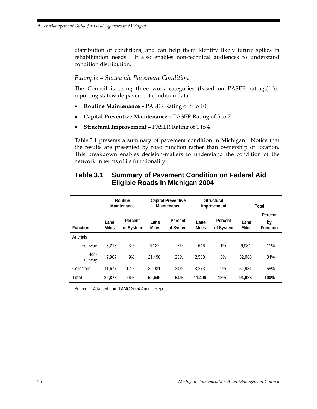distribution of conditions, and can help them identify likely future spikes in rehabilitation needs. It also enables non-technical audiences to understand condition distribution.

#### *Example – Statewide Pavement Condition*

The Council is using three work categories (based on PASER ratings) for reporting statewide pavement condition data.

- **Routine Maintenance –** PASER Rating of 8 to 10
- **Capital Preventive Maintenance** PASER Rating of 5 to 7
- **Structural Improvement –** PASER Rating of 1 to 4

Table 3.1 presents a summary of pavement condition in Michigan. Notice that the results are presented by road function rather than ownership or location. This breakdown enables decision-makers to understand the condition of the network in terms of its functionality.

|                  | Routine<br>Maintenance |                      | <b>Capital Preventive</b><br>Maintenance |                      | <b>Structural</b><br>Improvement |                      | Total                |                                  |
|------------------|------------------------|----------------------|------------------------------------------|----------------------|----------------------------------|----------------------|----------------------|----------------------------------|
| <b>Function</b>  | Lane<br><b>Miles</b>   | Percent<br>of System | Lane<br><b>Miles</b>                     | Percent<br>of System | Lane<br><b>Miles</b>             | Percent<br>of System | Lane<br><b>Miles</b> | Percent<br>by<br><b>Function</b> |
| <b>Arterials</b> |                        |                      |                                          |                      |                                  |                      |                      |                                  |
| Freeway          | 3,213                  | 3%                   | 6,122                                    | 7%                   | 646                              | 1%                   | 9.981                | 11%                              |
| Non-<br>Freeway  | 7.987                  | 9%                   | 21.496                                   | 23%                  | 2.580                            | 3%                   | 32.063               | 34%                              |
| Collectors       | 11.677                 | 12%                  | 32.031                                   | 34%                  | 8.273                            | 9%                   | 51.981               | 55%                              |
| Total            | 22.878                 | 24%                  | 59,649                                   | 64%                  | 11.499                           | 13%                  | 94,026               | 100%                             |

#### **Table 3.1 Summary of Pavement Condition on Federal Aid Eligible Roads in Michigan 2004**

Source: Adapted from TAMC 2004 Annual Report.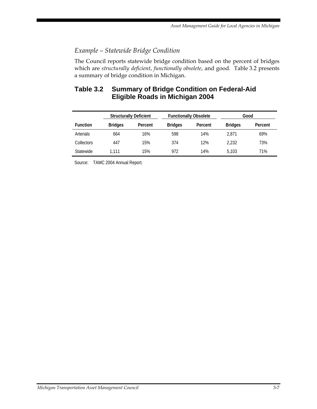### *Example – Statewide Bridge Condition*

The Council reports statewide bridge condition based on the percent of bridges which are *structurally deficient*, *functionally obsolete*, and good. Table 3.2 presents a summary of bridge condition in Michigan.

### **Table 3.2 Summary of Bridge Condition on Federal-Aid Eligible Roads in Michigan 2004**

|                  | <b>Structurally Deficient</b> |         |                | <b>Functionally Obsolete</b> | Good           |         |
|------------------|-------------------------------|---------|----------------|------------------------------|----------------|---------|
| <b>Function</b>  | <b>Bridges</b>                | Percent | <b>Bridges</b> | Percent                      | <b>Bridges</b> | Percent |
| <b>Arterials</b> | 664                           | 16%     | 598            | 14%                          | 2.871          | 69%     |
| Collectors       | 447                           | 15%     | 374            | 12%                          | 2.232          | 73%     |
| <b>Statewide</b> | 1.111                         | 15%     | 972            | 14%                          | 5.103          | 71%     |

Source: TAMC 2004 Annual Report.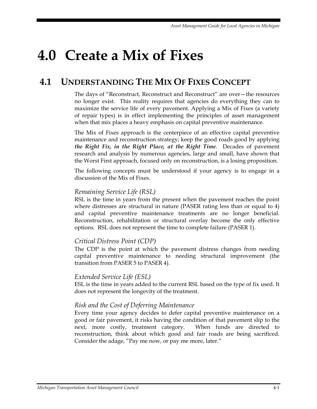# **4.0 Create a Mix of Fixes**

# **4.1 UNDERSTANDING THE MIX OF FIXES CONCEPT**

The days of "Reconstruct, Reconstruct and Reconstruct" are over—the resources no longer exist. This reality requires that agencies do everything they can to maximize the service life of every pavement. Applying a Mix of Fixes (a variety of repair types) is in effect implementing the principles of asset management when that mix places a heavy emphasis on capital preventive maintenance.

The Mix of Fixes approach is the centerpiece of an effective capital preventive maintenance and reconstruction strategy; keep the good roads good by applying *the Right Fix, in the Right Place, at the Right Time*. Decades of pavement research and analysis by numerous agencies, large and small, have shown that the Worst First approach, focused only on reconstruction, is a losing proposition.

The following concepts must be understood if your agency is to engage in a discussion of the Mix of Fixes.

#### *Remaining Service Life (RSL)*

RSL is the time in years from the present when the pavement reaches the point where distresses are structural in nature (PASER rating less than or equal to 4) and capital preventive maintenance treatments are no longer beneficial. Reconstruction, rehabilitation or structural overlay become the only effective options. RSL does not represent the time to complete failure (PASER 1).

#### *Critical Distress Point (CDP)*

The CDP is the point at which the pavement distress changes from needing capital preventive maintenance to needing structural improvement (the transition from PASER 5 to PASER 4).

#### *Extended Service Life (ESL)*

ESL is the time in years added to the current RSL based on the type of fix used. It does not represent the longevity of the treatment.

#### *Risk and the Cost of Deferring Maintenance*

Every time your agency decides to defer capital preventive maintenance on a good or fair pavement, it risks having the condition of that pavement slip to the next, more costly, treatment category. When funds are directed to reconstruction, think about which good and fair roads are being sacrificed. Consider the adage, "Pay me now, or pay me more, later."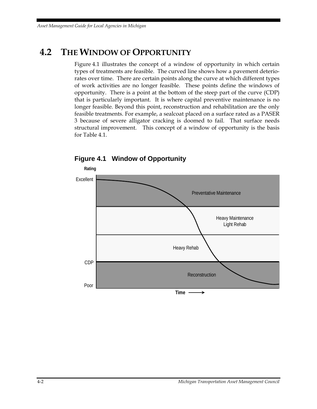# **4.2 THE WINDOW OF OPPORTUNITY**

Figure 4.1 illustrates the concept of a window of opportunity in which certain types of treatments are feasible. The curved line shows how a pavement deteriorates over time. There are certain points along the curve at which different types of work activities are no longer feasible. These points define the windows of opportunity. There is a point at the bottom of the steep part of the curve (CDP) that is particularly important. It is where capital preventive maintenance is no longer feasible. Beyond this point, reconstruction and rehabilitation are the only feasible treatments. For example, a sealcoat placed on a surface rated as a PASER 3 because of severe alligator cracking is doomed to fail. That surface needs structural improvement. This concept of a window of opportunity is the basis for Table 4.1.



**Figure 4.1 Window of Opportunity**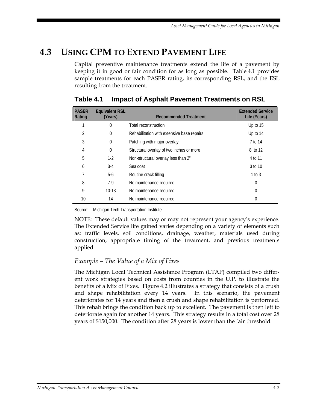# **4.3 USING CPM TO EXTEND PAVEMENT LIFE**

Capital preventive maintenance treatments extend the life of a pavement by keeping it in good or fair condition for as long as possible. Table 4.1 provides sample treatments for each PASER rating, its corresponding RSL, and the ESL resulting from the treatment.

| <b>PASER</b><br>Rating | <b>Equivalent RSL</b><br>(Years) | <b>Recommended Treatment</b>               | <b>Extended Service</b><br>Life (Years) |
|------------------------|----------------------------------|--------------------------------------------|-----------------------------------------|
|                        | $\mathbf 0$                      | Total reconstruction                       | Up to 15                                |
| $\overline{2}$         | $\theta$                         | Rehabilitation with extensive base repairs | Up to 14                                |
| 3                      | $\mathbf 0$                      | Patching with major overlay                | 7 to 14                                 |
| 4                      | $\theta$                         | Structural overlay of two inches or more   | 8 to 12                                 |
| 5                      | $1-2$                            | Non-structural overlay less than 2"        | 4 to 11                                 |
| 6                      | $3-4$                            | Sealcoat                                   | 3 to 10                                 |
|                        | $5-6$                            | Routine crack filling                      | $1$ to $3$                              |
| 8                      | 7-9                              | No maintenance required                    | 0                                       |
| 9                      | $10-13$                          | No maintenance required                    | 0                                       |
| 10                     | 14                               | No maintenance required                    | 0                                       |

### **Table 4.1 Impact of Asphalt Pavement Treatments on RSL**

Source: Michigan Tech Transportation Institute

NOTE: These default values may or may not represent your agency's experience. The Extended Service life gained varies depending on a variety of elements such as: traffic levels, soil conditions, drainage, weather, materials used during construction, appropriate timing of the treatment, and previous treatments applied.

#### *Example – The Value of a Mix of Fixes*

The Michigan Local Technical Assistance Program (LTAP) compiled two different work strategies based on costs from counties in the U.P. to illustrate the benefits of a Mix of Fixes. Figure 4.2 illustrates a strategy that consists of a crush and shape rehabilitation every 14 years. In this scenario, the pavement deteriorates for 14 years and then a crush and shape rehabilitation is performed. This rehab brings the condition back up to excellent. The pavement is then left to deteriorate again for another 14 years. This strategy results in a total cost over 28 years of \$150,000. The condition after 28 years is lower than the fair threshold.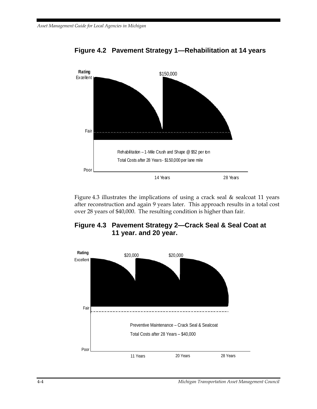

### **Figure 4.2 Pavement Strategy 1—Rehabilitation at 14 years**

Figure 4.3 illustrates the implications of using a crack seal & sealcoat 11 years after reconstruction and again 9 years later. This approach results in a total cost over 28 years of \$40,000. The resulting condition is higher than fair.



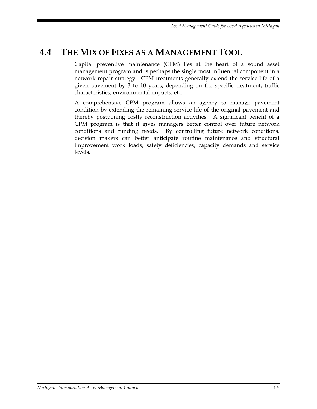# **4.4 THE MIX OF FIXES AS A MANAGEMENT TOOL**

Capital preventive maintenance (CPM) lies at the heart of a sound asset management program and is perhaps the single most influential component in a network repair strategy. CPM treatments generally extend the service life of a given pavement by 3 to 10 years, depending on the specific treatment, traffic characteristics, environmental impacts, etc.

A comprehensive CPM program allows an agency to manage pavement condition by extending the remaining service life of the original pavement and thereby postponing costly reconstruction activities. A significant benefit of a CPM program is that it gives managers better control over future network conditions and funding needs. By controlling future network conditions, decision makers can better anticipate routine maintenance and structural improvement work loads, safety deficiencies, capacity demands and service levels.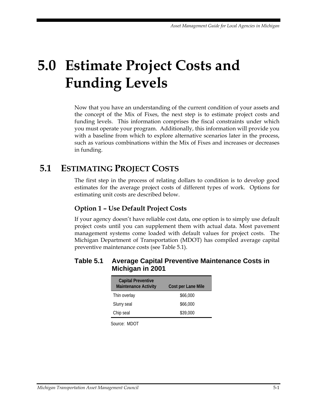# **5.0 Estimate Project Costs and Funding Levels**

Now that you have an understanding of the current condition of your assets and the concept of the Mix of Fixes, the next step is to estimate project costs and funding levels. This information comprises the fiscal constraints under which you must operate your program. Additionally, this information will provide you with a baseline from which to explore alternative scenarios later in the process, such as various combinations within the Mix of Fixes and increases or decreases in funding.

# **5.1 ESTIMATING PROJECT COSTS**

The first step in the process of relating dollars to condition is to develop good estimates for the average project costs of different types of work. Options for estimating unit costs are described below.

## **Option 1 – Use Default Project Costs**

If your agency doesn't have reliable cost data, one option is to simply use default project costs until you can supplement them with actual data. Most pavement management systems come loaded with default values for project costs. The Michigan Department of Transportation (MDOT) has compiled average capital preventive maintenance costs (see Table 5.1).

#### **Table 5.1 Average Capital Preventive Maintenance Costs in Michigan in 2001**

| <b>Capital Preventive</b>   |                    |
|-----------------------------|--------------------|
| <b>Maintenance Activity</b> | Cost per Lane Mile |
| Thin overlay                | \$66,000           |
| Slurry seal                 | \$66,000           |
| Chip seal                   | \$39,000           |
|                             |                    |

Source: MDOT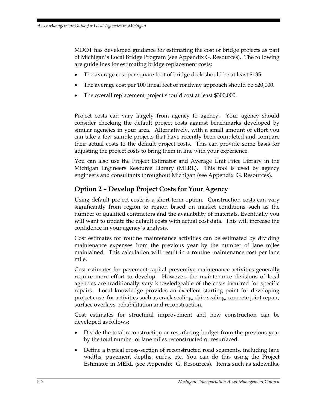MDOT has developed guidance for estimating the cost of bridge projects as part of Michigan's Local Bridge Program (see Appendix G. Resources). The following are guidelines for estimating bridge replacement costs:

- The average cost per square foot of bridge deck should be at least \$135.
- The average cost per 100 lineal feet of roadway approach should be \$20,000.
- The overall replacement project should cost at least \$300,000.

Project costs can vary largely from agency to agency. Your agency should consider checking the default project costs against benchmarks developed by similar agencies in your area. Alternatively, with a small amount of effort you can take a few sample projects that have recently been completed and compare their actual costs to the default project costs. This can provide some basis for adjusting the project costs to bring them in line with your experience.

You can also use the Project Estimator and Average Unit Price Library in the Michigan Engineers Resource Library (MERL). This tool is used by agency engineers and consultants throughout Michigan (see Appendix G. Resources).

#### **Option 2 – Develop Project Costs for Your Agency**

Using default project costs is a short-term option. Construction costs can vary significantly from region to region based on market conditions such as the number of qualified contractors and the availability of materials. Eventually you will want to update the default costs with actual cost data. This will increase the confidence in your agency's analysis.

Cost estimates for routine maintenance activities can be estimated by dividing maintenance expenses from the previous year by the number of lane miles maintained. This calculation will result in a routine maintenance cost per lane mile.

Cost estimates for pavement capital preventive maintenance activities generally require more effort to develop. However, the maintenance divisions of local agencies are traditionally very knowledgeable of the costs incurred for specific repairs. Local knowledge provides an excellent starting point for developing project costs for activities such as crack sealing, chip sealing, concrete joint repair, surface overlays, rehabilitation and reconstruction.

Cost estimates for structural improvement and new construction can be developed as follows:

- Divide the total reconstruction or resurfacing budget from the previous year by the total number of lane miles reconstructed or resurfaced.
- Define a typical cross-section of reconstructed road segments, including lane widths, pavement depths, curbs, etc. You can do this using the Project Estimator in MERL (see Appendix G. Resources). Items such as sidewalks,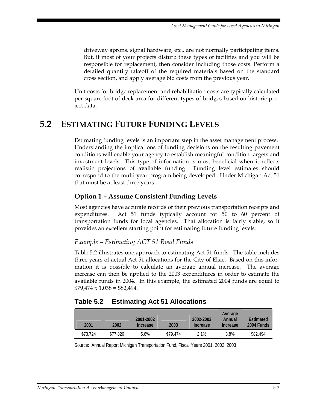driveway aprons, signal hardware, etc., are not normally participating items. But, if most of your projects disturb these types of facilities and you will be responsible for replacement, then consider including those costs. Perform a detailed quantity takeoff of the required materials based on the standard cross section, and apply average bid costs from the previous year.

Unit costs for bridge replacement and rehabilitation costs are typically calculated per square foot of deck area for different types of bridges based on historic project data.

# **5.2 ESTIMATING FUTURE FUNDING LEVELS**

Estimating funding levels is an important step in the asset management process. Understanding the implications of funding decisions on the resulting pavement conditions will enable your agency to establish meaningful condition targets and investment levels. This type of information is most beneficial when it reflects realistic projections of available funding. Funding level estimates should correspond to the multi-year program being developed. Under Michigan Act 51 that must be at least three years.

## **Option 1 – Assume Consistent Funding Levels**

Most agencies have accurate records of their previous transportation receipts and expenditures. Act 51 funds typically account for 50 to 60 percent of transportation funds for local agencies. That allocation is fairly stable, so it provides an excellent starting point for estimating future funding levels.

#### *Example – Estimating ACT 51 Road Funds*

Table 5.2 illustrates one approach to estimating Act 51 funds. The table includes three years of actual Act 51 allocations for the City of Elsie. Based on this information it is possible to calculate an average annual increase. The average increase can then be applied to the 2003 expenditures in order to estimate the available funds in 2004. In this example, the estimated 2004 funds are equal to  $$79,474 \times 1.038 = $82,494.$ 

## **Table 5.2 Estimating Act 51 Allocations**

| 2001     | 2002     | 2001-2002<br>Increase | 2003     | 2002-2003<br>Increase | Average<br>Annual<br>Increase | Estimated<br>2004 Funds |
|----------|----------|-----------------------|----------|-----------------------|-------------------------------|-------------------------|
| \$73.724 | \$77,826 | 5.6%                  | \$79.474 | 2.1%                  | 3.8%                          | \$82,494                |

Source: Annual Report Michigan Transportation Fund, Fiscal Years 2001, 2002, 2003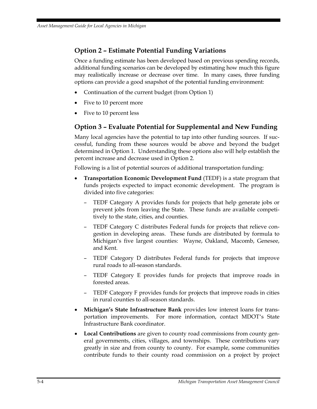## **Option 2 – Estimate Potential Funding Variations**

Once a funding estimate has been developed based on previous spending records, additional funding scenarios can be developed by estimating how much this figure may realistically increase or decrease over time. In many cases, three funding options can provide a good snapshot of the potential funding environment:

- Continuation of the current budget (from Option 1)
- Five to 10 percent more
- Five to 10 percent less

## **Option 3 – Evaluate Potential for Supplemental and New Funding**

Many local agencies have the potential to tap into other funding sources. If successful, funding from these sources would be above and beyond the budget determined in Option 1. Understanding these options also will help establish the percent increase and decrease used in Option 2.

Following is a list of potential sources of additional transportation funding:

- **Transportation Economic Development Fund** (TEDF) is a state program that funds projects expected to impact economic development. The program is divided into five categories:
	- TEDF Category A provides funds for projects that help generate jobs or prevent jobs from leaving the State. These funds are available competitively to the state, cities, and counties.
	- TEDF Category C distributes Federal funds for projects that relieve congestion in developing areas. These funds are distributed by formula to Michigan's five largest counties: Wayne, Oakland, Macomb, Genesee, and Kent.
	- TEDF Category D distributes Federal funds for projects that improve rural roads to all-season standards.
	- TEDF Category E provides funds for projects that improve roads in forested areas.
	- TEDF Category F provides funds for projects that improve roads in cities in rural counties to all-season standards.
- **Michigan's State Infrastructure Bank** provides low interest loans for transportation improvements. For more information, contact MDOT's State Infrastructure Bank coordinator.
- **Local Contributions** are given to county road commissions from county general governments, cities, villages, and townships. These contributions vary greatly in size and from county to county. For example, some communities contribute funds to their county road commission on a project by project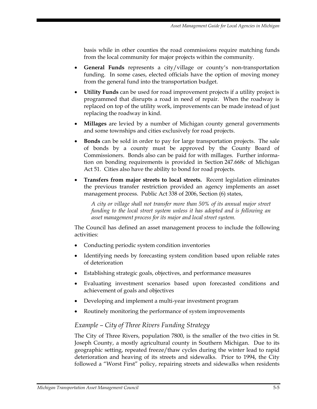basis while in other counties the road commissions require matching funds from the local community for major projects within the community.

- **General Funds** represents a city/village or county's non-transportation funding. In some cases, elected officials have the option of moving money from the general fund into the transportation budget.
- **Utility Funds** can be used for road improvement projects if a utility project is programmed that disrupts a road in need of repair. When the roadway is replaced on top of the utility work, improvements can be made instead of just replacing the roadway in kind.
- **Millages** are levied by a number of Michigan county general governments and some townships and cities exclusively for road projects.
- **Bonds** can be sold in order to pay for large transportation projects. The sale of bonds by a county must be approved by the County Board of Commissioners. Bonds also can be paid for with millages. Further information on bonding requirements is provided in Section 247.668c of Michigan Act 51. Cities also have the ability to bond for road projects.
- **Transfers from major streets to local streets.** Recent legislation eliminates the previous transfer restriction provided an agency implements an asset management process. Public Act 338 of 2006, Section (6) states,

*A city or village shall not transfer more than 50% of its annual major street funding to the local street system unless it has adopted and is following an asset management process for its major and local street system.* 

The Council has defined an asset management process to include the following activities:

- Conducting periodic system condition inventories
- Identifying needs by forecasting system condition based upon reliable rates of deterioration
- Establishing strategic goals, objectives, and performance measures
- Evaluating investment scenarios based upon forecasted conditions and achievement of goals and objectives
- Developing and implement a multi-year investment program
- Routinely monitoring the performance of system improvements

#### *Example – City of Three Rivers Funding Strategy*

The City of Three Rivers, population 7800, is the smaller of the two cities in St. Joseph County, a mostly agricultural county in Southern Michigan. Due to its geographic setting, repeated freeze/thaw cycles during the winter lead to rapid deterioration and heaving of its streets and sidewalks. Prior to 1994, the City followed a "Worst First" policy, repairing streets and sidewalks when residents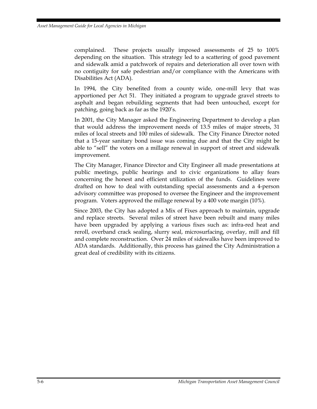complained. These projects usually imposed assessments of 25 to 100% depending on the situation. This strategy led to a scattering of good pavement and sidewalk amid a patchwork of repairs and deterioration all over town with no contiguity for safe pedestrian and/or compliance with the Americans with Disabilities Act (ADA).

In 1994, the City benefited from a county wide, one-mill levy that was apportioned per Act 51. They initiated a program to upgrade gravel streets to asphalt and began rebuilding segments that had been untouched, except for patching, going back as far as the 1920's.

In 2001, the City Manager asked the Engineering Department to develop a plan that would address the improvement needs of 13.5 miles of major streets, 31 miles of local streets and 100 miles of sidewalk. The City Finance Director noted that a 15-year sanitary bond issue was coming due and that the City might be able to "sell" the voters on a millage renewal in support of street and sidewalk improvement.

The City Manager, Finance Director and City Engineer all made presentations at public meetings, public hearings and to civic organizations to allay fears concerning the honest and efficient utilization of the funds. Guidelines were drafted on how to deal with outstanding special assessments and a 4-person advisory committee was proposed to oversee the Engineer and the improvement program. Voters approved the millage renewal by a 400 vote margin (10%).

Since 2003, the City has adopted a Mix of Fixes approach to maintain, upgrade and replace streets. Several miles of street have been rebuilt and many miles have been upgraded by applying a various fixes such as: infra-red heat and reroll, overband crack sealing, slurry seal, microsurfacing, overlay, mill and fill and complete reconstruction. Over 24 miles of sidewalks have been improved to ADA standards. Additionally, this process has gained the City Administration a great deal of credibility with its citizens.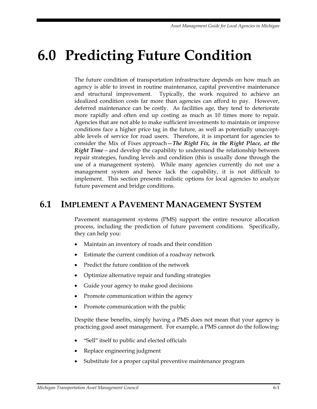# **6.0 Predicting Future Condition**

The future condition of transportation infrastructure depends on how much an agency is able to invest in routine maintenance, capital preventive maintenance and structural improvement. Typically, the work required to achieve an idealized condition costs far more than agencies can afford to pay. However, deferred maintenance can be costly. As facilities age, they tend to deteriorate more rapidly and often end up costing as much as 10 times more to repair. Agencies that are not able to make sufficient investments to maintain or improve conditions face a higher price tag in the future, as well as potentially unacceptable levels of service for road users. Therefore, it is important for agencies to consider the Mix of Fixes approach—*The Right Fix, in the Right Place, at the Right Time—*and develop the capability to understand the relationship between repair strategies, funding levels and condition (this is usually done through the use of a management system). While many agencies currently do not use a management system and hence lack the capability, it is not difficult to implement. This section presents realistic options for local agencies to analyze future pavement and bridge conditions.

# **6.1 IMPLEMENT A PAVEMENT MANAGEMENT SYSTEM**

Pavement management systems (PMS) support the entire resource allocation process, including the prediction of future pavement conditions. Specifically, they can help you:

- Maintain an inventory of roads and their condition
- Estimate the current condition of a roadway network
- Predict the future condition of the network
- Optimize alternative repair and funding strategies
- Guide your agency to make good decisions
- Promote communication within the agency
- Promote communication with the public

Despite these benefits, simply having a PMS does not mean that your agency is practicing good asset management. For example, a PMS cannot do the following:

- "Sell" itself to public and elected officials
- Replace engineering judgment
- Substitute for a proper capital preventive maintenance program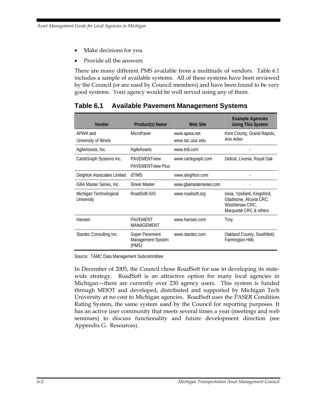- Make decisions for you
- Provide all the answers

There are many different PMS available from a multitude of vendors. Table 6.1 includes a sample of available systems. All of these systems have been reviewed by the Council (or are used by Council members) and have been found to be very good systems. Your agency would be well served using any of them.

| Vendor                               | Product(s) Name                                 | Web Site                         | <b>Example Agencies</b><br><b>Using This System</b>                                                |
|--------------------------------------|-------------------------------------------------|----------------------------------|----------------------------------------------------------------------------------------------------|
| APWA and<br>University of Illinois   | MicroPaver                                      | www.apwa.net<br>www.tac.uiuc.edu | Kent County, Grand Rapids,<br>Ann Arbor                                                            |
| AgileAssets, Inc.                    | AgileAssets                                     | www.trdi.com                     |                                                                                                    |
| CartéGraph Systems Inc.              | <b>PAVEMENTview</b><br><b>PAVEMENTview Plus</b> | www.cartegraph.com               | Detroit, Livonia, Royal Oak                                                                        |
| Deighton Associates Limited          | dTIMS                                           | www.deighton.com                 |                                                                                                    |
| GBA Master Series, Inc.              | <b>Street Master</b>                            | www.gbamasterseries.com          |                                                                                                    |
| Michigan Technological<br>University | RoadSoft-GIS                                    | www.roadsoft.org                 | Ionia, Ypsilanti, Kingsford,<br>Gladstone, Alcona CRC,<br>Washtenaw CRC.<br>Marquette CRC & others |
| Hansen                               | <b>PAVEMENT</b><br>MANAGEMENT                   | www.hansen.com                   | Troy                                                                                               |
| Stantec Consulting Inc.              | Super Pavement<br>Management System<br>(PMS)    | www.stantec.com                  | Oakland County, Southfield,<br><b>Farmington Hills</b>                                             |

## **Table 6.1 Available Pavement Management Systems**

Source: TAMC Data Management Subcommittee

In December of 2005, the Council chose RoadSoft for use in developing its statewide strategy. RoadSoft is an attractive option for many local agencies in Michigan—there are currently over 230 agency users. This system is funded through MDOT and developed, distributed and supported by Michigan Tech University at no cost to Michigan agencies. RoadSoft uses the PASER Condition Rating System, the same system used by the Council for reporting purposes. It has an active user community that meets several times a year (meetings and web seminars) to discuss functionality and future development direction (see Appendix G. Resources).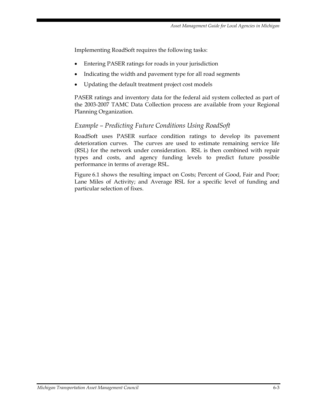Implementing RoadSoft requires the following tasks:

- Entering PASER ratings for roads in your jurisdiction
- Indicating the width and pavement type for all road segments
- Updating the default treatment project cost models

PASER ratings and inventory data for the federal aid system collected as part of the 2003-2007 TAMC Data Collection process are available from your Regional Planning Organization.

#### *Example – Predicting Future Conditions Using RoadSoft*

RoadSoft uses PASER surface condition ratings to develop its pavement deterioration curves. The curves are used to estimate remaining service life (RSL) for the network under consideration. RSL is then combined with repair types and costs, and agency funding levels to predict future possible performance in terms of average RSL.

Figure 6.1 shows the resulting impact on Costs; Percent of Good, Fair and Poor; Lane Miles of Activity; and Average RSL for a specific level of funding and particular selection of fixes.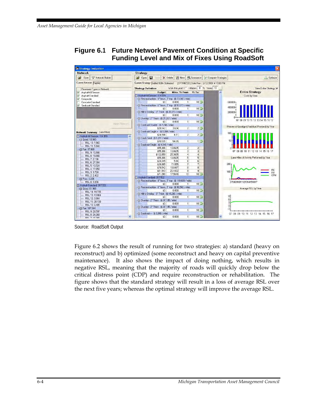

| <b><i><u><b>En Strategy Evaluation</b></u></i></b> |                                                                                                                   |                                                   |
|----------------------------------------------------|-------------------------------------------------------------------------------------------------------------------|---------------------------------------------------|
| <b>Network</b>                                     | <b>Strategy</b>                                                                                                   |                                                   |
| $\mathbb{R}$<br>V Network Builder<br>Open          | <b>p</b> <sup>2</sup> Open<br>省 New<br><b>Q</b> Summarize<br><b>A</b> Compare Strategies<br>Ы<br>X Delete<br>Save | <b>Data</b> Optimize                              |
| Current Network FedAid                             | Current Strategy FedAid 500k Optimized<br>[OPTIMIZED] Date Run: 3/12/2007 4:10:00 PM                              |                                                   |
|                                                    | Work this year?   Inflation 0 % Years 10                                                                          | View Entire Strategy IV                           |
| Pavement Types in Network                          | <b>Strategy Definition</b>                                                                                        |                                                   |
| Asphalt-All Season<br>⊽                            | <b>Budget</b><br>Miles Yr From Yr To                                                                              | <b>Entire Strategy</b><br>$\hat{\phantom{a}}$     |
| Asphalt-Standard<br>⊽                              | Asphalt-All Season: 114.974                                                                                       | Costs by Year                                     |
| ⊽<br>Composite                                     | - El Reconstruction - 9" base, 3" top - (\$ 73,040 / mile)<br>0.000<br>10 <sup>5</sup><br>\$0                     |                                                   |
| Concrete-Standard<br>⊽                             | $\blacksquare$<br>- El Reconstruction - 6" base, 3" top - (\$ 53,973 / mile)                                      | 600000T                                           |
| Sealcoat-Standard                                  | 10 <sup>5</sup><br>\$0<br>0.000<br>$\mathbf{1}$                                                                   | 400000                                            |
|                                                    | -El Mill & Overlay - 3" Thick - (\$ 31,973 / mile)                                                                |                                                   |
|                                                    | 1<br>10 <sub>5</sub><br>n nnn<br>\$0                                                                              | 200000                                            |
|                                                    | -El Overlay - 2" Thick - (\$ 21,267 / mile)                                                                       |                                                   |
|                                                    | 10 <sub>5</sub><br>\$0<br>0.000<br>1                                                                              | 07 08 09 10 11 12 13 14 15 16 17                  |
| Apply Filters =>                                   | -El Sealcoat Double - (\$ 7,744 / mile)                                                                           |                                                   |
|                                                    | $\overline{2}$<br>25<br>\$28,142<br>3.634                                                                         | Percent of Good(grn) Fair(blue) Poor(red) by Year |
|                                                    | -El Sealcoat Single + - (\$ 5,984 / mile)                                                                         |                                                   |
| <b>Network Summary</b> (Lane Miles)                | 25<br>$\overline{2}$<br>\$24,594<br>4.11                                                                          | 100                                               |
| FI Asphalt-All Season: 114.974                     | $\hat{\phantom{a}}$<br>-- Crack Seal - (\$1,291 / mile)                                                           |                                                   |
| FI Good: 13.900                                    | 15<br>\$70,535<br>54.65<br>11                                                                                     | 50                                                |
| - RSL 13: 7.960                                    | Gealcoat Single - (\$4,048 / mile)                                                                                |                                                   |
| RSL 11: 5.940                                      | $\overline{2}$<br>$\overline{2}$<br>13.6625<br>\$55,306                                                           |                                                   |
| 日 Fair: 97.868                                     | $\overline{3}$<br>$\overline{3}$<br>\$55,306<br>13.6625                                                           | 07 08 09 10 11 12 13 14 15 16 17                  |
| RSL 9: 13.986                                      | \$102,659<br>25,3605<br>$\overline{4}$<br>$\overline{4}$                                                          |                                                   |
| RSL 8: 19.866                                      | 5 <sub>5</sub><br>5 <sup>1</sup><br>\$55,306<br>13.6625                                                           | Lane Miles of Activity Performed by Year          |
| RSL 7: 2.136                                       | $\overline{6}$<br>$\overline{6}$<br>5.94<br>\$24,045                                                              |                                                   |
| RSL 6: 27.384                                      | 7.1355<br>$\overline{7}$<br>$\overline{7}$<br>\$28,885                                                            | 200                                               |
| RSL 5: 10.524                                      | $\overline{8}$<br>$\overline{8}$<br>19.6497<br>\$79,542                                                           |                                                   |
| RSL 4: 17.850                                      | $\overline{9}$<br>$\overline{9}$<br>\$81,540<br>20.1432                                                           | RC<br>100                                         |
| RSL 3: 3.720                                       | \$71,090<br>17.5618<br>10 <sup>1</sup><br>10 <sup>5</sup>                                                         | <b>RH</b><br>CPM                                  |
| RSL 2: 2.402                                       | Asphalt-Standard: 317.522                                                                                         |                                                   |
| FI Poor: 3.206<br>RSL 0: 3.206                     | -El Reconstruction - 9" base, 3" top - (\$ 119,680 / mile)                                                        |                                                   |
|                                                    | 0.000<br>$10 -$<br>\$0<br>11                                                                                      | 0708091011121314151617                            |
| FJ Asphalt-Standard: 317.522                       | El Reconstruction - 6" base, 3" top - (\$ 98,560 / mile)                                                          | Average RSL by Year                               |
| -El Good: 61.968                                   | 10 <sup>5</sup><br>0.000<br>\$0<br>1                                                                              |                                                   |
| RSL 14: 19.735<br>RSL 13: 13.064                   | -- Mill & Overlay - 3" Thick - (\$49,280 / mile)                                                                  |                                                   |
| RSL 12: 0.664                                      | \$0<br>0.000<br>11<br>10 <sub>5</sub>                                                                             | $\frac{9}{6}$<br>$\frac{6}{3}$                    |
| RSL 11: 28.100                                     | -- Dverlay - 2" Thick - (\$37,195 / mile)                                                                         |                                                   |
| RSL 10: 0.405                                      | \$0<br>0.000<br>11<br>10 <sup>5</sup>                                                                             |                                                   |
| Fi Fair: 187,944                                   | -El Dverlay - 3" Thick - (\$37,195 / mile)                                                                        | 0 <sup>†</sup>                                    |
| RSL 9: 28.597                                      | 10 <sub>5</sub><br>0.000<br>11<br>\$0                                                                             | -3‡                                               |
| RSL 8: 24.268                                      | - Sealcoat + - (\$ 3,989 / mile)                                                                                  | 07 08 09 10 11 12 13 14 15 16 17                  |
| DCI 7-15-700                                       | 1<br>10 <sub>5</sub><br>0.000<br>\$0                                                                              | $\overline{\mathbf{v}}$                           |

Source: RoadSoft Output

Figure 6.2 shows the result of running for two strategies: a) standard (heavy on reconstruct) and b) optimized (some reconstruct and heavy on capital preventive maintenance). It also shows the impact of doing nothing, which results in negative RSL, meaning that the majority of roads will quickly drop below the critical distress point (CDP) and require reconstruction or rehabilitation. The figure shows that the standard strategy will result in a loss of average RSL over the next five years; whereas the optimal strategy will improve the average RSL.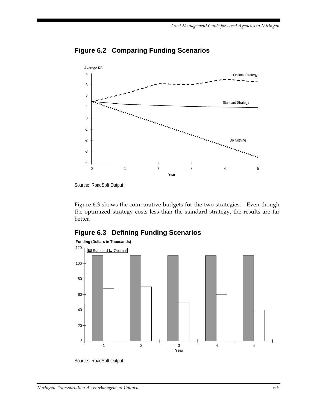

## **Figure 6.2 Comparing Funding Scenarios**

Figure 6.3 shows the comparative budgets for the two strategies. Even though the optimized strategy costs less than the standard strategy, the results are far better.

## **Figure 6.3 Defining Funding Scenarios**



Source: RoadSoft Output

Source: RoadSoft Output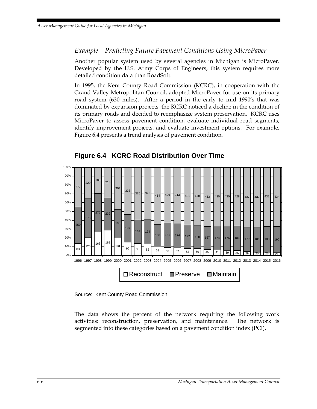#### *Example—Predicting Future Pavement Conditions Using MicroPaver*

Another popular system used by several agencies in Michigan is MicroPaver. Developed by the U.S. Army Corps of Engineers, this system requires more detailed condition data than RoadSoft.

In 1995, the Kent County Road Commission (KCRC), in cooperation with the Grand Valley Metropolitan Council, adopted MicroPaver for use on its primary road system (630 miles). After a period in the early to mid 1990's that was dominated by expansion projects, the KCRC noticed a decline in the condition of its primary roads and decided to reemphasize system preservation. KCRC uses MicroPaver to assess pavement condition, evaluate individual road segments, identify improvement projects, and evaluate investment options. For example, Figure 6.4 presents a trend analysis of pavement condition.



#### **Figure 6.4 KCRC Road Distribution Over Time**

Source: Kent County Road Commission

The data shows the percent of the network requiring the following work activities: reconstruction, preservation, and maintenance. The network is segmented into these categories based on a pavement condition index (PCI).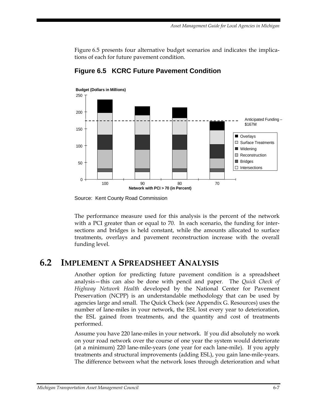Figure 6.5 presents four alternative budget scenarios and indicates the implications of each for future pavement condition.



**Figure 6.5 KCRC Future Pavement Condition** 

The performance measure used for this analysis is the percent of the network with a PCI greater than or equal to 70. In each scenario, the funding for intersections and bridges is held constant, while the amounts allocated to surface treatments, overlays and pavement reconstruction increase with the overall funding level.

# **6.2 IMPLEMENT A SPREADSHEET ANALYSIS**

Another option for predicting future pavement condition is a spreadsheet analysis—this can also be done with pencil and paper. The *Quick Check of Highway Network Health* developed by the National Center for Pavement Preservation (NCPP) is an understandable methodology that can be used by agencies large and small. The Quick Check (see Appendix G. Resources) uses the number of lane-miles in your network, the ESL lost every year to deterioration, the ESL gained from treatments, and the quantity and cost of treatments performed.

Assume you have 220 lane-miles in your network. If you did absolutely no work on your road network over the course of one year the system would deteriorate (at a minimum) 220 lane-mile-years (one year for each lane-mile). If you apply treatments and structural improvements (adding ESL), you gain lane-mile-years. The difference between what the network loses through deterioration and what

Source: Kent County Road Commission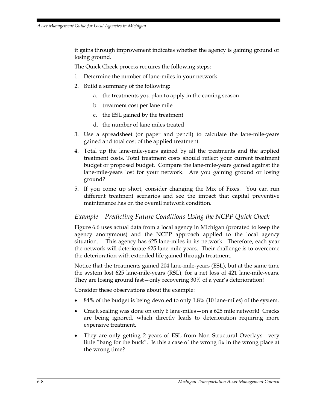it gains through improvement indicates whether the agency is gaining ground or losing ground.

The Quick Check process requires the following steps:

- 1. Determine the number of lane-miles in your network.
- 2. Build a summary of the following:
	- a. the treatments you plan to apply in the coming season
	- b. treatment cost per lane mile
	- c. the ESL gained by the treatment
	- d. the number of lane miles treated
- 3. Use a spreadsheet (or paper and pencil) to calculate the lane-mile-years gained and total cost of the applied treatment.
- 4. Total up the lane-mile-years gained by all the treatments and the applied treatment costs. Total treatment costs should reflect your current treatment budget or proposed budget. Compare the lane-mile-years gained against the lane-mile-years lost for your network. Are you gaining ground or losing ground?
- 5. If you come up short, consider changing the Mix of Fixes. You can run different treatment scenarios and see the impact that capital preventive maintenance has on the overall network condition.

#### *Example – Predicting Future Conditions Using the NCPP Quick Check*

Figure 6.6 uses actual data from a local agency in Michigan (prorated to keep the agency anonymous) and the NCPP approach applied to the local agency situation. This agency has 625 lane-miles in its network. Therefore, each year the network will deteriorate 625 lane-mile-years. Their challenge is to overcome the deterioration with extended life gained through treatment.

Notice that the treatments gained 204 lane-mile-years (ESL), but at the same time the system lost 625 lane-mile-years (RSL), for a net loss of 421 lane-mile-years. They are losing ground fast—only recovering 30% of a year's deterioration!

Consider these observations about the example:

- 84% of the budget is being devoted to only 1.8% (10 lane-miles) of the system.
- Crack sealing was done on only 6 lane-miles—on a 625 mile network! Cracks are being ignored, which directly leads to deterioration requiring more expensive treatment.
- They are only getting 2 years of ESL from Non Structural Overlays—very little "bang for the buck". Is this a case of the wrong fix in the wrong place at the wrong time?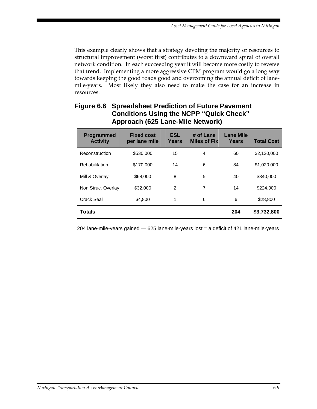This example clearly shows that a strategy devoting the majority of resources to structural improvement (worst first) contributes to a downward spiral of overall network condition. In each succeeding year it will become more costly to reverse that trend. Implementing a more aggressive CPM program would go a long way towards keeping the good roads good and overcoming the annual deficit of lanemile-years. Most likely they also need to make the case for an increase in resources.

| <b>Programmed</b><br><b>Activity</b> | <b>Fixed cost</b><br>per lane mile | <b>ESL</b><br>Years | # of Lane<br><b>Miles of Fix</b> | <b>Lane Mile</b><br>Years | <b>Total Cost</b> |
|--------------------------------------|------------------------------------|---------------------|----------------------------------|---------------------------|-------------------|
| Reconstruction                       | \$530,000                          | 15                  | 4                                | 60                        | \$2,120,000       |
| Rehabilitation                       | \$170,000                          | 14                  | 6                                | 84                        | \$1,020,000       |
| Mill & Overlay                       | \$68,000                           | 8                   | 5                                | 40                        | \$340,000         |
| Non Struc. Overlay                   | \$32,000                           | $\overline{2}$      | 7                                | 14                        | \$224,000         |
| Crack Seal                           | \$4,800                            | 1                   | 6                                | 6                         | \$28,800          |
| <b>Totals</b>                        |                                    |                     |                                  | 204                       | \$3,732,800       |

# **Figure 6.6 Spreadsheet Prediction of Future Pavement Conditions Using the NCPP "Quick Check" Approach (625 Lane-Mile Network)**

204 lane-mile-years gained — 625 lane-mile-years lost = a deficit of 421 lane-mile-years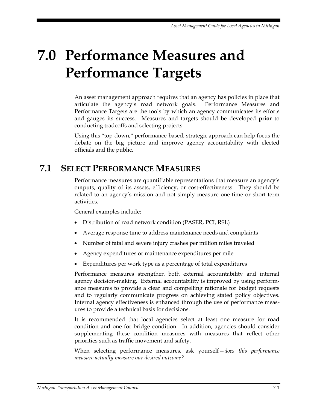# **7.0 Performance Measures and Performance Targets**

An asset management approach requires that an agency has policies in place that articulate the agency's road network goals. Performance Measures and Performance Targets are the tools by which an agency communicates its efforts and gauges its success. Measures and targets should be developed **prior** to conducting tradeoffs and selecting projects.

Using this "top-down," performance-based, strategic approach can help focus the debate on the big picture and improve agency accountability with elected officials and the public.

# **7.1 SELECT PERFORMANCE MEASURES**

Performance measures are quantifiable representations that measure an agency's outputs, quality of its assets, efficiency, or cost-effectiveness. They should be related to an agency's mission and not simply measure one-time or short-term activities.

General examples include:

- Distribution of road network condition (PASER, PCI, RSL)
- Average response time to address maintenance needs and complaints
- Number of fatal and severe injury crashes per million miles traveled
- Agency expenditures or maintenance expenditures per mile
- Expenditures per work type as a percentage of total expenditures

Performance measures strengthen both external accountability and internal agency decision-making. External accountability is improved by using performance measures to provide a clear and compelling rationale for budget requests and to regularly communicate progress on achieving stated policy objectives. Internal agency effectiveness is enhanced through the use of performance measures to provide a technical basis for decisions.

It is recommended that local agencies select at least one measure for road condition and one for bridge condition. In addition, agencies should consider supplementing these condition measures with measures that reflect other priorities such as traffic movement and safety.

When selecting performance measures, ask yourself—*does this performance measure actually measure our desired outcome?*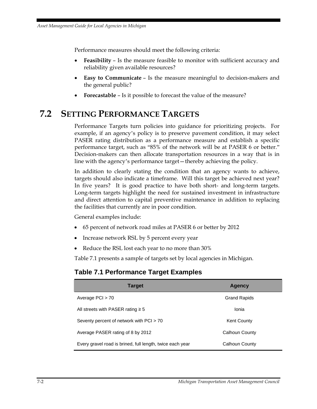Performance measures should meet the following criteria:

- **Feasibility** Is the measure feasible to monitor with sufficient accuracy and reliability given available resources?
- **Easy to Communicate** Is the measure meaningful to decision-makers and the general public?
- **Forecastable** Is it possible to forecast the value of the measure?

# **7.2 SETTING PERFORMANCE TARGETS**

Performance Targets turn policies into guidance for prioritizing projects. For example, if an agency's policy is to preserve pavement condition, it may select PASER rating distribution as a performance measure and establish a specific performance target, such as "85% of the network will be at PASER 6 or better." Decision-makers can then allocate transportation resources in a way that is in line with the agency's performance target—thereby achieving the policy.

In addition to clearly stating the condition that an agency wants to achieve, targets should also indicate a timeframe. Will this target be achieved next year? In five years? It is good practice to have both short- and long-term targets. Long-term targets highlight the need for sustained investment in infrastructure and direct attention to capital preventive maintenance in addition to replacing the facilities that currently are in poor condition.

General examples include:

- 65 percent of network road miles at PASER 6 or better by 2012
- Increase network RSL by 5 percent every year
- Reduce the RSL lost each year to no more than 30%

Table 7.1 presents a sample of targets set by local agencies in Michigan.

#### **Table 7.1 Performance Target Examples**

| <b>Target</b>                                             | <b>Agency</b>       |
|-----------------------------------------------------------|---------------------|
| Average $PCI > 70$                                        | <b>Grand Rapids</b> |
| All streets with PASER rating $\geq 5$                    | Ionia               |
| Seventy percent of network with PCI > 70                  | <b>Kent County</b>  |
| Average PASER rating of 8 by 2012                         | Calhoun County      |
| Every gravel road is brined, full length, twice each year | Calhoun County      |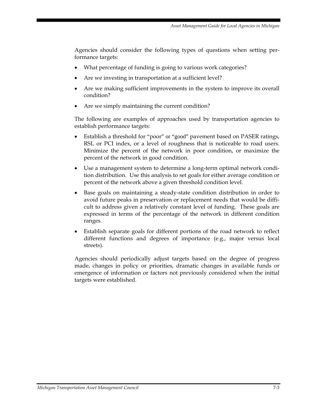Agencies should consider the following types of questions when setting performance targets:

- What percentage of funding is going to various work categories?
- Are we investing in transportation at a sufficient level?
- Are we making sufficient improvements in the system to improve its overall condition?
- Are we simply maintaining the current condition?

The following are examples of approaches used by transportation agencies to establish performance targets:

- Establish a threshold for "poor" or "good" pavement based on PASER ratings, RSL or PCI index, or a level of roughness that is noticeable to road users. Minimize the percent of the network in poor condition, or maximize the percent of the network in good condition.
- Use a management system to determine a long-term optimal network condition distribution. Use this analysis to set goals for either average condition or percent of the network above a given threshold condition level.
- Base goals on maintaining a steady-state condition distribution in order to avoid future peaks in preservation or replacement needs that would be difficult to address given a relatively constant level of funding. These goals are expressed in terms of the percentage of the network in different condition ranges.
- Establish separate goals for different portions of the road network to reflect different functions and degrees of importance (e.g., major versus local streets).

Agencies should periodically adjust targets based on the degree of progress made, changes in policy or priorities, dramatic changes in available funds or emergence of information or factors not previously considered when the initial targets were established.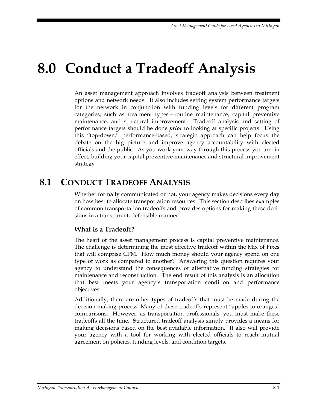# **8.0 Conduct a Tradeoff Analysis**

An asset management approach involves tradeoff analysis between treatment options and network needs. It also includes setting system performance targets for the network in conjunction with funding levels for different program categories, such as treatment types—routine maintenance, capital preventive maintenance, and structural improvement. Tradeoff analysis and setting of performance targets should be done *prior* to looking at specific projects. Using this "top-down," performance-based, strategic approach can help focus the debate on the big picture and improve agency accountability with elected officials and the public. As you work your way through this process you are, in effect, building your capital preventive maintenance and structural improvement strategy

# **8.1 CONDUCT TRADEOFF ANALYSIS**

Whether formally communicated or not, your agency makes decisions every day on how best to allocate transportation resources. This section describes examples of common transportation tradeoffs and provides options for making these decisions in a transparent, defensible manner.

# **What is a Tradeoff?**

The heart of the asset management process is capital preventive maintenance. The challenge is determining the most effective tradeoff within the Mix of Fixes that will comprise CPM. How much money should your agency spend on one type of work as compared to another? Answering this question requires your agency to understand the consequences of alternative funding strategies for maintenance and reconstruction. The end result of this analysis is an allocation that best meets your agency's transportation condition and performance objectives.

Additionally, there are other types of tradeoffs that must be made during the decision-making process. Many of these tradeoffs represent "apples to oranges" comparisons. However, as transportation professionals, you must make these tradeoffs all the time. Structured tradeoff analysis simply provides a means for making decisions based on the best available information. It also will provide your agency with a tool for working with elected officials to reach mutual agreement on policies, funding levels, and condition targets.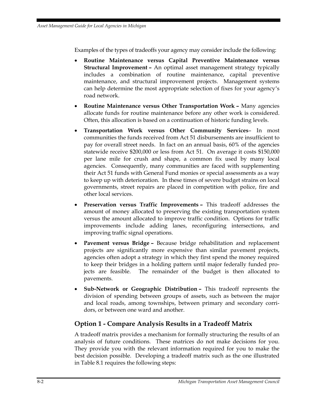Examples of the types of tradeoffs your agency may consider include the following:

- **Routine Maintenance versus Capital Preventive Maintenance versus Structural Improvement –** An optimal asset management strategy typically includes a combination of routine maintenance, capital preventive maintenance, and structural improvement projects. Management systems can help determine the most appropriate selection of fixes for your agency's road network.
- **Routine Maintenance versus Other Transportation Work** Many agencies allocate funds for routine maintenance before any other work is considered. Often, this allocation is based on a continuation of historic funding levels.
- **Transportation Work versus Other Community Services** In most communities the funds received from Act 51 disbursements are insufficient to pay for overall street needs. In fact on an annual basis, 60% of the agencies statewide receive \$200,000 or less from Act 51. On average it costs \$150,000 per lane mile for crush and shape, a common fix used by many local agencies. Consequently, many communities are faced with supplementing their Act 51 funds with General Fund monies or special assessments as a way to keep up with deterioration. In these times of severe budget strains on local governments, street repairs are placed in competition with police, fire and other local services.
- **Preservation versus Traffic Improvements** This tradeoff addresses the amount of money allocated to preserving the existing transportation system versus the amount allocated to improve traffic condition. Options for traffic improvements include adding lanes, reconfiguring intersections, and improving traffic signal operations.
- **Pavement versus Bridge –** Because bridge rehabilitation and replacement projects are significantly more expensive than similar pavement projects, agencies often adopt a strategy in which they first spend the money required to keep their bridges in a holding pattern until major federally funded projects are feasible. The remainder of the budget is then allocated to pavements.
- **Sub-Network or Geographic Distribution** This tradeoff represents the division of spending between groups of assets, such as between the major and local roads, among townships, between primary and secondary corridors, or between one ward and another.

## **Option 1 - Compare Analysis Results in a Tradeoff Matrix**

A tradeoff matrix provides a mechanism for formally structuring the results of an analysis of future conditions. These matrices do not make decisions for you. They provide you with the relevant information required for you to make the best decision possible. Developing a tradeoff matrix such as the one illustrated in Table 8.1 requires the following steps: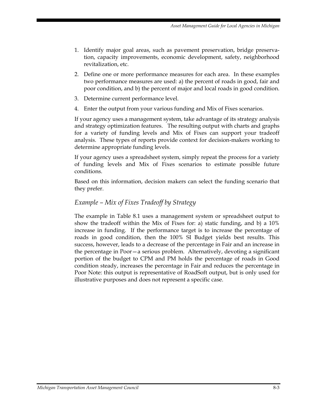- 1. Identify major goal areas, such as pavement preservation, bridge preservation, capacity improvements, economic development, safety, neighborhood revitalization, etc.
- 2. Define one or more performance measures for each area. In these examples two performance measures are used: a) the percent of roads in good, fair and poor condition, and b) the percent of major and local roads in good condition.
- 3. Determine current performance level.
- 4. Enter the output from your various funding and Mix of Fixes scenarios.

If your agency uses a management system, take advantage of its strategy analysis and strategy optimization features. The resulting output with charts and graphs for a variety of funding levels and Mix of Fixes can support your tradeoff analysis. These types of reports provide context for decision-makers working to determine appropriate funding levels.

If your agency uses a spreadsheet system, simply repeat the process for a variety of funding levels and Mix of Fixes scenarios to estimate possible future conditions.

Based on this information, decision makers can select the funding scenario that they prefer.

#### *Example – Mix of Fixes Tradeoff by Strategy*

The example in Table 8.1 uses a management system or spreadsheet output to show the tradeoff within the Mix of Fixes for: a) static funding, and b) a 10% increase in funding. If the performance target is to increase the percentage of roads in good condition, then the 100% SI Budget yields best results. This success, however, leads to a decrease of the percentage in Fair and an increase in the percentage in Poor—a serious problem. Alternatively, devoting a significant portion of the budget to CPM and PM holds the percentage of roads in Good condition steady, increases the percentage in Fair and reduces the percentage in Poor Note: this output is representative of RoadSoft output, but is only used for illustrative purposes and does not represent a specific case.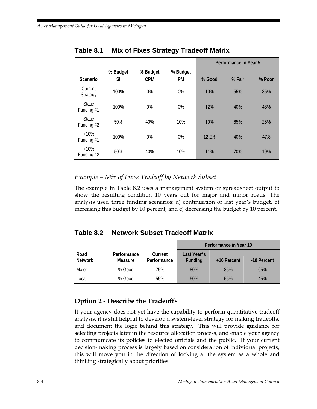|                             |          |            |           | Performance in Year 5 |        |        |
|-----------------------------|----------|------------|-----------|-----------------------|--------|--------|
|                             | % Budget | % Budget   | % Budget  |                       |        |        |
| Scenario                    | SI       | <b>CPM</b> | <b>PM</b> | % Good                | % Fair | % Poor |
| Current<br>Strategy         | 100%     | 0%         | 0%        | 10%                   | 55%    | 35%    |
| <b>Static</b><br>Funding #1 | 100%     | 0%         | $0\%$     | 12%                   | 40%    | 48%    |
| <b>Static</b><br>Funding #2 | 50%      | 40%        | 10%       | 10%                   | 65%    | 25%    |
| $+10%$<br>Funding #1        | 100%     | 0%         | $0\%$     | 12.2%                 | 40%    | 47.8   |
| $+10%$<br>Funding #2        | 50%      | 40%        | 10%       | 11%                   | 70%    | 19%    |

## **Table 8.1 Mix of Fixes Strategy Tradeoff Matrix**

## *Example – Mix of Fixes Tradeoff by Network Subset*

The example in Table 8.2 uses a management system or spreadsheet output to show the resulting condition 10 years out for major and minor roads. The analysis used three funding scenarios: a) continuation of last year's budget, b) increasing this budget by 10 percent, and c) decreasing the budget by 10 percent.

# **Table 8.2 Network Subset Tradeoff Matrix**

|                        |                        |                        | Performance in Year 10 |             |             |
|------------------------|------------------------|------------------------|------------------------|-------------|-------------|
| Road<br><b>Network</b> | Performance<br>Measure | Current<br>Performance | Last Year's<br>Funding | +10 Percent | -10 Percent |
|                        |                        |                        |                        |             |             |
| Major                  | % Good                 | 75%                    | 80%                    | 85%         | 65%         |
| Local                  | $%$ Good               | 55%                    | 50%                    | 55%         | 45%         |

# **Option 2 - Describe the Tradeoffs**

If your agency does not yet have the capability to perform quantitative tradeoff analysis, it is still helpful to develop a system-level strategy for making tradeoffs, and document the logic behind this strategy. This will provide guidance for selecting projects later in the resource allocation process, and enable your agency to communicate its policies to elected officials and the public. If your current decision-making process is largely based on consideration of individual projects, this will move you in the direction of looking at the system as a whole and thinking strategically about priorities.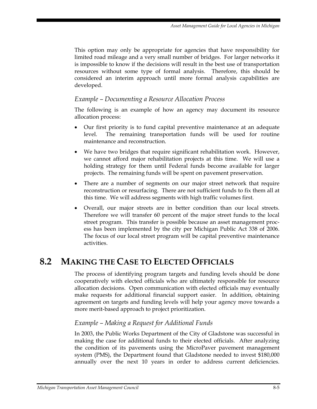This option may only be appropriate for agencies that have responsibility for limited road mileage and a very small number of bridges. For larger networks it is impossible to know if the decisions will result in the best use of transportation resources without some type of formal analysis. Therefore, this should be considered an interim approach until more formal analysis capabilities are developed.

#### *Example – Documenting a Resource Allocation Process*

The following is an example of how an agency may document its resource allocation process:

- Our first priority is to fund capital preventive maintenance at an adequate level. The remaining transportation funds will be used for routine maintenance and reconstruction.
- We have two bridges that require significant rehabilitation work. However, we cannot afford major rehabilitation projects at this time. We will use a holding strategy for them until Federal funds become available for larger projects. The remaining funds will be spent on pavement preservation.
- There are a number of segments on our major street network that require reconstruction or resurfacing. There are not sufficient funds to fix them all at this time. We will address segments with high traffic volumes first.
- Overall, our major streets are in better condition than our local streets. Therefore we will transfer 60 percent of the major street funds to the local street program. This transfer is possible because an asset management process has been implemented by the city per Michigan Public Act 338 of 2006. The focus of our local street program will be capital preventive maintenance activities.

# **8.2 MAKING THE CASE TO ELECTED OFFICIALS**

The process of identifying program targets and funding levels should be done cooperatively with elected officials who are ultimately responsible for resource allocation decisions. Open communication with elected officials may eventually make requests for additional financial support easier. In addition, obtaining agreement on targets and funding levels will help your agency move towards a more merit-based approach to project prioritization.

#### *Example – Making a Request for Additional Funds*

In 2003, the Public Works Department of the City of Gladstone was successful in making the case for additional funds to their elected officials. After analyzing the condition of its pavements using the MicroPaver pavement management system (PMS), the Department found that Gladstone needed to invest \$180,000 annually over the next 10 years in order to address current deficiencies.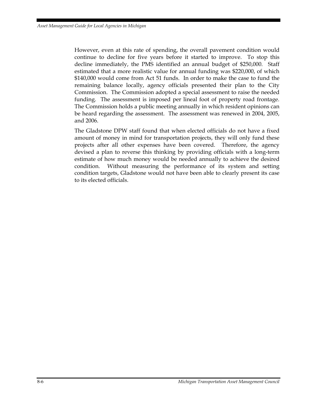However, even at this rate of spending, the overall pavement condition would continue to decline for five years before it started to improve. To stop this decline immediately, the PMS identified an annual budget of \$250,000. Staff estimated that a more realistic value for annual funding was \$220,000, of which \$140,000 would come from Act 51 funds. In order to make the case to fund the remaining balance locally, agency officials presented their plan to the City Commission. The Commission adopted a special assessment to raise the needed funding. The assessment is imposed per lineal foot of property road frontage. The Commission holds a public meeting annually in which resident opinions can be heard regarding the assessment. The assessment was renewed in 2004, 2005, and 2006.

The Gladstone DPW staff found that when elected officials do not have a fixed amount of money in mind for transportation projects, they will only fund these projects after all other expenses have been covered. Therefore, the agency devised a plan to reverse this thinking by providing officials with a long-term estimate of how much money would be needed annually to achieve the desired condition. Without measuring the performance of its system and setting condition targets, Gladstone would not have been able to clearly present its case to its elected officials.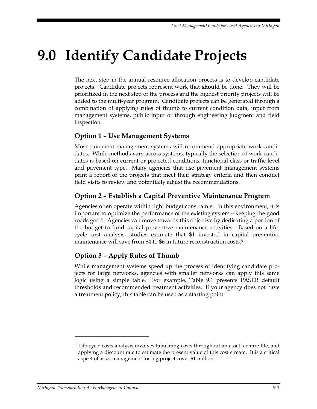# **9.0 Identify Candidate Projects**

The next step in the annual resource allocation process is to develop candidate projects. Candidate projects represent work that **should** be done. They will be prioritized in the next step of the process and the highest priority projects will be added to the multi-year program. Candidate projects can be generated through a combination of applying rules of thumb to current condition data, input from management systems, public input or through engineering judgment and field inspection.

## **Option 1 – Use Management Systems**

Most pavement management systems will recommend appropriate work candidates. While methods vary across systems, typically the selection of work candidates is based on current or projected conditions, functional class or traffic level and pavement type. Many agencies that use pavement management systems print a report of the projects that meet their strategy criteria and then conduct field visits to review and potentially adjust the recommendations.

## **Option 2 – Establish a Capital Preventive Maintenance Program**

Agencies often operate within tight budget constraints. In this environment, it is important to optimize the performance of the existing system—keeping the good roads good. Agencies can move towards this objective by dedicating a portion of the budget to fund capital preventive maintenance activities. Based on a lifecycle cost analysis, studies estimate that \$1 invested in capital preventive maintenance will save from \$4 to \$6 in future reconstruction costs.<sup>5</sup>

# **Option 3 – Apply Rules of Thumb**

While management systems speed up the process of identifying candidate projects for large networks, agencies with smaller networks can apply this same logic using a simple table. For example, Table 9.1 presents PASER default thresholds and recommended treatment activities. If your agency does not have a treatment policy, this table can be used as a starting point.

 $\overline{a}$ 

<sup>&</sup>lt;sup>5</sup> Life-cycle costs analysis involves tabulating costs throughout an asset's entire life, and applying a discount rate to estimate the present value of this cost stream. It is a critical aspect of asset management for big projects over \$1 million.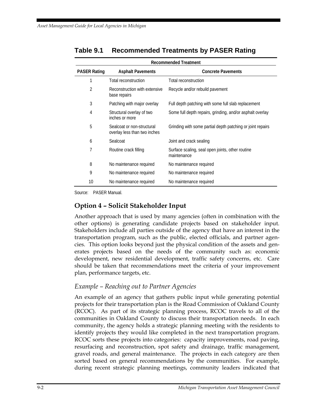| <b>PASER Rating</b> | <b>Asphalt Pavements</b>                                   | <b>Concrete Pavements</b>                                       |
|---------------------|------------------------------------------------------------|-----------------------------------------------------------------|
| 1                   | Total reconstruction                                       | Total reconstruction                                            |
| $\overline{2}$      | Reconstruction with extensive<br>base repairs              | Recycle and/or rebuild pavement                                 |
| 3                   | Patching with major overlay                                | Full depth patching with some full slab replacement             |
| 4                   | Structural overlay of two<br>inches or more                | Some full depth repairs, grinding, and/or asphalt overlay       |
| 5                   | Sealcoat or non-structural<br>overlay less than two inches | Grinding with some partial depth patching or joint repairs      |
| 6                   | Sealcoat                                                   | Joint and crack sealing                                         |
| 7                   | Routine crack filling                                      | Surface scaling, seal open joints, other routine<br>maintenance |
| 8                   | No maintenance required                                    | No maintenance required                                         |
| 9                   | No maintenance required                                    | No maintenance required                                         |
| 10                  | No maintenance required                                    | No maintenance required                                         |

# **Table 9.1 Recommended Treatments by PASER Rating**

Source: PASER Manual.

#### **Option 4 – Solicit Stakeholder Input**

Another approach that is used by many agencies (often in combination with the other options) is generating candidate projects based on stakeholder input. Stakeholders include all parties outside of the agency that have an interest in the transportation program, such as the public, elected officials, and partner agencies. This option looks beyond just the physical condition of the assets and generates projects based on the needs of the community such as: economic development, new residential development, traffic safety concerns, etc. Care should be taken that recommendations meet the criteria of your improvement plan, performance targets, etc.

#### *Example – Reaching out to Partner Agencies*

An example of an agency that gathers public input while generating potential projects for their transportation plan is the Road Commission of Oakland County (RCOC). As part of its strategic planning process, RCOC travels to all of the communities in Oakland County to discuss their transportation needs. In each community, the agency holds a strategic planning meeting with the residents to identify projects they would like completed in the next transportation program. RCOC sorts these projects into categories: capacity improvements, road paving, resurfacing and reconstruction, spot safety and drainage, traffic management, gravel roads, and general maintenance. The projects in each category are then sorted based on general recommendations by the communities. For example, during recent strategic planning meetings, community leaders indicated that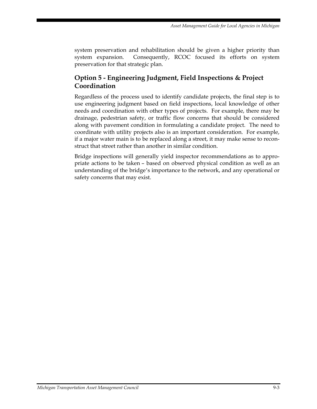system preservation and rehabilitation should be given a higher priority than system expansion. Consequently, RCOC focused its efforts on system preservation for that strategic plan.

## **Option 5 - Engineering Judgment, Field Inspections & Project Coordination**

Regardless of the process used to identify candidate projects, the final step is to use engineering judgment based on field inspections, local knowledge of other needs and coordination with other types of projects. For example, there may be drainage, pedestrian safety, or traffic flow concerns that should be considered along with pavement condition in formulating a candidate project. The need to coordinate with utility projects also is an important consideration. For example, if a major water main is to be replaced along a street, it may make sense to reconstruct that street rather than another in similar condition.

Bridge inspections will generally yield inspector recommendations as to appropriate actions to be taken – based on observed physical condition as well as an understanding of the bridge's importance to the network, and any operational or safety concerns that may exist.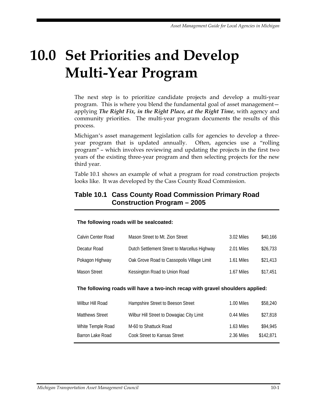# **10.0 Set Priorities and Develop Multi-Year Program**

The next step is to prioritize candidate projects and develop a multi-year program. This is where you blend the fundamental goal of asset management applying *The Right Fix, in the Right Place, at the Right Time*, with agency and community priorities. The multi-year program documents the results of this process.

Michigan's asset management legislation calls for agencies to develop a threeyear program that is updated annually. Often, agencies use a "rolling program" – which involves reviewing and updating the projects in the first two years of the existing three-year program and then selecting projects for the new third year.

Table 10.1 shows an example of what a program for road construction projects looks like. It was developed by the Cass County Road Commission.

### **Table 10.1 Cass County Road Commission Primary Road Construction Program – 2005**

#### **The following roads will be sealcoated:**

| Calvin Center Road  | Mason Street to Mt. Zion Street              | 3.02 Miles | \$40,166 |
|---------------------|----------------------------------------------|------------|----------|
| Decatur Road        | Dutch Settlement Street to Marcellus Highway | 2.01 Miles | \$26,733 |
| Pokagon Highway     | Oak Grove Road to Cassopolis Village Limit   | 1.61 Miles | \$21,413 |
| <b>Mason Street</b> | Kessington Road to Union Road                | 1.67 Miles | \$17.451 |

#### **The following roads will have a two-inch recap with gravel shoulders applied:**

| Wilbur Hill Road       | Hampshire Street to Beeson Street         | 1.00 Miles | \$58,240  |
|------------------------|-------------------------------------------|------------|-----------|
| <b>Matthews Street</b> | Wilbur Hill Street to Dowagiac City Limit | 0.44 Miles | \$27,818  |
| White Temple Road      | M-60 to Shattuck Road                     | 1.63 Miles | \$94.945  |
| Barron Lake Road       | Cook Street to Kansas Street              | 2.36 Miles | \$142.871 |
|                        |                                           |            |           |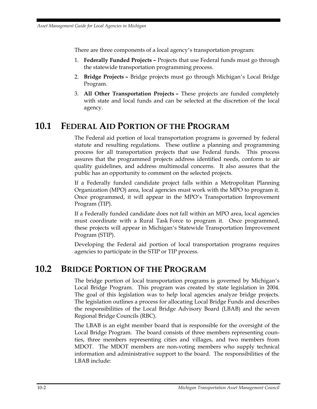There are three components of a local agency's transportation program:

- 1. **Federally Funded Projects** Projects that use Federal funds must go through the statewide transportation programming process.
- 2. **Bridge Projects** Bridge projects must go through Michigan's Local Bridge Program.
- 3. **All Other Transportation Projects** These projects are funded completely with state and local funds and can be selected at the discretion of the local agency.

# **10.1 FEDERAL AID PORTION OF THE PROGRAM**

The Federal aid portion of local transportation programs is governed by federal statute and resulting regulations. These outline a planning and programming process for all transportation projects that use Federal funds. This process assures that the programmed projects address identified needs, conform to air quality guidelines, and address multimodal concerns. It also assures that the public has an opportunity to comment on the selected projects.

If a Federally funded candidate project falls within a Metropolitan Planning Organization (MPO) area, local agencies must work with the MPO to program it. Once programmed, it will appear in the MPO's Transportation Improvement Program (TIP).

If a Federally funded candidate does not fall within an MPO area, local agencies must coordinate with a Rural Task Force to program it. Once programmed, these projects will appear in Michigan's Statewide Transportation Improvement Program (STIP).

Developing the Federal aid portion of local transportation programs requires agencies to participate in the STIP or TIP process.

# **10.2 BRIDGE PORTION OF THE PROGRAM**

The bridge portion of local transportation programs is governed by Michigan's Local Bridge Program. This program was created by state legislation in 2004. The goal of this legislation was to help local agencies analyze bridge projects. The legislation outlines a process for allocating Local Bridge Funds and describes the responsibilities of the Local Bridge Advisory Board (LBAB) and the seven Regional Bridge Councils (RBC).

The LBAB is an eight member board that is responsible for the oversight of the Local Bridge Program. The board consists of three members representing counties, three members representing cities and villages, and two members from MDOT. The MDOT members are non-voting members who supply technical information and administrative support to the board. The responsibilities of the LBAB include: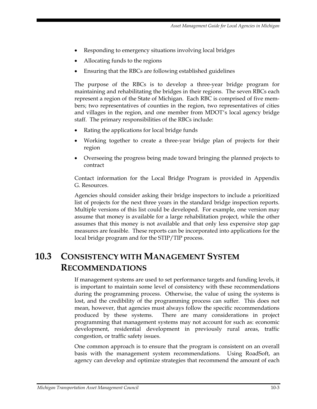- Responding to emergency situations involving local bridges
- Allocating funds to the regions
- Ensuring that the RBCs are following established guidelines

The purpose of the RBCs is to develop a three-year bridge program for maintaining and rehabilitating the bridges in their regions. The seven RBCs each represent a region of the State of Michigan. Each RBC is comprised of five members; two representatives of counties in the region, two representatives of cities and villages in the region, and one member from MDOT's local agency bridge staff. The primary responsibilities of the RBCs include:

- Rating the applications for local bridge funds
- Working together to create a three-year bridge plan of projects for their region
- Overseeing the progress being made toward bringing the planned projects to contract

Contact information for the Local Bridge Program is provided in Appendix G. Resources.

Agencies should consider asking their bridge inspectors to include a prioritized list of projects for the next three years in the standard bridge inspection reports. Multiple versions of this list could be developed. For example, one version may assume that money is available for a large rehabilitation project, while the other assumes that this money is not available and that only less expensive stop gap measures are feasible. These reports can be incorporated into applications for the local bridge program and for the STIP/TIP process.

## **10.3 CONSISTENCY WITH MANAGEMENT SYSTEM RECOMMENDATIONS**

If management systems are used to set performance targets and funding levels, it is important to maintain some level of consistency with these recommendations during the programming process. Otherwise, the value of using the systems is lost, and the credibility of the programming process can suffer. This does not mean, however, that agencies must always follow the specific recommendations produced by these systems. There are many considerations in project programming that management systems may not account for such as: economic development, residential development in previously rural areas, traffic congestion, or traffic safety issues.

One common approach is to ensure that the program is consistent on an overall basis with the management system recommendations. Using RoadSoft, an agency can develop and optimize strategies that recommend the amount of each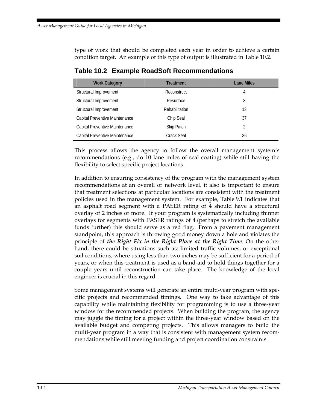type of work that should be completed each year in order to achieve a certain condition target. An example of this type of output is illustrated in Table 10.2.

| <b>Work Category</b>           | <b>Treatment</b> | <b>Lane Miles</b> |  |  |  |  |
|--------------------------------|------------------|-------------------|--|--|--|--|
| Structural Improvement         | Reconstruct      | 4                 |  |  |  |  |
| Structural Improvement         | Resurface        | 8                 |  |  |  |  |
| Structural Improvement         | Rehabilitation   | 13                |  |  |  |  |
| Capital Preventive Maintenance | Chip Seal        | 37                |  |  |  |  |
| Capital Preventive Maintenance | Skip Patch       | 2                 |  |  |  |  |
| Capital Preventive Maintenance | Crack Seal       | 36                |  |  |  |  |

**Table 10.2 Example RoadSoft Recommendations** 

This process allows the agency to follow the overall management system's recommendations (e.g., do 10 lane miles of seal coating) while still having the flexibility to select specific project locations.

In addition to ensuring consistency of the program with the management system recommendations at an overall or network level, it also is important to ensure that treatment selections at particular locations are consistent with the treatment policies used in the management system. For example, Table 9.1 indicates that an asphalt road segment with a PASER rating of 4 should have a structural overlay of 2 inches or more. If your program is systematically including thinner overlays for segments with PASER ratings of 4 (perhaps to stretch the available funds further) this should serve as a red flag. From a pavement management standpoint, this approach is throwing good money down a hole and violates the principle of *the Right Fix in the Right Place at the Right Time.* On the other hand, there could be situations such as: limited traffic volumes, or exceptional soil conditions, where using less than two inches may be sufficient for a period of years, or when this treatment is used as a band-aid to hold things together for a couple years until reconstruction can take place. The knowledge of the local engineer is crucial in this regard.

Some management systems will generate an entire multi-year program with specific projects and recommended timings. One way to take advantage of this capability while maintaining flexibility for programming is to use a three-year window for the recommended projects. When building the program, the agency may juggle the timing for a project within the three-year window based on the available budget and competing projects. This allows managers to build the multi-year program in a way that is consistent with management system recommendations while still meeting funding and project coordination constraints.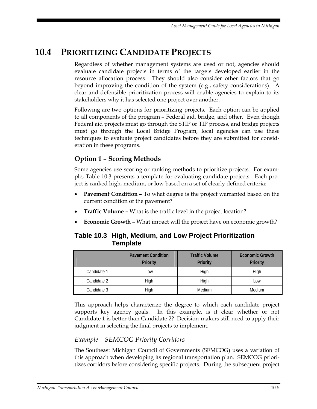## **10.4 PRIORITIZING CANDIDATE PROJECTS**

Regardless of whether management systems are used or not, agencies should evaluate candidate projects in terms of the targets developed earlier in the resource allocation process. They should also consider other factors that go beyond improving the condition of the system (e.g., safety considerations). A clear and defensible prioritization process will enable agencies to explain to its stakeholders why it has selected one project over another.

Following are two options for prioritizing projects. Each option can be applied to all components of the program – Federal aid, bridge, and other. Even though Federal aid projects must go through the STIP or TIP process, and bridge projects must go through the Local Bridge Program, local agencies can use these techniques to evaluate project candidates before they are submitted for consideration in these programs.

#### **Option 1 – Scoring Methods**

Some agencies use scoring or ranking methods to prioritize projects. For example, Table 10.3 presents a template for evaluating candidate projects. Each project is ranked high, medium, or low based on a set of clearly defined criteria:

- **Pavement Condition –** To what degree is the project warranted based on the current condition of the pavement?
- **Traffic Volume –** What is the traffic level in the project location?
- **Economic Growth –** What impact will the project have on economic growth?

#### **Table 10.3 High, Medium, and Low Project Prioritization Template**

|             | <b>Pavement Condition</b><br><b>Priority</b> | <b>Traffic Volume</b><br><b>Priority</b> | <b>Economic Growth</b><br>Priority |  |  |
|-------------|----------------------------------------------|------------------------------------------|------------------------------------|--|--|
| Candidate 1 | $-0W$                                        | High                                     | High                               |  |  |
| Candidate 2 | High                                         | High                                     | LOW                                |  |  |
| Candidate 3 | High                                         | Medium                                   | Medium                             |  |  |

This approach helps characterize the degree to which each candidate project supports key agency goals. In this example, is it clear whether or not Candidate 1 is better than Candidate 2? Decision-makers still need to apply their judgment in selecting the final projects to implement.

#### *Example – SEMCOG Priority Corridors*

The Southeast Michigan Council of Governments (SEMCOG) uses a variation of this approach when developing its regional transportation plan. SEMCOG prioritizes corridors before considering specific projects. During the subsequent project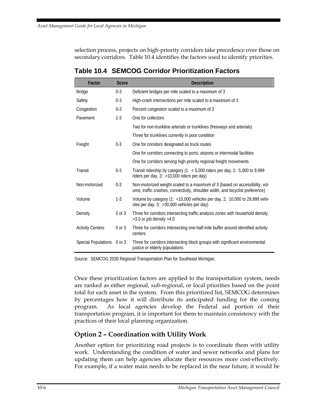selection process, projects on high-priority corridors take precedence over those on secondary corridors. Table 10.4 identifies the factors used to identify priorities.

| Factor                     | <b>Score</b> | <b>Description</b>                                                                                                                                           |
|----------------------------|--------------|--------------------------------------------------------------------------------------------------------------------------------------------------------------|
| <b>Bridge</b>              | $0 - 3$      | Deficient bridges per mile scaled to a maximum of 3                                                                                                          |
| Safety                     | $0 - 3$      | High-crash intersections per mile scaled to a maximum of 3                                                                                                   |
| Congestion                 | $0 - 3$      | Percent congestion scaled to a maximum of 3                                                                                                                  |
| Pavement                   | $1-3$        | One for collectors                                                                                                                                           |
|                            |              | Two for non-trunkline arterials or trunklines (freeways and arterials)                                                                                       |
|                            |              | Three for trunklines currently in poor condition                                                                                                             |
| Freight                    | $0 - 3$      | One for corridors designated as truck routes                                                                                                                 |
|                            |              | One for corridors connecting to ports, airports or intermodal facilities                                                                                     |
|                            |              | One for corridors serving high-priority regional freight movements                                                                                           |
| Transit                    | $0 - 3$      | Transit ridership by category (1: $<$ 5,000 riders per day, 2: 5,000 to 9,999<br>riders per day, 3: >10,000 riders per day)                                  |
| Non-motorized              | $0 - 3$      | Non-motorized weight scaled to a maximum of 3 (based on accessibility, vol-<br>ume, traffic crashes, connectivity, shoulder width, and bicyclist preference) |
| Volume                     | $1-3$        | Volume by category (1: <10,000 vehicles per day, 2: 10,000 to 29,999 vehi-<br>cles per day, 3: > 30,000 vehicles per day)                                    |
| Density                    | $0$ or $3$   | Three for corridors intersecting traffic analysis zones with household density<br>$>3.0$ or job density $>4.0$                                               |
| <b>Activity Centers</b>    | $0$ or $3$   | Three for corridors intersecting one-half-mile buffer around identified activity<br>centers                                                                  |
| Special Populations 0 or 3 |              | Three for corridors intersecting block groups with significant environmental<br>justice or elderly populations                                               |

#### **Table 10.4 SEMCOG Corridor Prioritization Factors**

Source: SEMCOG 2030 Regional Transportation Plan for Southeast Michigan.

Once these prioritization factors are applied to the transportation system, needs are ranked as either regional, sub-regional, or local priorities based on the point total for each asset in the system. From this prioritized list, SEMCOG determines by percentages how it will distribute its anticipated funding for the coming program. As local agencies develop the Federal aid portion of their transportation program, it is important for them to maintain consistency with the practices of their local planning organization.

#### **Option 2 – Coordination with Utility Work**

Another option for prioritizing road projects is to coordinate them with utility work. Understanding the condition of water and sewer networks and plans for updating them can help agencies allocate their resources more cost-effectively. For example, if a water main needs to be replaced in the near future, it would be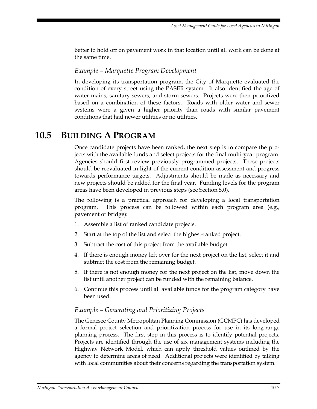better to hold off on pavement work in that location until all work can be done at the same time.

#### *Example – Marquette Program Development*

In developing its transportation program, the City of Marquette evaluated the condition of every street using the PASER system. It also identified the age of water mains, sanitary sewers, and storm sewers. Projects were then prioritized based on a combination of these factors. Roads with older water and sewer systems were a given a higher priority than roads with similar pavement conditions that had newer utilities or no utilities.

## **10.5 BUILDING A PROGRAM**

Once candidate projects have been ranked, the next step is to compare the projects with the available funds and select projects for the final multi-year program. Agencies should first review previously programmed projects. These projects should be reevaluated in light of the current condition assessment and progress towards performance targets. Adjustments should be made as necessary and new projects should be added for the final year. Funding levels for the program areas have been developed in previous steps (see Section 5.0).

The following is a practical approach for developing a local transportation program. This process can be followed within each program area (e.g., pavement or bridge):

- 1. Assemble a list of ranked candidate projects.
- 2. Start at the top of the list and select the highest-ranked project.
- 3. Subtract the cost of this project from the available budget.
- 4. If there is enough money left over for the next project on the list, select it and subtract the cost from the remaining budget.
- 5. If there is not enough money for the next project on the list, move down the list until another project can be funded with the remaining balance.
- 6. Continue this process until all available funds for the program category have been used.

#### *Example – Generating and Prioritizing Projects*

The Genesee County Metropolitan Planning Commission (GCMPC) has developed a formal project selection and prioritization process for use in its long-range planning process. The first step in this process is to identify potential projects. Projects are identified through the use of six management systems including the Highway Network Model, which can apply threshold values outlined by the agency to determine areas of need. Additional projects were identified by talking with local communities about their concerns regarding the transportation system.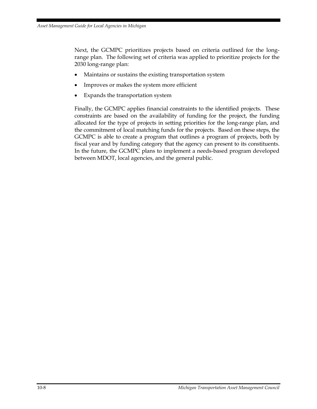Next, the GCMPC prioritizes projects based on criteria outlined for the longrange plan. The following set of criteria was applied to prioritize projects for the 2030 long-range plan:

- Maintains or sustains the existing transportation system
- Improves or makes the system more efficient
- Expands the transportation system

Finally, the GCMPC applies financial constraints to the identified projects. These constraints are based on the availability of funding for the project, the funding allocated for the type of projects in setting priorities for the long-range plan, and the commitment of local matching funds for the projects. Based on these steps, the GCMPC is able to create a program that outlines a program of projects, both by fiscal year and by funding category that the agency can present to its constituents. In the future, the GCMPC plans to implement a needs-based program developed between MDOT, local agencies, and the general public.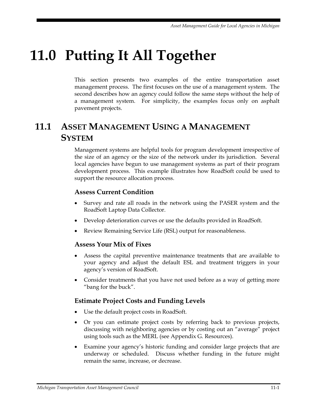## **11.0 Putting It All Together**

This section presents two examples of the entire transportation asset management process. The first focuses on the use of a management system. The second describes how an agency could follow the same steps without the help of a management system. For simplicity, the examples focus only on asphalt pavement projects.

## **11.1 ASSET MANAGEMENT USING A MANAGEMENT SYSTEM**

Management systems are helpful tools for program development irrespective of the size of an agency or the size of the network under its jurisdiction. Several local agencies have begun to use management systems as part of their program development process. This example illustrates how RoadSoft could be used to support the resource allocation process.

#### **Assess Current Condition**

- Survey and rate all roads in the network using the PASER system and the RoadSoft Laptop Data Collector.
- Develop deterioration curves or use the defaults provided in RoadSoft.
- Review Remaining Service Life (RSL) output for reasonableness.

#### **Assess Your Mix of Fixes**

- Assess the capital preventive maintenance treatments that are available to your agency and adjust the default ESL and treatment triggers in your agency's version of RoadSoft.
- Consider treatments that you have not used before as a way of getting more "bang for the buck".

#### **Estimate Project Costs and Funding Levels**

- Use the default project costs in RoadSoft.
- Or you can estimate project costs by referring back to previous projects, discussing with neighboring agencies or by costing out an "average" project using tools such as the MERL (see Appendix G. Resources).
- Examine your agency's historic funding and consider large projects that are underway or scheduled. Discuss whether funding in the future might remain the same, increase, or decrease.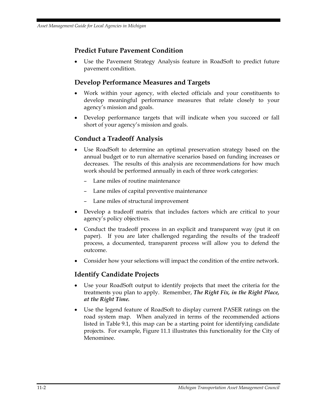#### **Predict Future Pavement Condition**

Use the Pavement Strategy Analysis feature in RoadSoft to predict future pavement condition.

#### **Develop Performance Measures and Targets**

- Work within your agency, with elected officials and your constituents to develop meaningful performance measures that relate closely to your agency's mission and goals.
- Develop performance targets that will indicate when you succeed or fall short of your agency's mission and goals.

#### **Conduct a Tradeoff Analysis**

- Use RoadSoft to determine an optimal preservation strategy based on the annual budget or to run alternative scenarios based on funding increases or decreases. The results of this analysis are recommendations for how much work should be performed annually in each of three work categories:
	- Lane miles of routine maintenance
	- Lane miles of capital preventive maintenance
	- Lane miles of structural improvement
- Develop a tradeoff matrix that includes factors which are critical to your agency's policy objectives.
- Conduct the tradeoff process in an explicit and transparent way (put it on paper). If you are later challenged regarding the results of the tradeoff process, a documented, transparent process will allow you to defend the outcome.
- Consider how your selections will impact the condition of the entire network.

#### **Identify Candidate Projects**

- Use your RoadSoft output to identify projects that meet the criteria for the treatments you plan to apply. Remember, *The Right Fix, in the Right Place, at the Right Time.*
- Use the legend feature of RoadSoft to display current PASER ratings on the road system map. When analyzed in terms of the recommended actions listed in Table 9.1, this map can be a starting point for identifying candidate projects. For example, Figure 11.1 illustrates this functionality for the City of Menominee.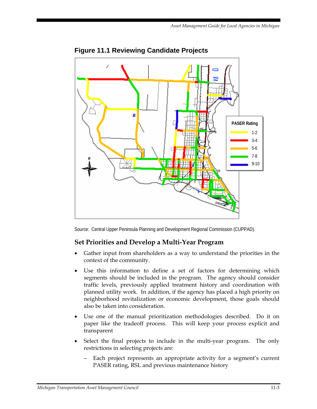

**Figure 11.1 Reviewing Candidate Projects** 

Source: Central Upper Peninsula Planning and Development Regional Commission (CUPPAD).

#### **Set Priorities and Develop a Multi-Year Program**

- Gather input from shareholders as a way to understand the priorities in the context of the community.
- Use this information to define a set of factors for determining which segments should be included in the program. The agency should consider traffic levels, previously applied treatment history and coordination with planned utility work. In addition, if the agency has placed a high priority on neighborhood revitalization or economic development, those goals should also be taken into consideration.
- Use one of the manual prioritization methodologies described. Do it on paper like the tradeoff process. This will keep your process explicit and transparent
- Select the final projects to include in the multi-year program. The only restrictions in selecting projects are:
	- Each project represents an appropriate activity for a segment's current PASER rating, RSL and previous maintenance history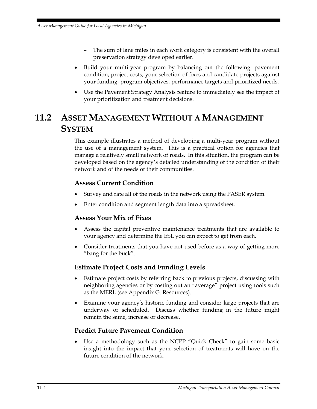- The sum of lane miles in each work category is consistent with the overall preservation strategy developed earlier.
- Build your multi-year program by balancing out the following: pavement condition, project costs, your selection of fixes and candidate projects against your funding, program objectives, performance targets and prioritized needs.
- Use the Pavement Strategy Analysis feature to immediately see the impact of your prioritization and treatment decisions.

## **11.2 ASSET MANAGEMENT WITHOUT A MANAGEMENT SYSTEM**

This example illustrates a method of developing a multi-year program without the use of a management system. This is a practical option for agencies that manage a relatively small network of roads. In this situation, the program can be developed based on the agency's detailed understanding of the condition of their network and of the needs of their communities.

#### **Assess Current Condition**

- Survey and rate all of the roads in the network using the PASER system.
- Enter condition and segment length data into a spreadsheet.

#### **Assess Your Mix of Fixes**

- Assess the capital preventive maintenance treatments that are available to your agency and determine the ESL you can expect to get from each.
- Consider treatments that you have not used before as a way of getting more "bang for the buck".

#### **Estimate Project Costs and Funding Levels**

- Estimate project costs by referring back to previous projects, discussing with neighboring agencies or by costing out an "average" project using tools such as the MERL (see Appendix G. Resources).
- Examine your agency's historic funding and consider large projects that are underway or scheduled. Discuss whether funding in the future might remain the same, increase or decrease.

#### **Predict Future Pavement Condition**

Use a methodology such as the NCPP "Quick Check" to gain some basic insight into the impact that your selection of treatments will have on the future condition of the network.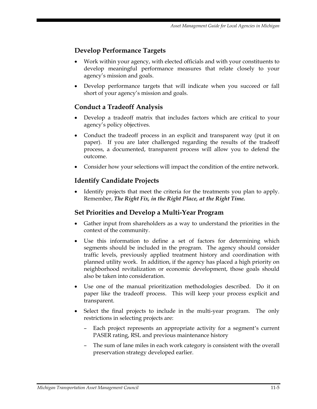#### **Develop Performance Targets**

- Work within your agency, with elected officials and with your constituents to develop meaningful performance measures that relate closely to your agency's mission and goals.
- Develop performance targets that will indicate when you succeed or fall short of your agency's mission and goals.

#### **Conduct a Tradeoff Analysis**

- Develop a tradeoff matrix that includes factors which are critical to your agency's policy objectives.
- Conduct the tradeoff process in an explicit and transparent way (put it on paper). If you are later challenged regarding the results of the tradeoff process, a documented, transparent process will allow you to defend the outcome.
- Consider how your selections will impact the condition of the entire network.

#### **Identify Candidate Projects**

• Identify projects that meet the criteria for the treatments you plan to apply. Remember, *The Right Fix, in the Right Place, at the Right Time.*

#### **Set Priorities and Develop a Multi-Year Program**

- Gather input from shareholders as a way to understand the priorities in the context of the community.
- Use this information to define a set of factors for determining which segments should be included in the program. The agency should consider traffic levels, previously applied treatment history and coordination with planned utility work. In addition, if the agency has placed a high priority on neighborhood revitalization or economic development, those goals should also be taken into consideration.
- Use one of the manual prioritization methodologies described. Do it on paper like the tradeoff process. This will keep your process explicit and transparent.
- Select the final projects to include in the multi-year program. The only restrictions in selecting projects are:
	- Each project represents an appropriate activity for a segment's current PASER rating, RSL and previous maintenance history
	- The sum of lane miles in each work category is consistent with the overall preservation strategy developed earlier.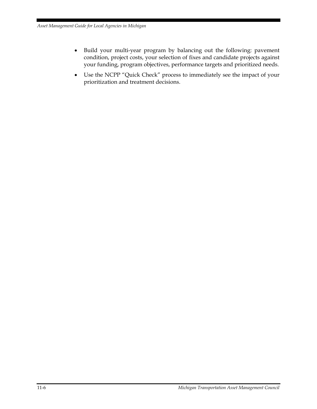- Build your multi-year program by balancing out the following: pavement condition, project costs, your selection of fixes and candidate projects against your funding, program objectives, performance targets and prioritized needs.
- Use the NCPP "Quick Check" process to immediately see the impact of your prioritization and treatment decisions.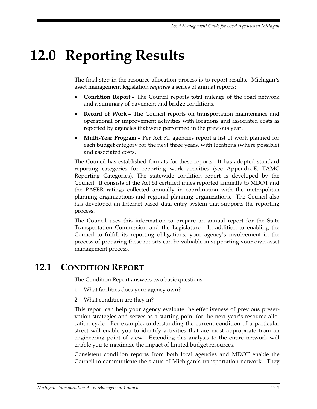## **12.0 Reporting Results**

The final step in the resource allocation process is to report results. Michigan's asset management legislation *requires* a series of annual reports:

- **Condition Report** The Council reports total mileage of the road network and a summary of pavement and bridge conditions.
- **Record of Work –** The Council reports on transportation maintenance and operational or improvement activities with locations and associated costs as reported by agencies that were performed in the previous year.
- **Multi-Year Program** Per Act 51, agencies report a list of work planned for each budget category for the next three years, with locations (where possible) and associated costs.

The Council has established formats for these reports. It has adopted standard reporting categories for reporting work activities (see Appendix E. TAMC Reporting Categories). The statewide condition report is developed by the Council. It consists of the Act 51 certified miles reported annually to MDOT and the PASER ratings collected annually in coordination with the metropolitan planning organizations and regional planning organizations. The Council also has developed an Internet-based data entry system that supports the reporting process.

The Council uses this information to prepare an annual report for the State Transportation Commission and the Legislature. In addition to enabling the Council to fulfill its reporting obligations, your agency's involvement in the process of preparing these reports can be valuable in supporting your own asset management process.

## **12.1 CONDITION REPORT**

The Condition Report answers two basic questions:

- 1. What facilities does your agency own?
- 2. What condition are they in?

This report can help your agency evaluate the effectiveness of previous preservation strategies and serves as a starting point for the next year's resource allocation cycle. For example, understanding the current condition of a particular street will enable you to identify activities that are most appropriate from an engineering point of view. Extending this analysis to the entire network will enable you to maximize the impact of limited budget resources.

Consistent condition reports from both local agencies and MDOT enable the Council to communicate the status of Michigan's transportation network. They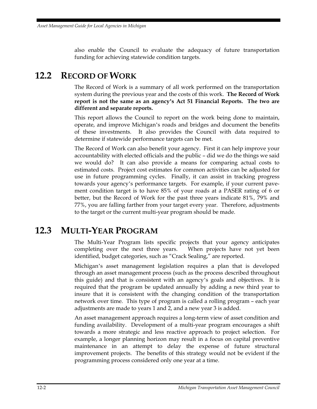also enable the Council to evaluate the adequacy of future transportation funding for achieving statewide condition targets.

## **12.2 RECORD OF WORK**

The Record of Work is a summary of all work performed on the transportation system during the previous year and the costs of this work. **The Record of Work report is not the same as an agency's Act 51 Financial Reports. The two are different and separate reports.** 

This report allows the Council to report on the work being done to maintain, operate, and improve Michigan's roads and bridges and document the benefits of these investments. It also provides the Council with data required to determine if statewide performance targets can be met.

The Record of Work can also benefit your agency. First it can help improve your accountability with elected officials and the public – did we do the things we said we would do? It can also provide a means for comparing actual costs to estimated costs. Project cost estimates for common activities can be adjusted for use in future programming cycles. Finally, it can assist in tracking progress towards your agency's performance targets. For example, if your current pavement condition target is to have 85% of your roads at a PASER rating of 6 or better, but the Record of Work for the past three years indicate 81%, 79% and 77%, you are falling farther from your target every year. Therefore, adjustments to the target or the current multi-year program should be made.

## **12.3 MULTI-YEAR PROGRAM**

The Multi-Year Program lists specific projects that your agency anticipates completing over the next three years. When projects have not yet been identified, budget categories, such as "Crack Sealing," are reported.

Michigan's asset management legislation requires a plan that is developed through an asset management process (such as the process described throughout this guide) and that is consistent with an agency's goals and objectives. It is required that the program be updated annually by adding a new third year to insure that it is consistent with the changing condition of the transportation network over time. This type of program is called a rolling program – each year adjustments are made to years 1 and 2, and a new year 3 is added.

An asset management approach requires a long-term view of asset condition and funding availability. Development of a multi-year program encourages a shift towards a more strategic and less reactive approach to project selection. For example, a longer planning horizon may result in a focus on capital preventive maintenance in an attempt to delay the expense of future structural improvement projects. The benefits of this strategy would not be evident if the programming process considered only one year at a time.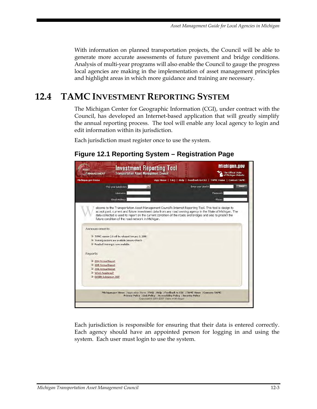With information on planned transportation projects, the Council will be able to generate more accurate assessments of future pavement and bridge conditions. Analysis of multi-year programs will also enable the Council to gauge the progress local agencies are making in the implementation of asset management principles and highlight areas in which more guidance and training are necessary.

## **12.4 TAMC INVESTMENT REPORTING SYSTEM**

The Michigan Center for Geographic Information (CGI), under contract with the Council, has developed an Internet-based application that will greatly simplify the annual reporting process. The tool will enable any local agency to login and edit information within its jurisdiction.

Each jurisdiction must register once to use the system.

#### **Figure 12.1 Reporting System – Registration Page**



Each jurisdiction is responsible for ensuring that their data is entered correctly. Each agency should have an appointed person for logging in and using the system. Each user must login to use the system.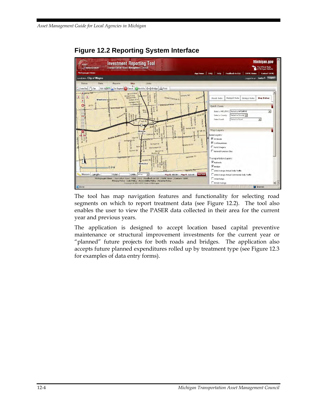

#### **Figure 12.2 Reporting System Interface**

The tool has map navigation features and functionality for selecting road segments on which to report treatment data (see Figure 12.2). The tool also enables the user to view the PASER data collected in their area for the current year and previous years.

The application is designed to accept location based capital preventive maintenance or structural improvement investments for the current year or "planned" future projects for both roads and bridges. The application also accepts future planned expenditures rolled up by treatment type (see Figure 12.3 for examples of data entry forms).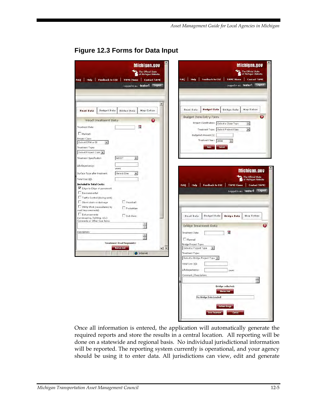| Michigan.gov<br>The Official State<br>of Michigan Website<br>FAQ   Help   Feedback to CGI   TAMC Home   Contact TAMC                                                                                                                                               | Michigan.gov<br>The Official State<br>  of Michigan Website<br>Feedback to CGI<br>FAQ   Help  <br><b>TAMC Home</b><br><b>Contact TAMC</b>                                                                                                                                                                                          |
|--------------------------------------------------------------------------------------------------------------------------------------------------------------------------------------------------------------------------------------------------------------------|------------------------------------------------------------------------------------------------------------------------------------------------------------------------------------------------------------------------------------------------------------------------------------------------------------------------------------|
| Logged in as: tester1 Logout                                                                                                                                                                                                                                       | Logged in as: tester1    Logout                                                                                                                                                                                                                                                                                                    |
| <b><i><u>Budget Data</u></i></b><br><b>Bridge Data</b><br><b>Map Extras</b><br><b>Road Data</b>                                                                                                                                                                    | <b>Budget Data</b><br>Road Data<br><b>Bridge Data</b><br><b>Map Extras</b><br>0                                                                                                                                                                                                                                                    |
| $\mathbf \Omega$<br><b>Road Treatment Data</b><br>10<br>Treatment Date:<br>Planned<br>Project Class:<br>Select CPM or SI<br>$\ddot{}$<br>Treatment Type:<br>Select Project Class +<br>MDOT<br>Treatment Specification<br>$\star$                                   | <b>Budget Item Entry Form</b><br>Project Classification: Select a Class Type<br>$\bullet$<br>Treatment Type: Select Project Class<br>$\bullet$<br>Budgeted Amount:(\$)<br>Treatment Year: 2008<br>$\overline{\phantom{a}}$<br>Save<br>Cancel                                                                                       |
| Life Expectancy:<br>years<br>Surface Type after treatment:<br>Select One<br>$\bullet$<br>Total Cost (\$):<br><b>Included in Total Costs:</b><br>Edge-to-Edge of pavement<br>Environmental<br>Traffic Control (during work)<br>Guardrail<br>Storm drain or drainage | Michigan.gov<br>The Official State<br>of Michigan Website<br>FAQ<br>Help<br>Feedback to CGI<br><b>TAMC Home</b><br><b>Contact TAMC</b><br>Logged in as: tester1 Logout                                                                                                                                                             |
| Utility Work (necessitated by<br>Pedestrian<br>road improvements)<br>Enhancements<br>Sub-Base<br>(landscaping, lighting, etc.)<br>Comments or Other Cost items:<br>종<br>Description:                                                                               | <b>Budget Data</b><br>Road Data<br><b>Bridge Data</b><br><b>Map Extras</b><br>$\Omega$<br><b>Bridge Treatment Data</b><br>$\frac{1}{10}$<br>Treatment Date:                                                                                                                                                                        |
| ×.<br><b>Treatment Road Segments:</b><br>Manual Add<br>$\blacksquare$<br><b>D</b> Internet                                                                                                                                                                         | Planned<br>Bridge Project Type:<br>Select a Project Type<br>$\bullet$<br>Treatment Type:<br>Select a Bridge Project Type<br>Total Cost (\$):<br>Life Expectancy:<br>years<br>Comment / Description:<br><b>Bridge selected:</b><br><b>Manual Add</b><br>No Bridge Data Loaded!<br>Refresh Bridge<br><b>Save Treatment</b><br>Cancel |

#### **Figure 12.3 Forms for Data Input**

Once all information is entered, the application will automatically generate the required reports and store the results in a central location. All reporting will be done on a statewide and regional basis. No individual jurisdictional information will be reported. The reporting system currently is operational, and your agency should be using it to enter data. All jurisdictions can view, edit and generate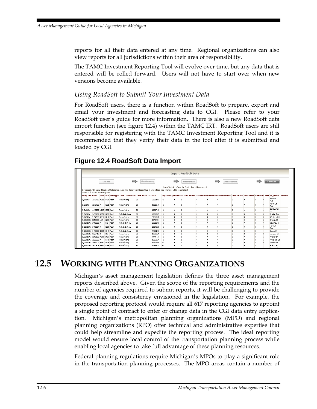reports for all their data entered at any time. Regional organizations can also view reports for all jurisdictions within their area of responsibility.

The TAMC Investment Reporting Tool will evolve over time, but any data that is entered will be rolled forward. Users will not have to start over when new versions become available.

#### *Using RoadSoft to Submit Your Investment Data*

For RoadSoft users, there is a function within RoadSoft to prepare, export and email your investment and forecasting data to CGI. Please refer to your RoadSoft user's guide for more information. There is also a new RoadSoft data import function (see figure 12.4) within the TAMC IRT. RoadSoft users are still responsible for registering with the TAMC Investment Reporting Tool and it is recommended that they verify their data in the tool after it is submitted and loaded by CGI.

#### **Figure 12.4 RoadSoft Data Import**

| <b>Import RoadSoft Data</b>                                                                                                                                                                                      |                          |  |           |            |                                                                 |                 |             |      |              |                                                                                                                         |  |  |                         |              |   |              |                  |                          |  |
|------------------------------------------------------------------------------------------------------------------------------------------------------------------------------------------------------------------|--------------------------|--|-----------|------------|-----------------------------------------------------------------|-----------------|-------------|------|--------------|-------------------------------------------------------------------------------------------------------------------------|--|--|-------------------------|--------------|---|--------------|------------------|--------------------------|--|
|                                                                                                                                                                                                                  |                          |  | Load Data |            |                                                                 | Check Ownership |             |      |              | <b>Check Attributes</b>                                                                                                 |  |  | <b>Check Treatments</b> |              |   |              |                  |                          |  |
| Open file O.K.J - Read file O.K.J - data table rows: 116<br>You must still enter Routine Maintenance and update your Reporting Status after you file upload is completed!<br>Entries with loaded into the system |                          |  |           |            |                                                                 |                 |             |      |              |                                                                                                                         |  |  |                         |              |   |              |                  |                          |  |
|                                                                                                                                                                                                                  |                          |  |           |            | ProiDate PRNo Bmp Emp SurfType TAMCTreatment TAMCProiClass Cost |                 |             |      |              | EdgeToEdge Enviro TrafficControl StormDrain GuardRail Enhancements UtilityWork Pedestrian SubBase Lanes Rd Name Version |  |  |                         |              |   |              |                  |                          |  |
| 5/1/2006                                                                                                                                                                                                         | 1516710 0.255 0.488 Asph |  |           |            | Resurfacing                                                     | SI.             | 22511.87 -1 |      |              |                                                                                                                         |  |  |                         |              |   |              |                  | <b>Wictoria</b><br>Anne. |  |
| 5/2/2006                                                                                                                                                                                                         | 1516706.0                |  |           | 0.235 Asph | Resurfacing                                                     | SI.             | 13519.19 -1 |      | n            |                                                                                                                         |  |  |                         |              |   |              |                  | Vermilva<br>Ave          |  |
| 5/3/2006                                                                                                                                                                                                         | 1496202 0.267 0.352 Asph |  |           |            | Resurfacing                                                     | ST.             | 12827.15 -1 |      |              |                                                                                                                         |  |  |                         |              |   |              |                  | Colchester<br>Rd         |  |
| 5/5/2006                                                                                                                                                                                                         | 1496202 0.352 0.697 Asph |  |           |            | Rebabilitation                                                  | <b>ST</b>       | 40668.25    | $-1$ | $\mathbf{a}$ |                                                                                                                         |  |  |                         | $\mathbf{a}$ | n | $\mathbf{a}$ |                  | Knight Ave               |  |
| 5/8/2006                                                                                                                                                                                                         | 1497505 0.647 1.046 Asph |  |           |            | Resurfacing                                                     | SI.             | 47360.76 -1 |      | 'n           | n                                                                                                                       |  |  |                         |              |   |              |                  | Mestern Rd               |  |
| 5/10/2006 3250692 1.19 1.283 Asph                                                                                                                                                                                |                          |  |           |            | Resurfacing                                                     | SI.             | 12754.54 -1 |      | $\mathbf{r}$ | n                                                                                                                       |  |  |                         | $\mathbf{r}$ | n |              |                  | <b>Brown St</b>          |  |
| 5/18/2006 1496209 0                                                                                                                                                                                              |                          |  |           | 0.15 Asph  | Rehabilitation                                                  | <b>ST</b>       | 35322.97 -1 |      | $\mathbf{r}$ |                                                                                                                         |  |  |                         | $\mathbf{a}$ | n |              |                  | Downey St                |  |
| 5/22/2006 1496207 0                                                                                                                                                                                              |                          |  |           | 0.236 Asph | Rehabilitation                                                  | ST.             | 28346.72 -1 |      | $\mathbf{a}$ |                                                                                                                         |  |  |                         |              |   |              |                  | <b>Earnum</b><br>Ave     |  |
| 5/22/2006 1498006 4.605 5.047 Asph                                                                                                                                                                               |                          |  |           |            | Rebabilitation                                                  | ST.             | 74221.96 -1 |      | $\mathbf{a}$ | $\mathbf{a}$                                                                                                            |  |  |                         | $\mathbf{a}$ | n | $\mathbf{a}$ | $\boldsymbol{A}$ | Court St                 |  |
| 5/22/2006 1526418 0                                                                                                                                                                                              |                          |  |           | 0.09 Asph  | Resurfacing                                                     | ST.             | 12580.29 -1 |      | $\mathbf{r}$ |                                                                                                                         |  |  |                         | $\mathbf{r}$ |   |              |                  | McAras CL                |  |
| 5/23/2006 1505503 0.966 1.057 Asph                                                                                                                                                                               |                          |  |           |            | Resurfacing                                                     | SI.             | 7474.14     | $-1$ | $\mathbf{r}$ | n                                                                                                                       |  |  |                         | $\mathbf{r}$ |   |              |                  | Wisner St                |  |
| 5/23/2006 15263030                                                                                                                                                                                               |                          |  |           | 0.176 Asph | Resurfacing                                                     | SI.             | 15968.79 -1 |      | $\mathbf{r}$ | $\mathbf{a}$                                                                                                            |  |  |                         | $\mathbf{r}$ | n | $\mathbf{r}$ |                  | Prospect St              |  |
| 5/24/2006 1505702 0.662 0.815 Asph                                                                                                                                                                               |                          |  |           |            | Resurfacing                                                     | ST.             | 15508.56    | $-1$ | $\mathbf{r}$ |                                                                                                                         |  |  |                         | $\mathbf{r}$ |   |              |                  | Sonny St                 |  |
| 5/31/2006 1512605 0.587 0.736 Asph                                                                                                                                                                               |                          |  |           |            | Resurfacing                                                     | SI.             | 14357.97    | -1   | n            |                                                                                                                         |  |  |                         |              |   |              |                  | Fulton St                |  |

## **12.5 WORKING WITH PLANNING ORGANIZATIONS**

Michigan's asset management legislation defines the three asset management reports described above. Given the scope of the reporting requirements and the number of agencies required to submit reports, it will be challenging to provide the coverage and consistency envisioned in the legislation. For example, the proposed reporting protocol would require all 617 reporting agencies to appoint a single point of contract to enter or change data in the CGI data entry application. Michigan's metropolitan planning organizations (MPO) and regional planning organizations (RPO) offer technical and administrative expertise that could help streamline and expedite the reporting process. The ideal reporting model would ensure local control of the transportation planning process while enabling local agencies to take full advantage of these planning resources.

Federal planning regulations require Michigan's MPOs to play a significant role in the transportation planning processes. The MPO areas contain a number of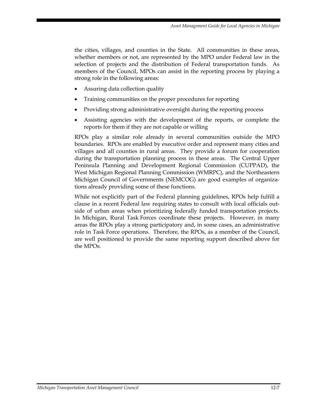the cities, villages, and counties in the State. All communities in these areas, whether members or not, are represented by the MPO under Federal law in the selection of projects and the distribution of Federal transportation funds. As members of the Council, MPOs can assist in the reporting process by playing a strong role in the following areas:

- Assuring data collection quality
- Training communities on the proper procedures for reporting
- Providing strong administrative oversight during the reporting process
- Assisting agencies with the development of the reports, or complete the reports for them if they are not capable or willing

RPOs play a similar role already in several communities outside the MPO boundaries. RPOs are enabled by executive order and represent many cities and villages and all counties in rural areas. They provide a forum for cooperation during the transportation planning process in these areas. The Central Upper Peninsula Planning and Development Regional Commission (CUPPAD), the West Michigan Regional Planning Commission (WMRPC), and the Northeastern Michigan Council of Governments (NEMCOG) are good examples of organizations already providing some of these functions.

While not explicitly part of the Federal planning guidelines, RPOs help fulfill a clause in a recent Federal law requiring states to consult with local officials outside of urban areas when prioritizing federally funded transportation projects. In Michigan, Rural Task Forces coordinate these projects. However, in many areas the RPOs play a strong participatory and, in some cases, an administrative role in Task Force operations. Therefore, the RPOs, as a member of the Council, are well positioned to provide the same reporting support described above for the MPOs.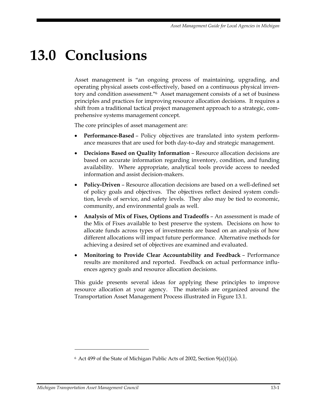## **13.0 Conclusions**

Asset management is "an ongoing process of maintaining, upgrading, and operating physical assets cost-effectively, based on a continuous physical inventory and condition assessment."6 Asset management consists of a set of business principles and practices for improving resource allocation decisions. It requires a shift from a traditional tactical project management approach to a strategic, comprehensive systems management concept.

The core principles of asset management are:

- **Performance-Based** Policy objectives are translated into system performance measures that are used for both day-to-day and strategic management.
- **Decisions Based on Quality Information** Resource allocation decisions are based on accurate information regarding inventory, condition, and funding availability. Where appropriate, analytical tools provide access to needed information and assist decision-makers.
- **Policy-Driven** Resource allocation decisions are based on a well-defined set of policy goals and objectives. The objectives reflect desired system condition, levels of service, and safety levels. They also may be tied to economic, community, and environmental goals as well.
- **Analysis of Mix of Fixes, Options and Tradeoffs** An assessment is made of the Mix of Fixes available to best preserve the system. Decisions on how to allocate funds across types of investments are based on an analysis of how different allocations will impact future performance. Alternative methods for achieving a desired set of objectives are examined and evaluated.
- **Monitoring to Provide Clear Accountability and Feedback** Performance results are monitored and reported. Feedback on actual performance influences agency goals and resource allocation decisions.

This guide presents several ideas for applying these principles to improve resource allocation at your agency. The materials are organized around the Transportation Asset Management Process illustrated in Figure 13.1.

<u>.</u>

 $6$  Act 499 of the State of Michigan Public Acts of 2002, Section 9(a)(1)(a).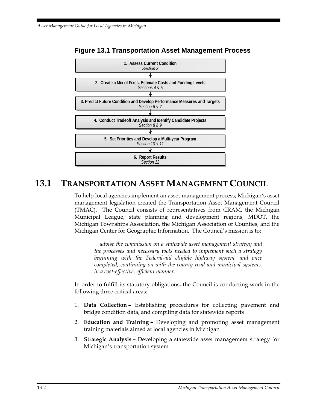

#### **Figure 13.1 Transportation Asset Management Process**

## **13.1 TRANSPORTATION ASSET MANAGEMENT COUNCIL**

To help local agencies implement an asset management process, Michigan's asset management legislation created the Transportation Asset Management Council (TMAC). The Council consists of representatives from CRAM, the Michigan Municipal League, state planning and development regions, MDOT, the Michigan Townships Association, the Michigan Association of Counties, and the Michigan Center for Geographic Information. The Council's mission is to:

*…advise the commission on a statewide asset management strategy and the processes and necessary tools needed to implement such a strategy beginning with the Federal-aid eligible highway system, and once completed, continuing on with the county road and municipal systems, in a cost-effective, efficient manner.* 

In order to fulfill its statutory obligations, the Council is conducting work in the following three critical areas:

- 1. **Data Collection** Establishing procedures for collecting pavement and bridge condition data, and compiling data for statewide reports
- 2. **Education and Training** Developing and promoting asset management training materials aimed at local agencies in Michigan
- 3. **Strategic Analysis –** Developing a statewide asset management strategy for Michigan's transportation system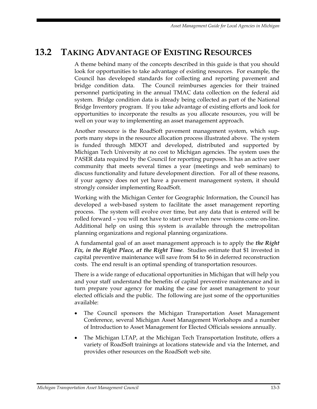## **13.2 TAKING ADVANTAGE OF EXISTING RESOURCES**

A theme behind many of the concepts described in this guide is that you should look for opportunities to take advantage of existing resources. For example, the Council has developed standards for collecting and reporting pavement and bridge condition data. The Council reimburses agencies for their trained personnel participating in the annual TMAC data collection on the federal aid system. Bridge condition data is already being collected as part of the National Bridge Inventory program. If you take advantage of existing efforts and look for opportunities to incorporate the results as you allocate resources, you will be well on your way to implementing an asset management approach.

Another resource is the RoadSoft pavement management system, which supports many steps in the resource allocation process illustrated above. The system is funded through MDOT and developed, distributed and supported by Michigan Tech University at no cost to Michigan agencies. The system uses the PASER data required by the Council for reporting purposes. It has an active user community that meets several times a year (meetings and web seminars) to discuss functionality and future development direction. For all of these reasons, if your agency does not yet have a pavement management system, it should strongly consider implementing RoadSoft.

Working with the Michigan Center for Geographic Information, the Council has developed a web-based system to facilitate the asset management reporting process. The system will evolve over time, but any data that is entered will be rolled forward – you will not have to start over when new versions come on-line. Additional help on using this system is available through the metropolitan planning organizations and regional planning organizations.

A fundamental goal of an asset management approach is to apply the *the Right Fix, in the Right Place, at the Right Time*. Studies estimate that \$1 invested in capital preventive maintenance will save from \$4 to \$6 in deferred reconstruction costs. The end result is an optimal spending of transportation resources.

There is a wide range of educational opportunities in Michigan that will help you and your staff understand the benefits of capital preventive maintenance and in turn prepare your agency for making the case for asset management to your elected officials and the public. The following are just some of the opportunities available:

- The Council sponsors the Michigan Transportation Asset Management Conference, several Michigan Asset Management Workshops and a number of Introduction to Asset Management for Elected Officials sessions annually.
- The Michigan LTAP, at the Michigan Tech Transportation Institute, offers a variety of RoadSoft trainings at locations statewide and via the Internet, and provides other resources on the RoadSoft web site.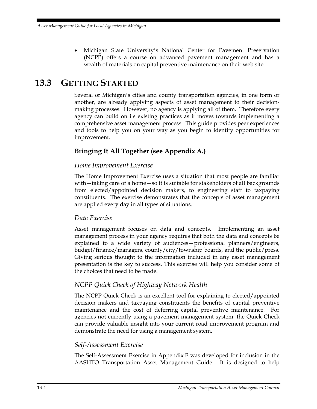• Michigan State University's National Center for Pavement Preservation (NCPP) offers a course on advanced pavement management and has a wealth of materials on capital preventive maintenance on their web site.

## **13.3 GETTING STARTED**

Several of Michigan's cities and county transportation agencies, in one form or another, are already applying aspects of asset management to their decisionmaking processes. However, no agency is applying all of them. Therefore every agency can build on its existing practices as it moves towards implementing a comprehensive asset management process. This guide provides peer experiences and tools to help you on your way as you begin to identify opportunities for improvement.

#### **Bringing It All Together (see Appendix A.)**

#### *Home Improvement Exercise*

The Home Improvement Exercise uses a situation that most people are familiar with—taking care of a home—so it is suitable for stakeholders of all backgrounds from elected/appointed decision makers, to engineering staff to taxpaying constituents. The exercise demonstrates that the concepts of asset management are applied every day in all types of situations.

#### *Data Exercise*

Asset management focuses on data and concepts. Implementing an asset management process in your agency requires that both the data and concepts be explained to a wide variety of audiences—professional planners/engineers, budget/finance/managers, county/city/township boards, and the public/press. Giving serious thought to the information included in any asset management presentation is the key to success. This exercise will help you consider some of the choices that need to be made.

#### *NCPP Quick Check of Highway Network Health*

The NCPP Quick Check is an excellent tool for explaining to elected/appointed decision makers and taxpaying constituents the benefits of capital preventive maintenance and the cost of deferring capital preventive maintenance. For agencies not currently using a pavement management system, the Quick Check can provide valuable insight into your current road improvement program and demonstrate the need for using a management system.

#### *Self-Assessment Exercise*

The Self-Assessment Exercise in Appendix F was developed for inclusion in the AASHTO Transportation Asset Management Guide. It is designed to help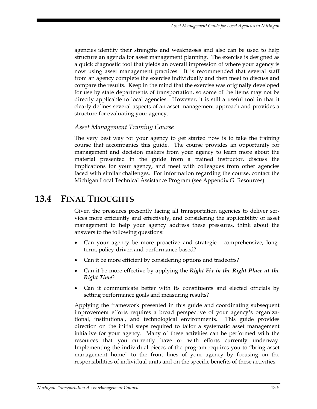agencies identify their strengths and weaknesses and also can be used to help structure an agenda for asset management planning. The exercise is designed as a quick diagnostic tool that yields an overall impression of where your agency is now using asset management practices. It is recommended that several staff from an agency complete the exercise individually and then meet to discuss and compare the results. Keep in the mind that the exercise was originally developed for use by state departments of transportation, so some of the items may not be directly applicable to local agencies. However, it is still a useful tool in that it clearly defines several aspects of an asset management approach and provides a structure for evaluating your agency.

#### *Asset Management Training Course*

The very best way for your agency to get started now is to take the training course that accompanies this guide. The course provides an opportunity for management and decision makers from your agency to learn more about the material presented in the guide from a trained instructor, discuss the implications for your agency, and meet with colleagues from other agencies faced with similar challenges. For information regarding the course, contact the Michigan Local Technical Assistance Program (see Appendix G. Resources).

### **13.4 FINAL THOUGHTS**

Given the pressures presently facing all transportation agencies to deliver services more efficiently and effectively, and considering the applicability of asset management to help your agency address these pressures, think about the answers to the following questions:

- Can your agency be more proactive and strategic comprehensive, longterm, policy-driven and performance-based?
- Can it be more efficient by considering options and tradeoffs?
- Can it be more effective by applying the *Right Fix in the Right Place at the Right Time*?
- Can it communicate better with its constituents and elected officials by setting performance goals and measuring results?

Applying the framework presented in this guide and coordinating subsequent improvement efforts requires a broad perspective of your agency's organizational, institutional, and technological environments. This guide provides direction on the initial steps required to tailor a systematic asset management initiative for your agency. Many of these activities can be performed with the resources that you currently have or with efforts currently underway. Implementing the individual pieces of the program requires you to "bring asset management home" to the front lines of your agency by focusing on the responsibilities of individual units and on the specific benefits of these activities.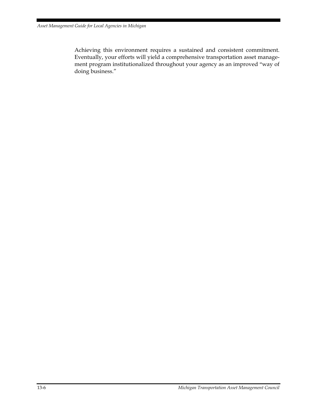Achieving this environment requires a sustained and consistent commitment. Eventually, your efforts will yield a comprehensive transportation asset management program institutionalized throughout your agency as an improved "way of doing business."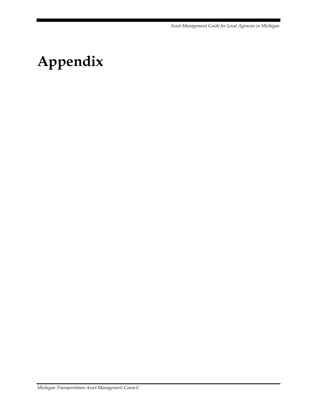*Asset Management Guide for Local Agencies in Michigan* 

# **Appendix**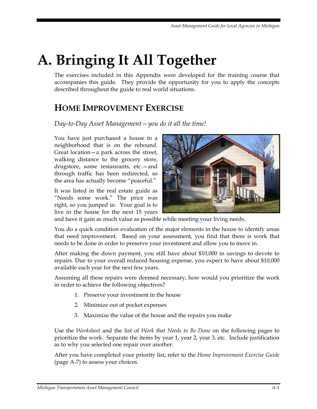# **A. Bringing It All Together**

The exercises included in this Appendix were developed for the training course that accompanies this guide. They provide the opportunity for you to apply the concepts described throughout the guide to real world situations.

## **HOME IMPROVEMENT EXERCISE**

*Day-to-Day Asset Management—you do it all the time!* 

You have just purchased a house in a neighborhood that is on the rebound. Great location—a park across the street, walking distance to the grocery store, drugstore, some restaurants, etc.—and through traffic has been redirected, so the area has actually become "peaceful."

It was listed in the real estate guide as "Needs some work." The price was right, so you jumped in. Your goal is to live in the house for the next 15 years



and have it gain as much value as possible while meeting your living needs.

You do a quick condition evaluation of the major elements in the house to identify areas that need improvement. Based on your assessment, you find that there is work that needs to be done in order to preserve your investment and allow you to move in.

After making the down payment, you still have about \$10,000 in savings to devote to repairs. Due to your overall reduced housing expense, you expect to have about \$10,000 available each year for the next few years.

Assuming all these repairs were deemed necessary, how would you prioritize the work in order to achieve the following objectives?

- 1. Preserve your investment in the house
- 2. Minimize out of pocket expenses
- 3. Maximize the value of the house and the repairs you make

Use the *Worksheet* and the list of *Work that Needs to Be Done* on the following pages to prioritize the work. Separate the items by year 1, year 2, year 3, etc. Include justification as to why you selected one repair over another.

After you have completed your priority list, refer to the *Home Improvement Exercise Guide* (page A-7) to assess your choices.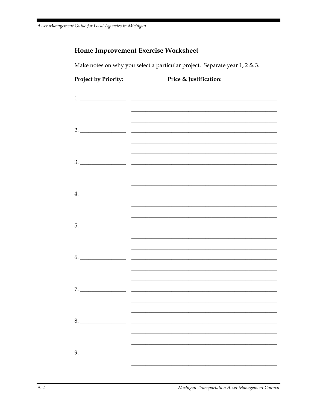#### **Home Improvement Exercise Worksheet**

Make notes on why you select a particular project. Separate year 1, 2 & 3.

# Project by Priority: Price & Justification:  $2.$ <u> 1980 - Johann Stoff, amerikansk politiker (d. 1980)</u>  $\sim$  $3.$ 4.  $5. \underline{\hspace{2cm}}$ 6.  $7.$ <u> 1989 - Johann Barn, mars ann an t-Amhain Aonaich an t-Aonaich an t-Aonaich an t-Aonaich an t-Aonaich an t-Aon</u> 9.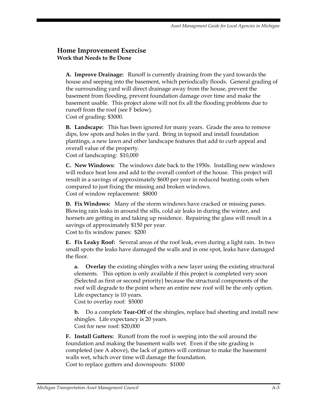#### **Home Improvement Exercise Work that Needs to Be Done**

**A. Improve Drainage:** Runoff is currently draining from the yard towards the house and seeping into the basement, which periodically floods. General grading of the surrounding yard will direct drainage away from the house, prevent the basement from flooding, prevent foundation damage over time and make the basement usable. This project alone will not fix all the flooding problems due to runoff from the roof (see F below). Cost of grading: \$3000.

**B. Landscape:** This has been ignored for many years. Grade the area to remove dips, low spots and holes in the yard. Bring in topsoil and install foundation plantings, a new lawn and other landscape features that add to curb appeal and overall value of the property.

Cost of landscaping: \$10,000

**C. New Windows:** The windows date back to the 1950s. Installing new windows will reduce heat loss and add to the overall comfort of the house. This project will result in a savings of approximately \$600 per year in reduced heating costs when compared to just fixing the missing and broken windows. Cost of window replacement: \$8000

**D. Fix Windows:** Many of the storm windows have cracked or missing panes. Blowing rain leaks in around the sills, cold air leaks in during the winter, and hornets are getting in and taking up residence. Repairing the glass will result in a savings of approximately \$150 per year. Cost to fix window panes: \$200

**E. Fix Leaky Roof:** Several areas of the roof leak, even during a light rain. In two small spots the leaks have damaged the walls and in one spot, leaks have damaged the floor.

**a. Overlay** the existing shingles with a new layer using the existing structural elements. This option is only available if this project is completed very soon (Selected as first or second priority) because the structural components of the roof will degrade to the point where an entire new roof will be the only option. Life expectancy is 10 years.

Cost to overlay roof: \$5000

**b.** Do a complete **Tear-Off** of the shingles, replace bad sheeting and install new shingles. Life expectancy is 20 years. Cost for new roof: \$20,000

**F. Install Gutters:** Runoff from the roof is seeping into the soil around the foundation and making the basement walls wet. Even if the site grading is completed (see A above), the lack of gutters will continue to make the basement walls wet, which over time will damage the foundation. Cost to replace gutters and downspouts: \$1000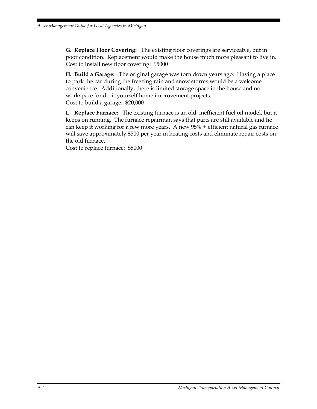**G. Replace Floor Covering:** The existing floor coverings are serviceable, but in poor condition. Replacement would make the house much more pleasant to live in. Cost to install new floor covering: \$5000

**H. Build a Garage:** The original garage was torn down years ago. Having a place to park the car during the freezing rain and snow storms would be a welcome convenience. Additionally, there is limited storage space in the house and no workspace for do-it-yourself home improvement projects. Cost to build a garage: \$20,000

**I. Replace Furnace:** The existing furnace is an old, inefficient fuel oil model, but it keeps on running. The furnace repairman says that parts are still available and he can keep it working for a few more years. A new 95% + efficient natural gas furnace will save approximately \$500 per year in heating costs and eliminate repair costs on the old furnace.

Cost to replace furnace: \$5000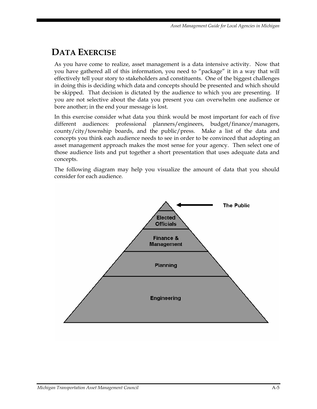## **DATA EXERCISE**

As you have come to realize, asset management is a data intensive activity. Now that you have gathered all of this information, you need to "package" it in a way that will effectively tell your story to stakeholders and constituents. One of the biggest challenges in doing this is deciding which data and concepts should be presented and which should be skipped. That decision is dictated by the audience to which you are presenting. If you are not selective about the data you present you can overwhelm one audience or bore another; in the end your message is lost.

In this exercise consider what data you think would be most important for each of five different audiences: professional planners/engineers, budget/finance/managers, county/city/township boards, and the public/press. Make a list of the data and concepts you think each audience needs to see in order to be convinced that adopting an asset management approach makes the most sense for your agency. Then select one of those audience lists and put together a short presentation that uses adequate data and concepts.

The following diagram may help you visualize the amount of data that you should consider for each audience.

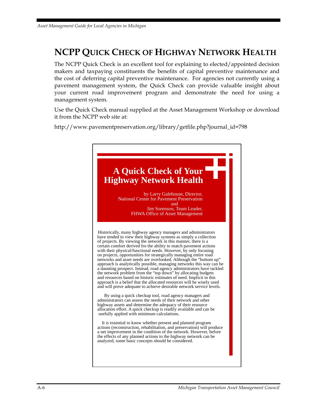## **NCPP QUICK CHECK OF HIGHWAY NETWORK HEALTH**

The NCPP Quick Check is an excellent tool for explaining to elected/appointed decision makers and taxpaying constituents the benefits of capital preventive maintenance and the cost of deferring capital preventive maintenance. For agencies not currently using a pavement management system, the Quick Check can provide valuable insight about your current road improvement program and demonstrate the need for using a management system.

Use the Quick Check manual supplied at the Asset Management Workshop or download it from the NCPP web site at:

http://www.pavementpreservation.org/library/getfile.php?journal\_id=798

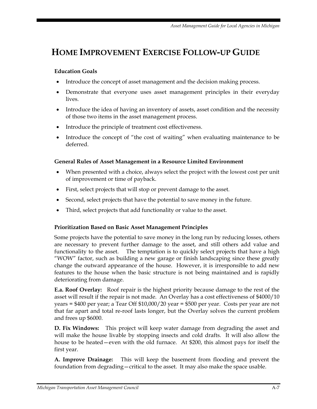## **HOME IMPROVEMENT EXERCISE FOLLOW-UP GUIDE**

#### **Education Goals**

- Introduce the concept of asset management and the decision making process.
- Demonstrate that everyone uses asset management principles in their everyday lives.
- Introduce the idea of having an inventory of assets, asset condition and the necessity of those two items in the asset management process.
- Introduce the principle of treatment cost effectiveness.
- Introduce the concept of "the cost of waiting" when evaluating maintenance to be deferred.

#### **General Rules of Asset Management in a Resource Limited Environment**

- When presented with a choice, always select the project with the lowest cost per unit of improvement or time of payback.
- First, select projects that will stop or prevent damage to the asset.
- Second, select projects that have the potential to save money in the future.
- Third, select projects that add functionality or value to the asset.

#### **Prioritization Based on Basic Asset Management Principles**

Some projects have the potential to save money in the long run by reducing losses, others are necessary to prevent further damage to the asset, and still others add value and functionality to the asset. The temptation is to quickly select projects that have a high "WOW" factor, such as building a new garage or finish landscaping since these greatly change the outward appearance of the house. However, it is irresponsible to add new features to the house when the basic structure is not being maintained and is rapidly deteriorating from damage.

**E.a. Roof Overlay:** Roof repair is the highest priority because damage to the rest of the asset will result if the repair is not made. An Overlay has a cost effectiveness of \$4000/10 years = \$400 per year; a Tear Off \$10,000/20 year = \$500 per year. Costs per year are not that far apart and total re-roof lasts longer, but the Overlay solves the current problem and frees up \$6000.

**D. Fix Windows:** This project will keep water damage from degrading the asset and will make the house livable by stopping insects and cold drafts. It will also allow the house to be heated—even with the old furnace. At \$200, this almost pays for itself the first year.

**A. Improve Drainage:** This will keep the basement from flooding and prevent the foundation from degrading—critical to the asset. It may also make the space usable.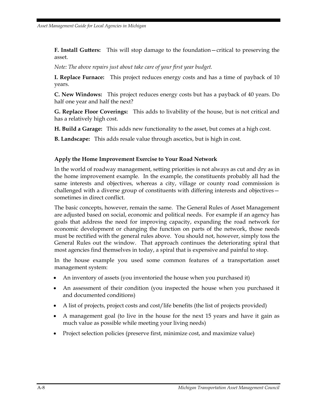**F. Install Gutters:** This will stop damage to the foundation—critical to preserving the asset.

*Note: The above repairs just about take care of your first year budget.* 

**I. Replace Furnace:** This project reduces energy costs and has a time of payback of 10 years.

**C. New Windows:** This project reduces energy costs but has a payback of 40 years. Do half one year and half the next?

**G. Replace Floor Coverings:** This adds to livability of the house, but is not critical and has a relatively high cost.

**H. Build a Garage:** This adds new functionality to the asset, but comes at a high cost.

**B. Landscape:** This adds resale value through ascetics, but is high in cost.

#### **Apply the Home Improvement Exercise to Your Road Network**

In the world of roadway management, setting priorities is not always as cut and dry as in the home improvement example. In the example, the constituents probably all had the same interests and objectives, whereas a city, village or county road commission is challenged with a diverse group of constituents with differing interests and objectives sometimes in direct conflict.

The basic concepts, however, remain the same. The General Rules of Asset Management are adjusted based on social, economic and political needs. For example if an agency has goals that address the need for improving capacity, expanding the road network for economic development or changing the function on parts of the network, those needs must be rectified with the general rules above. You should not, however, simply toss the General Rules out the window. That approach continues the deteriorating spiral that most agencies find themselves in today, a spiral that is expensive and painful to stop.

In the house example you used some common features of a transportation asset management system:

- An inventory of assets (you inventoried the house when you purchased it)
- An assessment of their condition (you inspected the house when you purchased it and documented conditions)
- A list of projects, project costs and cost/life benefits (the list of projects provided)
- A management goal (to live in the house for the next 15 years and have it gain as much value as possible while meeting your living needs)
- Project selection policies (preserve first, minimize cost, and maximize value)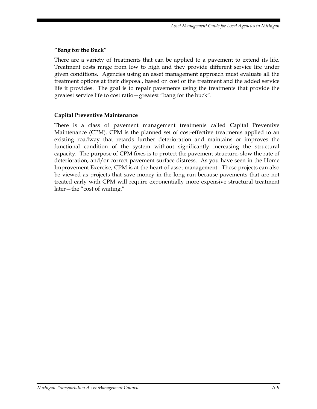### **"Bang for the Buck"**

There are a variety of treatments that can be applied to a pavement to extend its life. Treatment costs range from low to high and they provide different service life under given conditions. Agencies using an asset management approach must evaluate all the treatment options at their disposal, based on cost of the treatment and the added service life it provides. The goal is to repair pavements using the treatments that provide the greatest service life to cost ratio—greatest "bang for the buck".

#### **Capital Preventive Maintenance**

There is a class of pavement management treatments called Capital Preventive Maintenance (CPM). CPM is the planned set of cost-effective treatments applied to an existing roadway that retards further deterioration and maintains or improves the functional condition of the system without significantly increasing the structural capacity. The purpose of CPM fixes is to protect the pavement structure, slow the rate of deterioration, and/or correct pavement surface distress. As you have seen in the Home Improvement Exercise, CPM is at the heart of asset management. These projects can also be viewed as projects that save money in the long run because pavements that are not treated early with CPM will require exponentially more expensive structural treatment later—the "cost of waiting."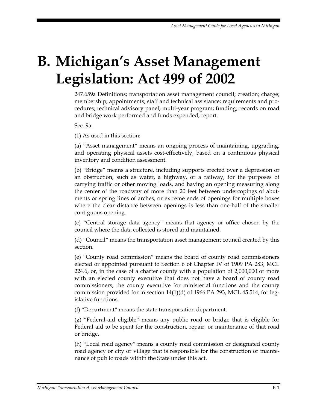# **B. Michigan's Asset Management Legislation: Act 499 of 2002**

247.659a Definitions; transportation asset management council; creation; charge; membership; appointments; staff and technical assistance; requirements and procedures; technical advisory panel; multi-year program; funding; records on road and bridge work performed and funds expended; report.

Sec. 9a.

(1) As used in this section:

(a) "Asset management" means an ongoing process of maintaining, upgrading, and operating physical assets cost-effectively, based on a continuous physical inventory and condition assessment.

(b) "Bridge" means a structure, including supports erected over a depression or an obstruction, such as water, a highway, or a railway, for the purposes of carrying traffic or other moving loads, and having an opening measuring along the center of the roadway of more than 20 feet between undercopings of abutments or spring lines of arches, or extreme ends of openings for multiple boxes where the clear distance between openings is less than one-half of the smaller contiguous opening.

(c) "Central storage data agency" means that agency or office chosen by the council where the data collected is stored and maintained.

(d) "Council" means the transportation asset management council created by this section.

(e) "County road commission" means the board of county road commissioners elected or appointed pursuant to Section 6 of Chapter IV of 1909 PA 283, MCL 224.6, or, in the case of a charter county with a population of 2,000,000 or more with an elected county executive that does not have a board of county road commissioners, the county executive for ministerial functions and the county commission provided for in section  $14(1)(d)$  of 1966 PA 293, MCL 45.514, for legislative functions.

(f) "Department" means the state transportation department.

(g) "Federal-aid eligible" means any public road or bridge that is eligible for Federal aid to be spent for the construction, repair, or maintenance of that road or bridge.

(h) "Local road agency" means a county road commission or designated county road agency or city or village that is responsible for the construction or maintenance of public roads within the State under this act.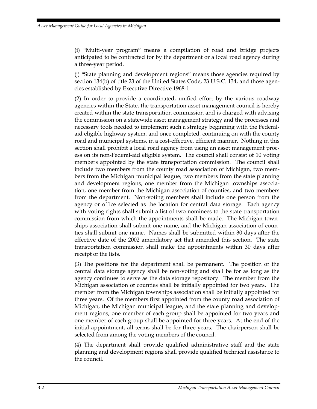(i) "Multi-year program" means a compilation of road and bridge projects anticipated to be contracted for by the department or a local road agency during a three-year period.

(j) "State planning and development regions" means those agencies required by section 134(b) of title 23 of the United States Code, 23 U.S.C. 134, and those agencies established by Executive Directive 1968-1.

(2) In order to provide a coordinated, unified effort by the various roadway agencies within the State, the transportation asset management council is hereby created within the state transportation commission and is charged with advising the commission on a statewide asset management strategy and the processes and necessary tools needed to implement such a strategy beginning with the Federalaid eligible highway system, and once completed, continuing on with the county road and municipal systems, in a cost-effective, efficient manner. Nothing in this section shall prohibit a local road agency from using an asset management process on its non-Federal-aid eligible system. The council shall consist of 10 voting members appointed by the state transportation commission. The council shall include two members from the county road association of Michigan, two members from the Michigan municipal league, two members from the state planning and development regions, one member from the Michigan townships association, one member from the Michigan association of counties, and two members from the department. Non-voting members shall include one person from the agency or office selected as the location for central data storage. Each agency with voting rights shall submit a list of two nominees to the state transportation commission from which the appointments shall be made. The Michigan townships association shall submit one name, and the Michigan association of counties shall submit one name. Names shall be submitted within 30 days after the effective date of the 2002 amendatory act that amended this section. The state transportation commission shall make the appointments within 30 days after receipt of the lists.

(3) The positions for the department shall be permanent. The position of the central data storage agency shall be non-voting and shall be for as long as the agency continues to serve as the data storage repository. The member from the Michigan association of counties shall be initially appointed for two years. The member from the Michigan townships association shall be initially appointed for three years. Of the members first appointed from the county road association of Michigan, the Michigan municipal league, and the state planning and development regions, one member of each group shall be appointed for two years and one member of each group shall be appointed for three years. At the end of the initial appointment, all terms shall be for three years. The chairperson shall be selected from among the voting members of the council.

(4) The department shall provide qualified administrative staff and the state planning and development regions shall provide qualified technical assistance to the council.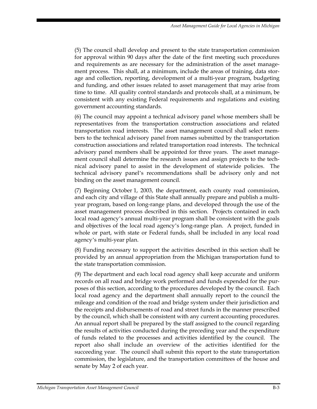(5) The council shall develop and present to the state transportation commission for approval within 90 days after the date of the first meeting such procedures and requirements as are necessary for the administration of the asset management process. This shall, at a minimum, include the areas of training, data storage and collection, reporting, development of a multi-year program, budgeting and funding, and other issues related to asset management that may arise from time to time. All quality control standards and protocols shall, at a minimum, be consistent with any existing Federal requirements and regulations and existing government accounting standards.

(6) The council may appoint a technical advisory panel whose members shall be representatives from the transportation construction associations and related transportation road interests. The asset management council shall select members to the technical advisory panel from names submitted by the transportation construction associations and related transportation road interests. The technical advisory panel members shall be appointed for three years. The asset management council shall determine the research issues and assign projects to the technical advisory panel to assist in the development of statewide policies. The technical advisory panel's recommendations shall be advisory only and not binding on the asset management council.

(7) Beginning October 1, 2003, the department, each county road commission, and each city and village of this State shall annually prepare and publish a multiyear program, based on long-range plans, and developed through the use of the asset management process described in this section. Projects contained in each local road agency's annual multi-year program shall be consistent with the goals and objectives of the local road agency's long-range plan. A project, funded in whole or part, with state or Federal funds, shall be included in any local road agency's multi-year plan.

(8) Funding necessary to support the activities described in this section shall be provided by an annual appropriation from the Michigan transportation fund to the state transportation commission.

(9) The department and each local road agency shall keep accurate and uniform records on all road and bridge work performed and funds expended for the purposes of this section, according to the procedures developed by the council. Each local road agency and the department shall annually report to the council the mileage and condition of the road and bridge system under their jurisdiction and the receipts and disbursements of road and street funds in the manner prescribed by the council, which shall be consistent with any current accounting procedures. An annual report shall be prepared by the staff assigned to the council regarding the results of activities conducted during the preceding year and the expenditure of funds related to the processes and activities identified by the council. The report also shall include an overview of the activities identified for the succeeding year. The council shall submit this report to the state transportation commission, the legislature, and the transportation committees of the house and senate by May 2 of each year.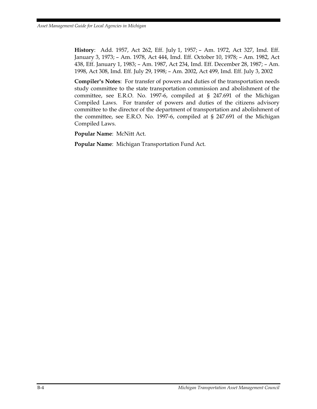**History**: Add. 1957, Act 262, Eff. July 1, 1957; – Am. 1972, Act 327, Imd. Eff. January 3, 1973; – Am. 1978, Act 444, Imd. Eff. October 10, 1978; – Am. 1982, Act 438, Eff. January 1, 1983; – Am. 1987, Act 234, Imd. Eff. December 28, 1987; – Am. 1998, Act 308, Imd. Eff. July 29, 1998; – Am. 2002, Act 499, Imd. Eff. July 3, 2002

**Compiler's Notes**: For transfer of powers and duties of the transportation needs study committee to the state transportation commission and abolishment of the committee, see E.R.O. No. 1997-6, compiled at § 247.691 of the Michigan Compiled Laws. For transfer of powers and duties of the citizens advisory committee to the director of the department of transportation and abolishment of the committee, see E.R.O. No. 1997-6, compiled at § 247.691 of the Michigan Compiled Laws.

**Popular Name**: McNitt Act.

**Popular Name**: Michigan Transportation Fund Act.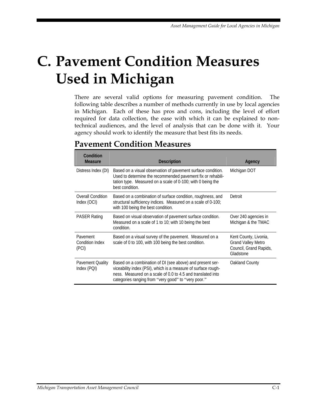# **C. Pavement Condition Measures Used in Michigan**

There are several valid options for measuring pavement condition. The following table describes a number of methods currently in use by local agencies in Michigan. Each of these has pros and cons, including the level of effort required for data collection, the ease with which it can be explained to nontechnical audiences, and the level of analysis that can be done with it. Your agency should work to identify the measure that best fits its needs.

| Condition<br><b>Measure</b>                 | <b>Description</b>                                                                                                                                                                                                                               | Agency                                                                                    |
|---------------------------------------------|--------------------------------------------------------------------------------------------------------------------------------------------------------------------------------------------------------------------------------------------------|-------------------------------------------------------------------------------------------|
| Distress Index (DI)                         | Based on a visual observation of pavement surface condition.<br>Used to determine the recommended pavement fix or rehabili-<br>tation type. Measured on a scale of 0-100; with 0 being the<br>best condition.                                    | Michigan DOT                                                                              |
| <b>Overall Condition</b><br>Index (OCI)     | Based on a combination of surface condition, roughness, and<br>structural sufficiency indices. Measured on a scale of 0-100;<br>with 100 being the best condition.                                                                               | Detroit                                                                                   |
| <b>PASER Rating</b>                         | Based on visual observation of pavement surface condition.<br>Measured on a scale of 1 to 10; with 10 being the best<br>condition.                                                                                                               | Over 240 agencies in<br>Michigan & the TMAC                                               |
| Pavement<br><b>Condition Index</b><br>(PCI) | Based on a visual survey of the pavement. Measured on a<br>scale of 0 to 100, with 100 being the best condition.                                                                                                                                 | Kent County, Livonia,<br><b>Grand Valley Metro</b><br>Council, Grand Rapids,<br>Gladstone |
| Pavement Quality<br>Index (PQI)             | Based on a combination of DI (see above) and present ser-<br>viceability index (PSI), which is a measure of surface rough-<br>ness. Measured on a scale of 0.0 to 4.5 and translated into<br>categories ranging from "very good" to "very poor." | Oakland County                                                                            |

### **Pavement Condition Measures**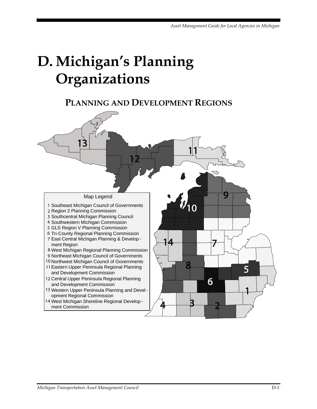# **D. Michigan's Planning Organizations**

## **PLANNING AND DEVELOPMENT REGIONS**

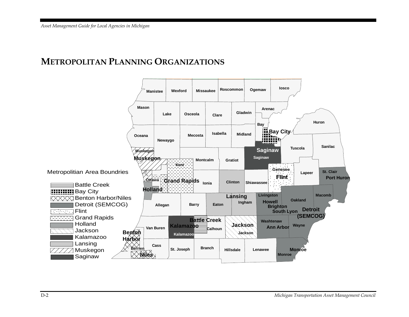### **METROPOLITAN PLANNING ORGANIZATIONS**

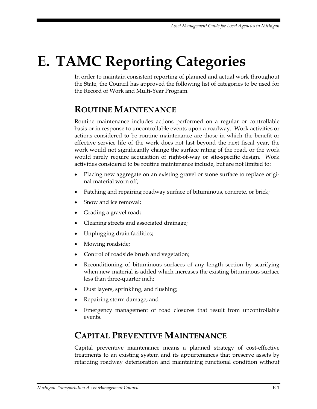# **E. TAMC Reporting Categories**

In order to maintain consistent reporting of planned and actual work throughout the State, the Council has approved the following list of categories to be used for the Record of Work and Multi-Year Program.

### **ROUTINE MAINTENANCE**

Routine maintenance includes actions performed on a regular or controllable basis or in response to uncontrollable events upon a roadway. Work activities or actions considered to be routine maintenance are those in which the benefit or effective service life of the work does not last beyond the next fiscal year, the work would not significantly change the surface rating of the road, or the work would rarely require acquisition of right-of-way or site-specific design. Work activities considered to be routine maintenance include, but are not limited to:

- Placing new aggregate on an existing gravel or stone surface to replace original material worn off;
- Patching and repairing roadway surface of bituminous, concrete, or brick;
- Snow and ice removal;
- Grading a gravel road;
- Cleaning streets and associated drainage;
- Unplugging drain facilities;
- Mowing roadside;
- Control of roadside brush and vegetation;
- Reconditioning of bituminous surfaces of any length section by scarifying when new material is added which increases the existing bituminous surface less than three-quarter inch;
- Dust layers, sprinkling, and flushing;
- Repairing storm damage; and
- Emergency management of road closures that result from uncontrollable events.

## **CAPITAL PREVENTIVE MAINTENANCE**

Capital preventive maintenance means a planned strategy of cost-effective treatments to an existing system and its appurtenances that preserve assets by retarding roadway deterioration and maintaining functional condition without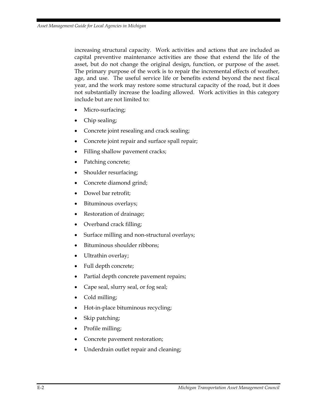increasing structural capacity. Work activities and actions that are included as capital preventive maintenance activities are those that extend the life of the asset, but do not change the original design, function, or purpose of the asset. The primary purpose of the work is to repair the incremental effects of weather, age, and use. The useful service life or benefits extend beyond the next fiscal year, and the work may restore some structural capacity of the road, but it does not substantially increase the loading allowed. Work activities in this category include but are not limited to:

- Micro-surfacing;
- Chip sealing;
- Concrete joint resealing and crack sealing;
- Concrete joint repair and surface spall repair;
- Filling shallow pavement cracks;
- Patching concrete;
- Shoulder resurfacing;
- Concrete diamond grind;
- Dowel bar retrofit;
- Bituminous overlays;
- Restoration of drainage;
- Overband crack filling;
- Surface milling and non-structural overlays;
- Bituminous shoulder ribbons;
- Ultrathin overlay;
- Full depth concrete;
- Partial depth concrete pavement repairs;
- Cape seal, slurry seal, or fog seal;
- Cold milling;
- Hot-in-place bituminous recycling;
- Skip patching;
- Profile milling;
- Concrete pavement restoration;
- Underdrain outlet repair and cleaning;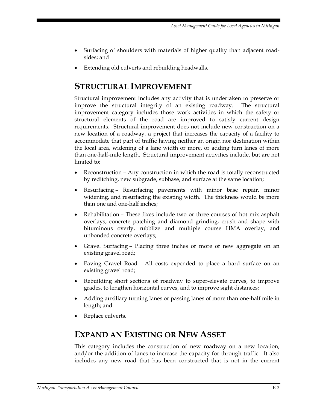- Surfacing of shoulders with materials of higher quality than adjacent roadsides; and
- Extending old culverts and rebuilding headwalls.

### **STRUCTURAL IMPROVEMENT**

Structural improvement includes any activity that is undertaken to preserve or improve the structural integrity of an existing roadway. The structural improvement category includes those work activities in which the safety or structural elements of the road are improved to satisfy current design requirements. Structural improvement does not include new construction on a new location of a roadway, a project that increases the capacity of a facility to accommodate that part of traffic having neither an origin nor destination within the local area, widening of a lane width or more, or adding turn lanes of more than one-half-mile length. Structural improvement activities include, but are not limited to:

- Reconstruction Any construction in which the road is totally reconstructed by reditching, new subgrade, subbase, and surface at the same location;
- Resurfacing Resurfacing pavements with minor base repair, minor widening, and resurfacing the existing width. The thickness would be more than one and one-half inches;
- Rehabilitation These fixes include two or three courses of hot mix asphalt overlays, concrete patching and diamond grinding, crush and shape with bituminous overly, rubblize and multiple course HMA overlay, and unbonded concrete overlays;
- Gravel Surfacing Placing three inches or more of new aggregate on an existing gravel road;
- Paving Gravel Road All costs expended to place a hard surface on an existing gravel road;
- Rebuilding short sections of roadway to super-elevate curves, to improve grades, to lengthen horizontal curves, and to improve sight distances;
- Adding auxiliary turning lanes or passing lanes of more than one-half mile in length; and
- Replace culverts.

### **EXPAND AN EXISTING OR NEW ASSET**

This category includes the construction of new roadway on a new location, and/or the addition of lanes to increase the capacity for through traffic. It also includes any new road that has been constructed that is not in the current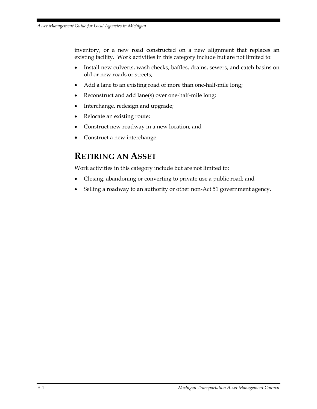inventory, or a new road constructed on a new alignment that replaces an existing facility. Work activities in this category include but are not limited to:

- Install new culverts, wash checks, baffles, drains, sewers, and catch basins on old or new roads or streets;
- Add a lane to an existing road of more than one-half-mile long;
- Reconstruct and add lane(s) over one-half-mile long;
- Interchange, redesign and upgrade;
- Relocate an existing route;
- Construct new roadway in a new location; and
- Construct a new interchange.

### **RETIRING AN ASSET**

Work activities in this category include but are not limited to:

- Closing, abandoning or converting to private use a public road; and
- Selling a roadway to an authority or other non-Act 51 government agency.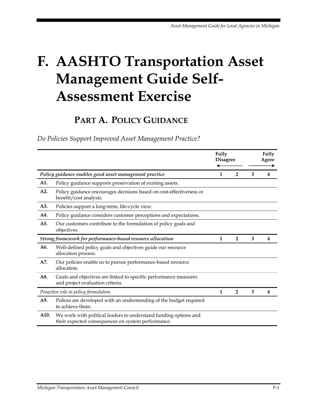# **F. AASHTO Transportation Asset Management Guide Self-Assessment Exercise**

## **PART A. POLICY GUIDANCE**

*Do Policies Support Improved Asset Management Practice?* 

|                                                            |                                                                                                                        | Fully<br><b>Disagree</b> |                |   | Fully<br>Agree |
|------------------------------------------------------------|------------------------------------------------------------------------------------------------------------------------|--------------------------|----------------|---|----------------|
| Policy guidance enables good asset management practice     |                                                                                                                        | 1                        | $\overline{2}$ | 3 | 4              |
| A1.                                                        | Policy guidance supports preservation of existing assets.                                                              |                          |                |   |                |
| A2.                                                        | Policy guidance encourages decisions based on cost-effectiveness or<br>benefit/cost analysis.                          |                          |                |   |                |
| A3.                                                        | Policies support a long-term, life-cycle view.                                                                         |                          |                |   |                |
| A4.                                                        | Policy guidance considers customer perceptions and expectations.                                                       |                          |                |   |                |
| A5.                                                        | Our customers contribute to the formulation of policy goals and<br>objectives.                                         |                          |                |   |                |
| Strong framework for performance-based resource allocation |                                                                                                                        | 1                        | $\overline{2}$ | 3 | 4              |
| A6.                                                        | Well-defined policy goals and objectives guide our resource<br>allocation process.                                     |                          |                |   |                |
| A7.                                                        | Our policies enable us to pursue performance-based resource<br>allocation.                                             |                          |                |   |                |
| A8.                                                        | Goals and objectives are linked to specific performance measures<br>and project evaluation criteria.                   |                          |                |   |                |
| Proactive role in policy formulation                       |                                                                                                                        | 1                        | $\overline{2}$ | 3 | 4              |
| A9.                                                        | Polices are developed with an understanding of the budget required<br>to achieve them.                                 |                          |                |   |                |
| A10.                                                       | We work with political leaders to understand funding options and<br>their expected consequences on system performance. |                          |                |   |                |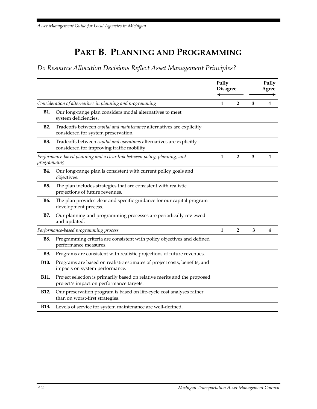## **PART B. PLANNING AND PROGRAMMING**

*Do Resource Allocation Decisions Reflect Asset Management Principles?* 

|                                                                                          |                                                                                                                      | <b>Fully</b> | <b>Disagree</b> |   | <b>Fully</b><br>Agree |
|------------------------------------------------------------------------------------------|----------------------------------------------------------------------------------------------------------------------|--------------|-----------------|---|-----------------------|
| Consideration of alternatives in planning and programming                                |                                                                                                                      | $\mathbf{1}$ | $\overline{2}$  | 3 | 4                     |
| <b>B1.</b>                                                                               | Our long-range plan considers modal alternatives to meet<br>system deficiencies.                                     |              |                 |   |                       |
| <b>B2.</b>                                                                               | Tradeoffs between capital and maintenance alternatives are explicitly<br>considered for system preservation.         |              |                 |   |                       |
| <b>B3.</b>                                                                               | Tradeoffs between capital and operations alternatives are explicitly<br>considered for improving traffic mobility.   |              |                 |   |                       |
| Performance-based planning and a clear link between policy, planning, and<br>programming |                                                                                                                      | $\mathbf{1}$ | $\overline{2}$  | 3 | 4                     |
| <b>B4.</b>                                                                               | Our long-range plan is consistent with current policy goals and<br>objectives.                                       |              |                 |   |                       |
| <b>B5.</b>                                                                               | The plan includes strategies that are consistent with realistic<br>projections of future revenues.                   |              |                 |   |                       |
| <b>B6.</b>                                                                               | The plan provides clear and specific guidance for our capital program<br>development process.                        |              |                 |   |                       |
| B7.                                                                                      | Our planning and programming processes are periodically reviewed<br>and updated.                                     |              |                 |   |                       |
|                                                                                          | Performance-based programming process                                                                                | $\mathbf{1}$ | $\overline{2}$  | 3 | 4                     |
| <b>B8.</b>                                                                               | Programming criteria are consistent with policy objectives and defined<br>performance measures.                      |              |                 |   |                       |
| <b>B9.</b>                                                                               | Programs are consistent with realistic projections of future revenues.                                               |              |                 |   |                       |
| B10.                                                                                     | Programs are based on realistic estimates of project costs, benefits, and<br>impacts on system performance.          |              |                 |   |                       |
| <b>B11.</b>                                                                              | Project selection is primarily based on relative merits and the proposed<br>project's impact on performance targets. |              |                 |   |                       |
| B12.                                                                                     | Our preservation program is based on life-cycle cost analyses rather<br>than on worst-first strategies.              |              |                 |   |                       |
| <b>B13.</b>                                                                              | Levels of service for system maintenance are well-defined.                                                           |              |                 |   |                       |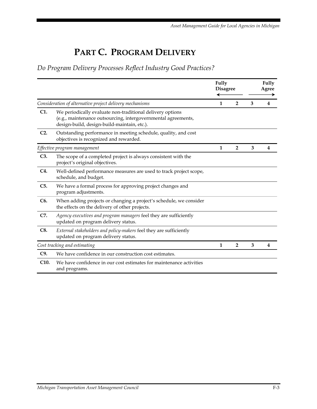## **PART C. PROGRAM DELIVERY**

*Do Program Delivery Processes Reflect Industry Good Practices?* 

|                                                          |                                                                                                                                                                           | Fully<br><b>Disagree</b> |                | Fully<br>Agree |                |  |
|----------------------------------------------------------|---------------------------------------------------------------------------------------------------------------------------------------------------------------------------|--------------------------|----------------|----------------|----------------|--|
| Consideration of alternative project delivery mechanisms |                                                                                                                                                                           | 1                        | $\overline{2}$ | 3              | 4              |  |
| C1.                                                      | We periodically evaluate non-traditional delivery options<br>(e.g., maintenance outsourcing, intergovernmental agreements,<br>design-build, design-build-maintain, etc.). |                          |                |                |                |  |
| $C2$ .                                                   | Outstanding performance in meeting schedule, quality, and cost<br>objectives is recognized and rewarded.                                                                  |                          |                |                |                |  |
|                                                          | Effective program management                                                                                                                                              | 1                        | $\overline{2}$ | 3              | 4              |  |
| C3.                                                      | The scope of a completed project is always consistent with the<br>project's original objectives.                                                                          |                          |                |                |                |  |
| C4.                                                      | Well-defined performance measures are used to track project scope,<br>schedule, and budget.                                                                               |                          |                |                |                |  |
| C5.                                                      | We have a formal process for approving project changes and<br>program adjustments.                                                                                        |                          |                |                |                |  |
| C <sub>6</sub> .                                         | When adding projects or changing a project's schedule, we consider<br>the effects on the delivery of other projects.                                                      |                          |                |                |                |  |
| C7.                                                      | Agency executives and program managers feel they are sufficiently<br>updated on program delivery status.                                                                  |                          |                |                |                |  |
| C8.                                                      | External stakeholders and policy-makers feel they are sufficiently<br>updated on program delivery status.                                                                 |                          |                |                |                |  |
|                                                          | Cost tracking and estimating                                                                                                                                              |                          | $\overline{2}$ | 3              | $\overline{4}$ |  |
| C9.                                                      | We have confidence in our construction cost estimates.                                                                                                                    |                          |                |                |                |  |
| C10.                                                     | We have confidence in our cost estimates for maintenance activities<br>and programs.                                                                                      |                          |                |                |                |  |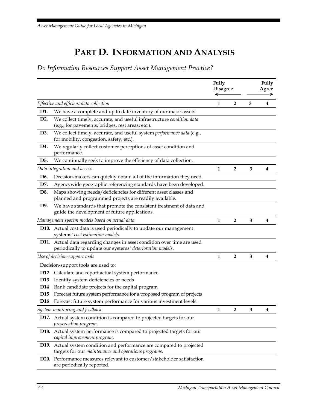## **PART D. INFORMATION AND ANALYSIS**

*Do Information Resources Support Asset Management Practice?* 

|                  |                                                                                                                                       | Fully<br><b>Disagree</b> |                         | Fully<br>Agree<br>→ |                         |  |
|------------------|---------------------------------------------------------------------------------------------------------------------------------------|--------------------------|-------------------------|---------------------|-------------------------|--|
|                  | Effective and efficient data collection                                                                                               | 1                        | $\mathbf{2}$            | 3                   | 4                       |  |
| D1.              | We have a complete and up to date inventory of our major assets.                                                                      |                          |                         |                     |                         |  |
| D <sub>2</sub> . | We collect timely, accurate, and useful infrastructure condition data<br>(e.g., for pavements, bridges, rest areas, etc.).            |                          |                         |                     |                         |  |
| D3.              | We collect timely, accurate, and useful system performance data (e.g.,<br>for mobility, congestion, safety, etc.).                    |                          |                         |                     |                         |  |
| D4.              | We regularly collect customer perceptions of asset condition and<br>performance.                                                      |                          |                         |                     |                         |  |
| D5.              | We continually seek to improve the efficiency of data collection.                                                                     |                          |                         |                     |                         |  |
|                  | Data integration and access                                                                                                           | $\mathbf{1}$             | $\overline{2}$          | 3                   | 4                       |  |
| D <sub>6</sub> . | Decision-makers can quickly obtain all of the information they need.                                                                  |                          |                         |                     |                         |  |
| D7.              | Agencywide geographic referencing standards have been developed.                                                                      |                          |                         |                     |                         |  |
| D8.              | Maps showing needs/deficiencies for different asset classes and<br>planned and programmed projects are readily available.             |                          |                         |                     |                         |  |
| D9.              | We have standards that promote the consistent treatment of data and<br>guide the development of future applications.                  |                          |                         |                     |                         |  |
|                  | Management system models based on actual data                                                                                         | $\mathbf{1}$             | $\overline{\mathbf{2}}$ | 3                   | 4                       |  |
|                  | D10. Actual cost data is used periodically to update our management<br>systems' cost estimation models.                               |                          |                         |                     |                         |  |
|                  | D11. Actual data regarding changes in asset condition over time are used<br>periodically to update our systems' deterioration models. |                          |                         |                     |                         |  |
|                  | Use of decision-support tools                                                                                                         | $\mathbf{1}$             | $\overline{2}$          | 3                   | $\overline{\mathbf{4}}$ |  |
|                  | Decision-support tools are used to:                                                                                                   |                          |                         |                     |                         |  |
| D <sub>12</sub>  | Calculate and report actual system performance                                                                                        |                          |                         |                     |                         |  |
| D <sub>13</sub>  | Identify system deficiencies or needs                                                                                                 |                          |                         |                     |                         |  |
| D14              | Rank candidate projects for the capital program                                                                                       |                          |                         |                     |                         |  |
| D <sub>15</sub>  | Forecast future system performance for a proposed program of projects                                                                 |                          |                         |                     |                         |  |
| D <sub>16</sub>  | Forecast future system performance for various investment levels.                                                                     |                          |                         |                     |                         |  |
|                  | System monitoring and feedback                                                                                                        | 1                        | 2                       | 3                   | 4                       |  |
|                  | D17. Actual system condition is compared to projected targets for our<br>preservation program.                                        |                          |                         |                     |                         |  |
|                  | D18. Actual system performance is compared to projected targets for our<br>capital improvement program.                               |                          |                         |                     |                         |  |
|                  | D19. Actual system condition and performance are compared to projected<br>targets for our maintenance and operations programs.        |                          |                         |                     |                         |  |
|                  | D20. Performance measures relevant to customer/stakeholder satisfaction<br>are periodically reported.                                 |                          |                         |                     |                         |  |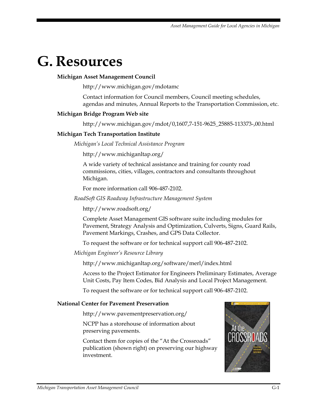# **G. Resources**

#### **Michigan Asset Management Council**

http://www.michigan.gov/mdotamc

Contact information for Council members, Council meeting schedules, agendas and minutes, Annual Reports to the Transportation Commission, etc.

#### **Michigan Bridge Program Web site**

http://www.michigan.gov/mdot/0,1607,7-151-9625\_25885-113373-,00.html

#### **Michigan Tech Transportation Institute**

*Michigan's Local Technical Assistance Program* 

http://www.michiganltap.org/

A wide variety of technical assistance and training for county road commissions, cities, villages, contractors and consultants throughout Michigan.

For more information call 906-487-2102.

*RoadSoft GIS Roadway Infrastructure Management System* 

http://www.roadsoft.org/

Complete Asset Management GIS software suite including modules for Pavement, Strategy Analysis and Optimization, Culverts, Signs, Guard Rails, Pavement Markings, Crashes, and GPS Data Collector.

To request the software or for technical support call 906-487-2102.

*Michigan Engineer's Resource Library* 

http://www.michiganltap.org/software/merl/index.html

Access to the Project Estimator for Engineers Preliminary Estimates, Average Unit Costs, Pay Item Codes, Bid Analysis and Local Project Management.

To request the software or for technical support call 906-487-2102.

#### **National Center for Pavement Preservation**

http://www.pavementpreservation.org/

NCPP has a storehouse of information about preserving pavements.

Contact them for copies of the "At the Crossroads" publication (shown right) on preserving our highway investment.

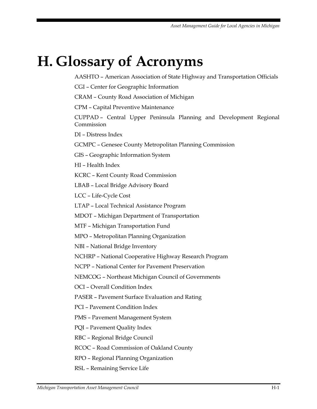# **H. Glossary of Acronyms**

AASHTO – American Association of State Highway and Transportation Officials

CGI – Center for Geographic Information

CRAM – County Road Association of Michigan

CPM – Capital Preventive Maintenance

CUPPAD – Central Upper Peninsula Planning and Development Regional Commission

DI – Distress Index

GCMPC – Genesee County Metropolitan Planning Commission

GIS – Geographic Information System

HI – Health Index

KCRC – Kent County Road Commission

LBAB – Local Bridge Advisory Board

LCC – Life-Cycle Cost

LTAP – Local Technical Assistance Program

MDOT – Michigan Department of Transportation

MTF – Michigan Transportation Fund

MPO – Metropolitan Planning Organization

NBI – National Bridge Inventory

NCHRP – National Cooperative Highway Research Program

NCPP – National Center for Pavement Preservation

NEMCOG – Northeast Michigan Council of Governments

OCI – Overall Condition Index

PASER – Pavement Surface Evaluation and Rating

PCI – Pavement Condition Index

PMS – Pavement Management System

PQI – Pavement Quality Index

RBC – Regional Bridge Council

RCOC – Road Commission of Oakland County

RPO – Regional Planning Organization

RSL – Remaining Service Life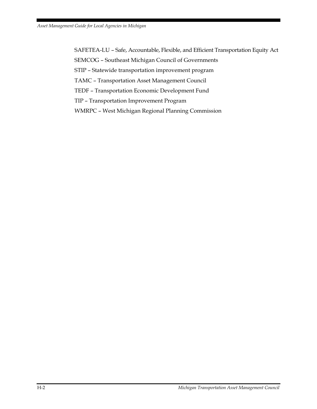SAFETEA-LU – Safe, Accountable, Flexible, and Efficient Transportation Equity Act

SEMCOG – Southeast Michigan Council of Governments

STIP – Statewide transportation improvement program

TAMC – Transportation Asset Management Council

TEDF – Transportation Economic Development Fund

TIP – Transportation Improvement Program

WMRPC – West Michigan Regional Planning Commission